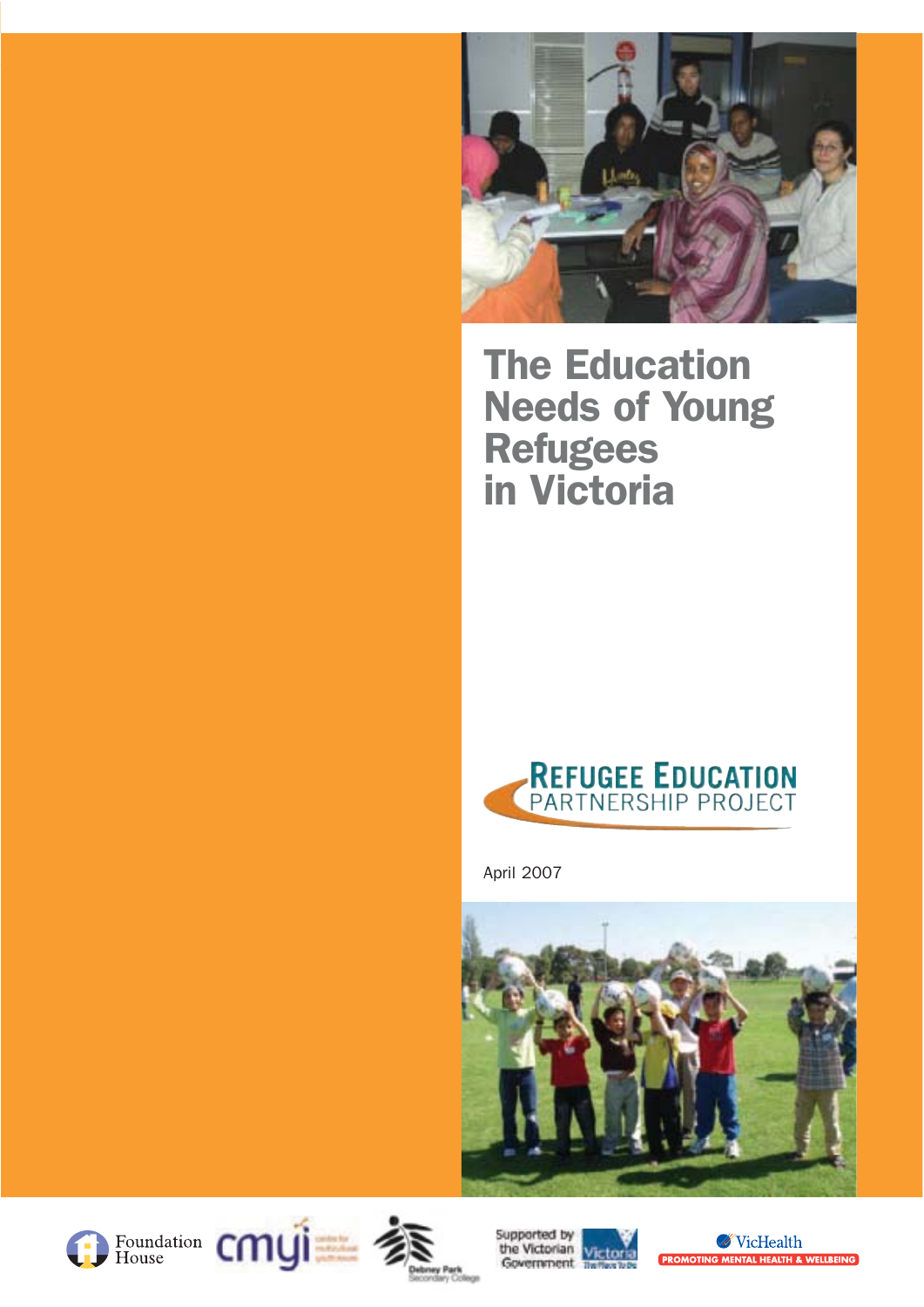

The Education Needs of Young Refugees in Victoria



April 2007









Supported by<br>the Victorian<br>Government Government <sub>The</sub>

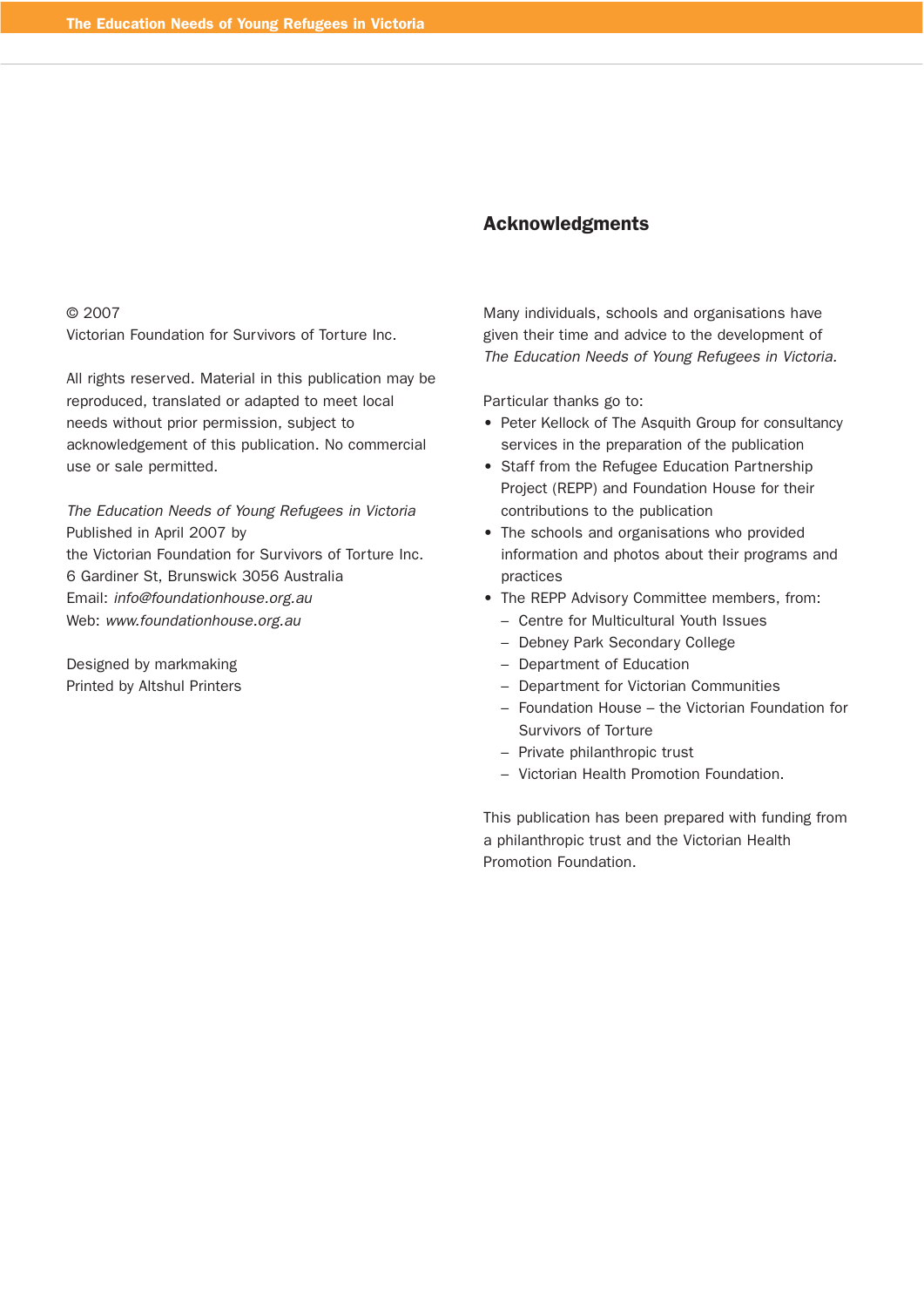## Acknowledgments

© 2007

Victorian Foundation for Survivors of Torture Inc.

All rights reserved. Material in this publication may be reproduced, translated or adapted to meet local needs without prior permission, subject to acknowledgement of this publication. No commercial use or sale permitted.

The Education Needs of Young Refugees in Victoria Published in April 2007 by the Victorian Foundation for Survivors of Torture Inc. 6 Gardiner St, Brunswick 3056 Australia Email: info@foundationhouse.org.au Web: www.foundationhouse.org.au

Designed by markmaking Printed by Altshul Printers Many individuals, schools and organisations have given their time and advice to the development of The Education Needs of Young Refugees in Victoria.

Particular thanks go to:

- Peter Kellock of The Asquith Group for consultancy services in the preparation of the publication
- Staff from the Refugee Education Partnership Project (REPP) and Foundation House for their contributions to the publication
- The schools and organisations who provided information and photos about their programs and practices
- The REPP Advisory Committee members, from:
	- Centre for Multicultural Youth Issues
	- Debney Park Secondary College
	- Department of Education
	- Department for Victorian Communities
	- Foundation House the Victorian Foundation for Survivors of Torture
	- Private philanthropic trust
	- Victorian Health Promotion Foundation.

This publication has been prepared with funding from a philanthropic trust and the Victorian Health Promotion Foundation.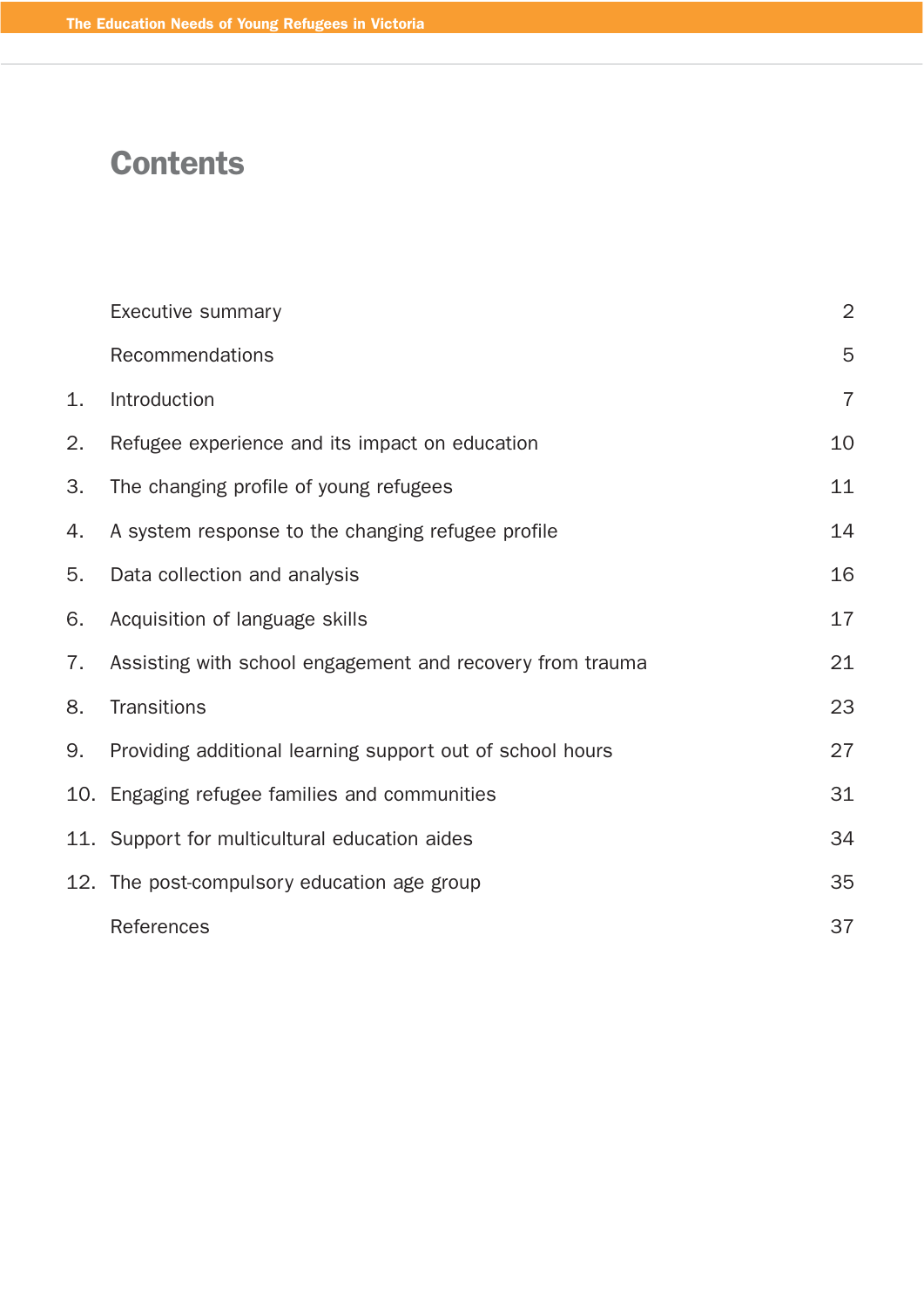# **Contents**

|     | <b>Executive summary</b>                                  | $\overline{2}$ |
|-----|-----------------------------------------------------------|----------------|
|     | Recommendations                                           | 5              |
| 1.  | Introduction                                              | $\overline{7}$ |
| 2.  | Refugee experience and its impact on education            | 10             |
| 3.  | The changing profile of young refugees                    | 11             |
| 4.  | A system response to the changing refugee profile         | 14             |
| 5.  | Data collection and analysis                              | 16             |
| 6.  | Acquisition of language skills                            | 17             |
| 7.  | Assisting with school engagement and recovery from trauma | 21             |
| 8.  | <b>Transitions</b>                                        | 23             |
| 9.  | Providing additional learning support out of school hours | 27             |
| 10. | Engaging refugee families and communities                 | 31             |
|     | 11. Support for multicultural education aides             | 34             |
|     | 12. The post-compulsory education age group               | 35             |
|     | References                                                | 37             |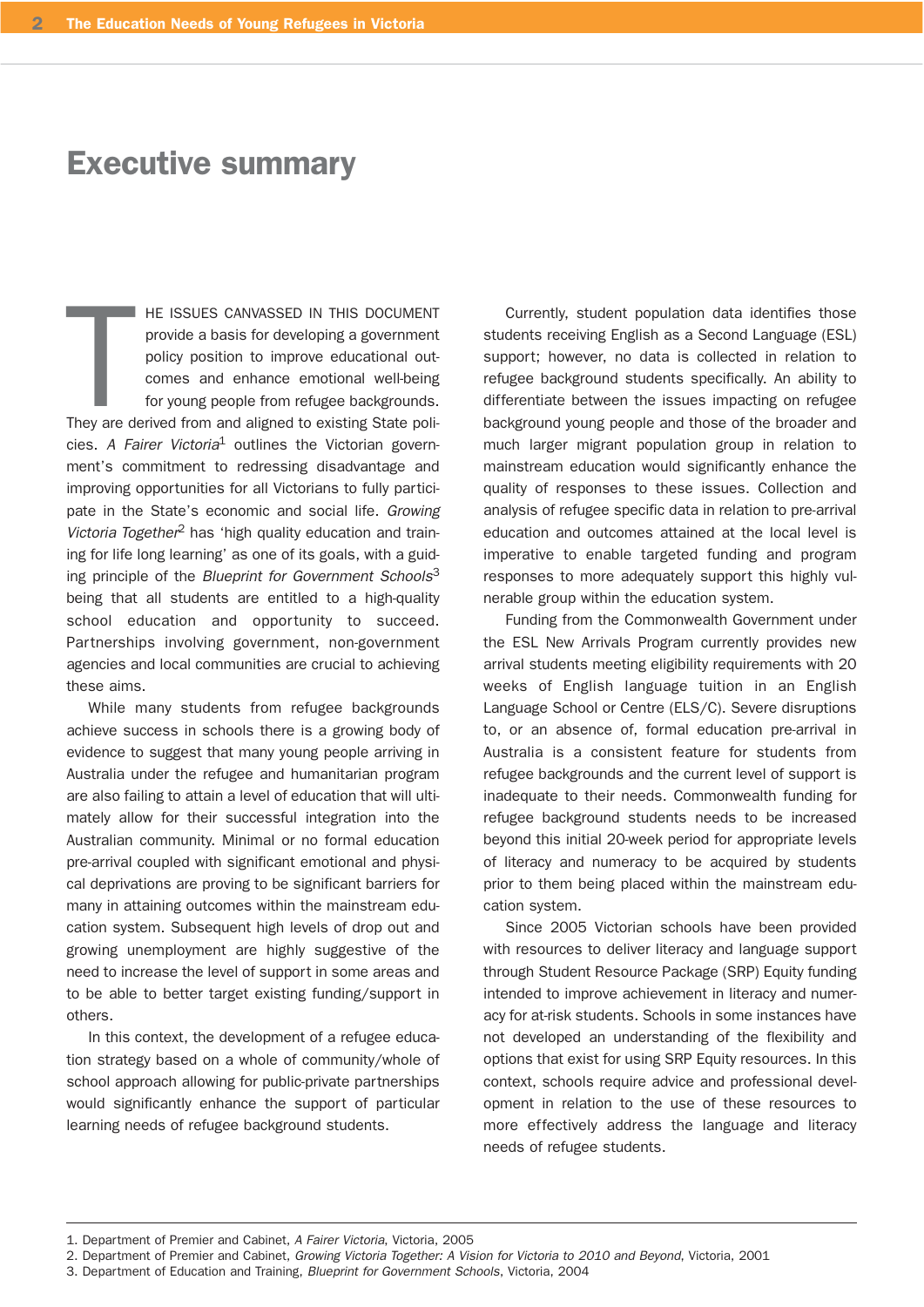# Executive summary

HE ISSUES CANVASSED IN THIS DOCUMENT<br>provide a basis for developing a government<br>policy position to improve educational out-<br>comes and enhance emotional well-being<br>for young people from refugee backgrounds.<br>They are derive HE ISSUES CANVASSED IN THIS DOCUMENT provide a basis for developing a government policy position to improve educational outcomes and enhance emotional well-being for young people from refugee backgrounds. cies. A Fairer Victoria<sup>1</sup> outlines the Victorian government's commitment to redressing disadvantage and improving opportunities for all Victorians to fully participate in the State's economic and social life. Growing Victoria Together<sup>2</sup> has 'high quality education and training for life long learning' as one of its goals, with a guiding principle of the Blueprint for Government Schools<sup>3</sup> being that all students are entitled to a high-quality school education and opportunity to succeed. Partnerships involving government, non-government agencies and local communities are crucial to achieving these aims.

While many students from refugee backgrounds achieve success in schools there is a growing body of evidence to suggest that many young people arriving in Australia under the refugee and humanitarian program are also failing to attain a level of education that will ultimately allow for their successful integration into the Australian community. Minimal or no formal education pre-arrival coupled with significant emotional and physical deprivations are proving to be significant barriers for many in attaining outcomes within the mainstream education system. Subsequent high levels of drop out and growing unemployment are highly suggestive of the need to increase the level of support in some areas and to be able to better target existing funding/support in others.

In this context, the development of a refugee education strategy based on a whole of community/whole of school approach allowing for public-private partnerships would significantly enhance the support of particular learning needs of refugee background students.

Currently, student population data identifies those students receiving English as a Second Language (ESL) support; however, no data is collected in relation to refugee background students specifically. An ability to differentiate between the issues impacting on refugee background young people and those of the broader and much larger migrant population group in relation to mainstream education would significantly enhance the quality of responses to these issues. Collection and analysis of refugee specific data in relation to pre-arrival education and outcomes attained at the local level is imperative to enable targeted funding and program responses to more adequately support this highly vulnerable group within the education system.

Funding from the Commonwealth Government under the ESL New Arrivals Program currently provides new arrival students meeting eligibility requirements with 20 weeks of English language tuition in an English Language School or Centre (ELS/C). Severe disruptions to, or an absence of, formal education pre-arrival in Australia is a consistent feature for students from refugee backgrounds and the current level of support is inadequate to their needs. Commonwealth funding for refugee background students needs to be increased beyond this initial 20-week period for appropriate levels of literacy and numeracy to be acquired by students prior to them being placed within the mainstream education system.

Since 2005 Victorian schools have been provided with resources to deliver literacy and language support through Student Resource Package (SRP) Equity funding intended to improve achievement in literacy and numeracy for at-risk students. Schools in some instances have not developed an understanding of the flexibility and options that exist for using SRP Equity resources. In this context, schools require advice and professional development in relation to the use of these resources to more effectively address the language and literacy needs of refugee students.

2. Department of Premier and Cabinet, Growing Victoria Together: A Vision for Victoria to 2010 and Beyond, Victoria, 2001

<sup>1.</sup> Department of Premier and Cabinet, A Fairer Victoria, Victoria, 2005

<sup>3.</sup> Department of Education and Training, Blueprint for Government Schools, Victoria, 2004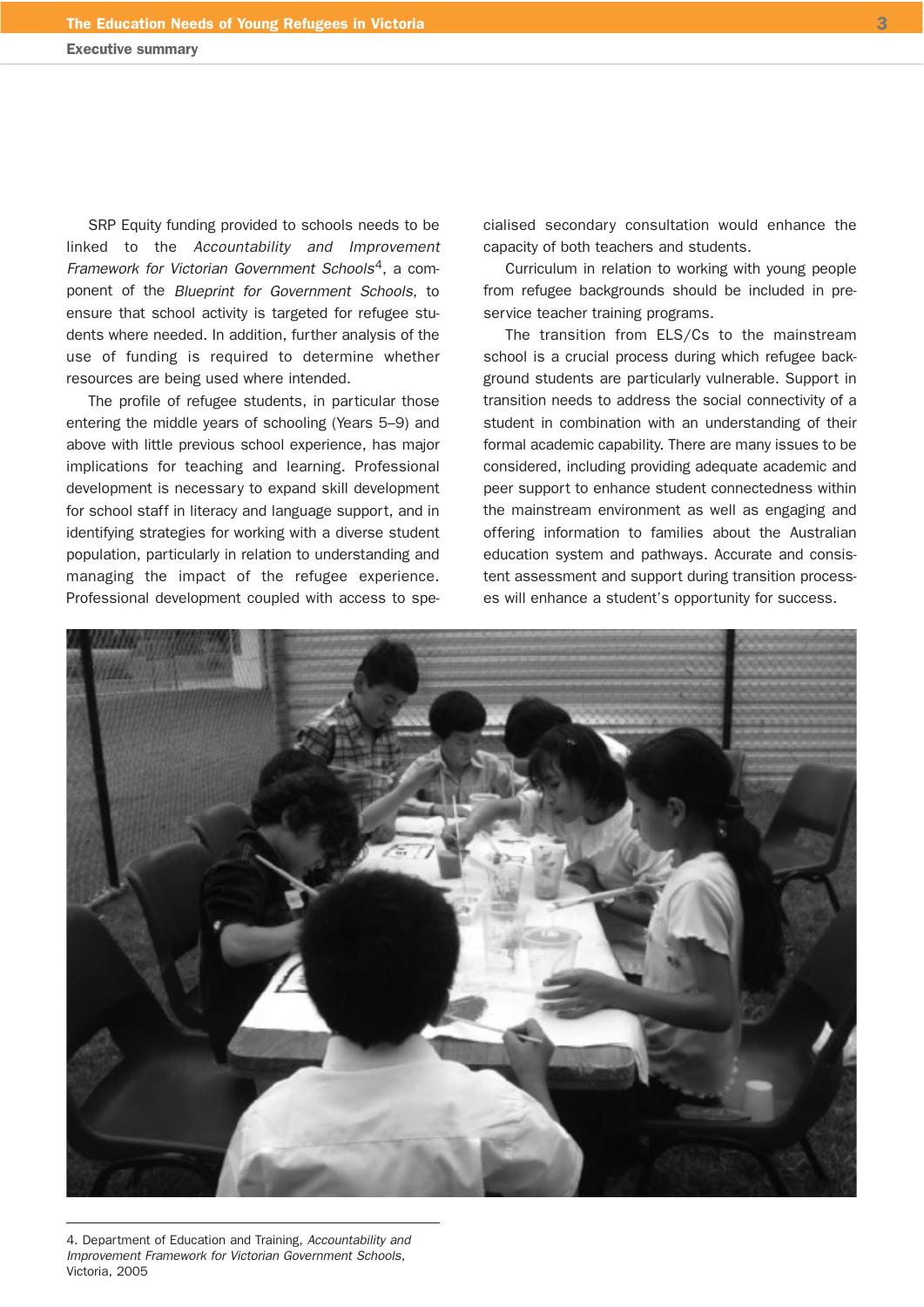SRP Equity funding provided to schools needs to be linked to the Accountability and Improvement Framework for Victorian Government Schools<sup>4</sup>, a component of the Blueprint for Government Schools, to ensure that school activity is targeted for refugee students where needed. In addition, further analysis of the use of funding is required to determine whether resources are being used where intended.

The profile of refugee students, in particular those entering the middle years of schooling (Years 5–9) and above with little previous school experience, has major implications for teaching and learning. Professional development is necessary to expand skill development for school staff in literacy and language support, and in identifying strategies for working with a diverse student population, particularly in relation to understanding and managing the impact of the refugee experience. Professional development coupled with access to specialised secondary consultation would enhance the capacity of both teachers and students.

Curriculum in relation to working with young people from refugee backgrounds should be included in preservice teacher training programs.

The transition from ELS/Cs to the mainstream school is a crucial process during which refugee background students are particularly vulnerable. Support in transition needs to address the social connectivity of a student in combination with an understanding of their formal academic capability. There are many issues to be considered, including providing adequate academic and peer support to enhance student connectedness within the mainstream environment as well as engaging and offering information to families about the Australian education system and pathways. Accurate and consistent assessment and support during transition processes will enhance a student's opportunity for success.



4. Department of Education and Training, Accountability and Improvement Framework for Victorian Government Schools, Victoria, 2005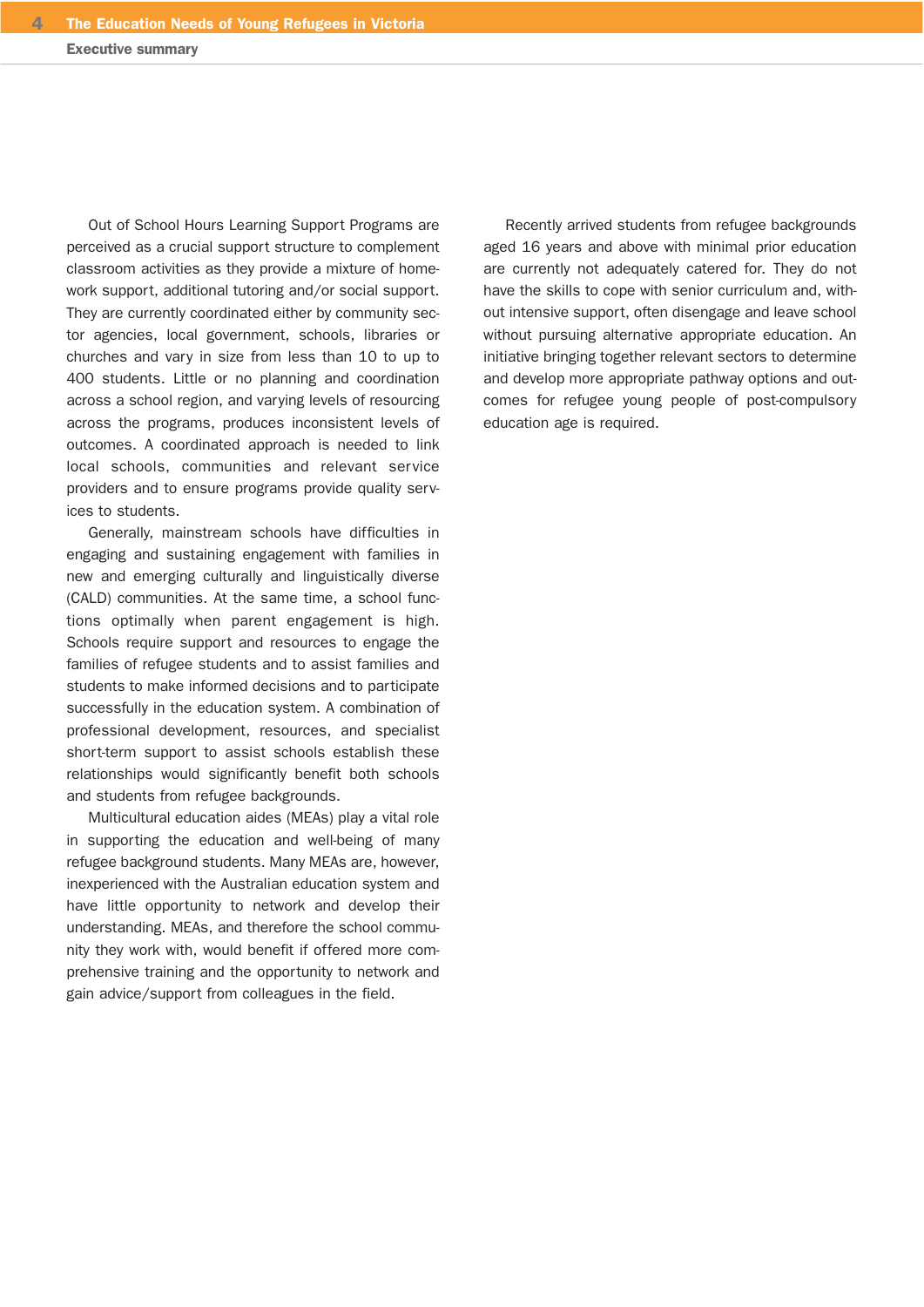Out of School Hours Learning Support Programs are perceived as a crucial support structure to complement classroom activities as they provide a mixture of homework support, additional tutoring and/or social support. They are currently coordinated either by community sector agencies, local government, schools, libraries or churches and vary in size from less than 10 to up to 400 students. Little or no planning and coordination across a school region, and varying levels of resourcing across the programs, produces inconsistent levels of outcomes. A coordinated approach is needed to link local schools, communities and relevant service providers and to ensure programs provide quality services to students.

Generally, mainstream schools have difficulties in engaging and sustaining engagement with families in new and emerging culturally and linguistically diverse (CALD) communities. At the same time, a school functions optimally when parent engagement is high. Schools require support and resources to engage the families of refugee students and to assist families and students to make informed decisions and to participate successfully in the education system. A combination of professional development, resources, and specialist short-term support to assist schools establish these relationships would significantly benefit both schools and students from refugee backgrounds.

Multicultural education aides (MEAs) play a vital role in supporting the education and well-being of many refugee background students. Many MEAs are, however, inexperienced with the Australian education system and have little opportunity to network and develop their understanding. MEAs, and therefore the school community they work with, would benefit if offered more comprehensive training and the opportunity to network and gain advice/support from colleagues in the field.

Recently arrived students from refugee backgrounds aged 16 years and above with minimal prior education are currently not adequately catered for. They do not have the skills to cope with senior curriculum and, without intensive support, often disengage and leave school without pursuing alternative appropriate education. An initiative bringing together relevant sectors to determine and develop more appropriate pathway options and outcomes for refugee young people of post-compulsory education age is required.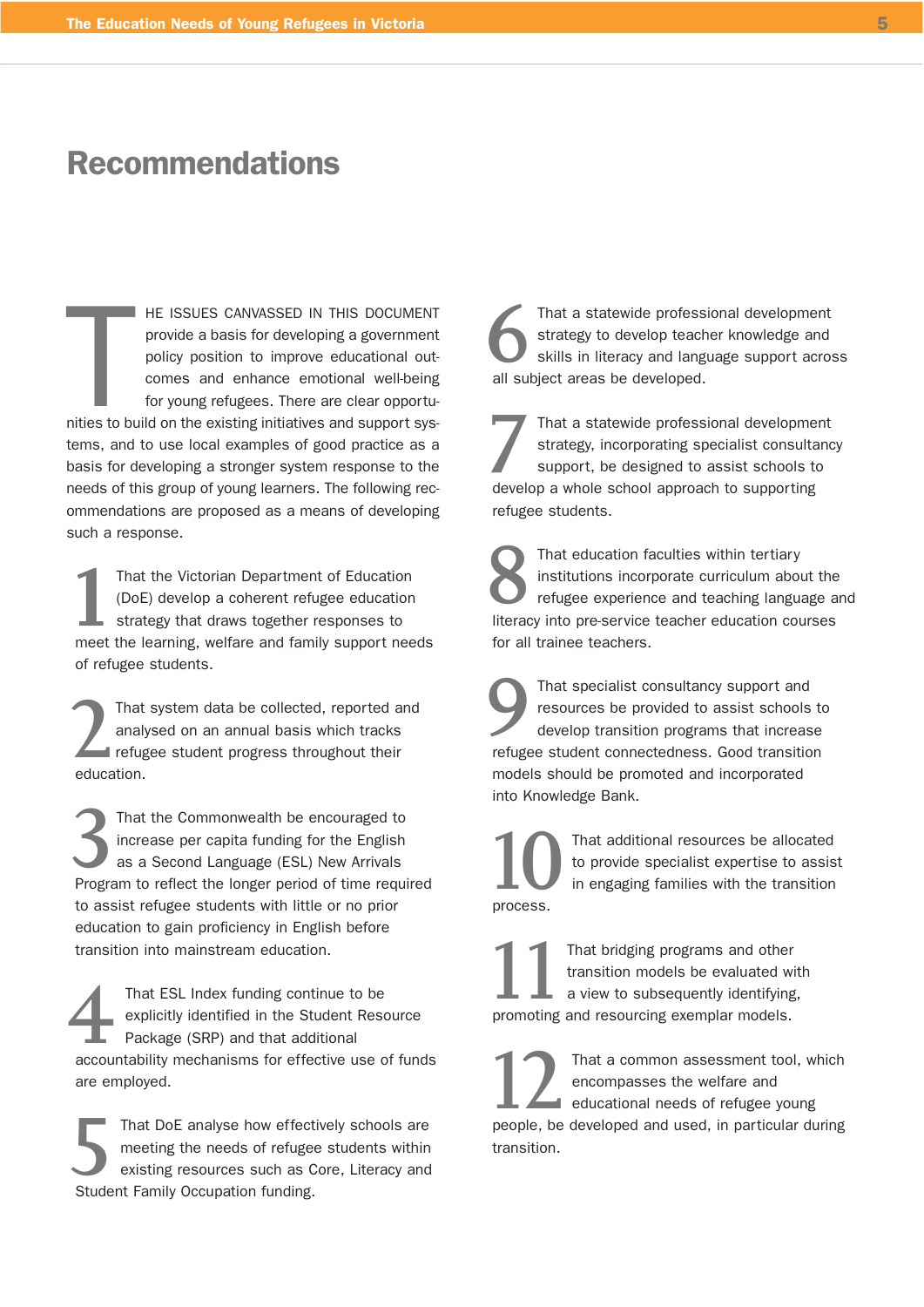# Recommendations

HE ISSUES CANVASSED IN THIS DOCUMENT<br>provide a basis for developing a government<br>policy position to improve educational out-<br>comes and enhance emotional well-being<br>for young refugees. There are clear opportu-<br>nities to bui HE ISSUES CANVASSED IN THIS DOCUMENT provide a basis for developing a government policy position to improve educational outcomes and enhance emotional well-being for young refugees. There are clear opportutems, and to use local examples of good practice as a basis for developing a stronger system response to the needs of this group of young learners. The following recommendations are proposed as a means of developing such a response.

That the Victorian Department of Education<br>
(DoE) develop a coherent refugee education<br>
strategy that draws together responses to<br>
meet the learning, welfare and family support needs (DoE) develop a coherent refugee education strategy that draws together responses to of refugee students.

**2**That system data be collected, reported and analysed on an annual basis which tracks refugee student progress throughout their education.

That the Commonwealth be encouraged to increase per capita funding for the English as a Second Language (ESL) New Arrivals Program to reflect the longer period of time requ increase per capita funding for the English as a Second Language (ESL) New Arrivals Program to reflect the longer period of time required to assist refugee students with little or no prior education to gain proficiency in English before transition into mainstream education.

That ESL Index funding continue to be<br>explicitly identified in the Student Resource<br>Package (SRP) and that additional<br>accountability mechanisms for effective use of funds explicitly identified in the Student Resource Package (SRP) and that additional are employed.

That DoE analyse how effectively schools are<br>meeting the needs of refugee students within<br>existing resources such as Core, Literacy and<br>Student Family Occupation funding. meeting the needs of refugee students within existing resources such as Core, Literacy and Student Family Occupation funding.

**6**That a statewide professional development strategy to develop teacher knowledge and skills in literacy and language support across all subject areas be developed.

That a statewide professional development<br>strategy, incorporating specialist consultane<br>support, be designed to assist schools to<br>develop a whole school approach to supporting strategy, incorporating specialist consultancy support, be designed to assist schools to refugee students.

That education faculties within tertiary<br>institutions incorporate curriculum about the<br>refugee experience and teaching language<br>iteracy into pre-service teacher education courses institutions incorporate curriculum about the refugee experience and teaching language and for all trainee teachers.

That specialist consultancy support and<br>resources be provided to assist schools t<br>develop transition programs that increase<br>refugee student connectedness. Good transition resources be provided to assist schools to develop transition programs that increase models should be promoted and incorporated into Knowledge Bank.

That additional resources be allocated<br>to provide specialist expertise to assis<br>in engaging families with the transition<br>process. to provide specialist expertise to assist in engaging families with the transition process.

That bridging programs and other<br>transition models be evaluated w<br>a view to subsequently identifying<br>promoting and resourcing exemplar models. transition models be evaluated with a view to subsequently identifying,

That a common assessment tool, which<br>
encompasses the welfare and<br>
educational needs of refugee young<br>
people, be developed and used, in particular during encompasses the welfare and educational needs of refugee young transition.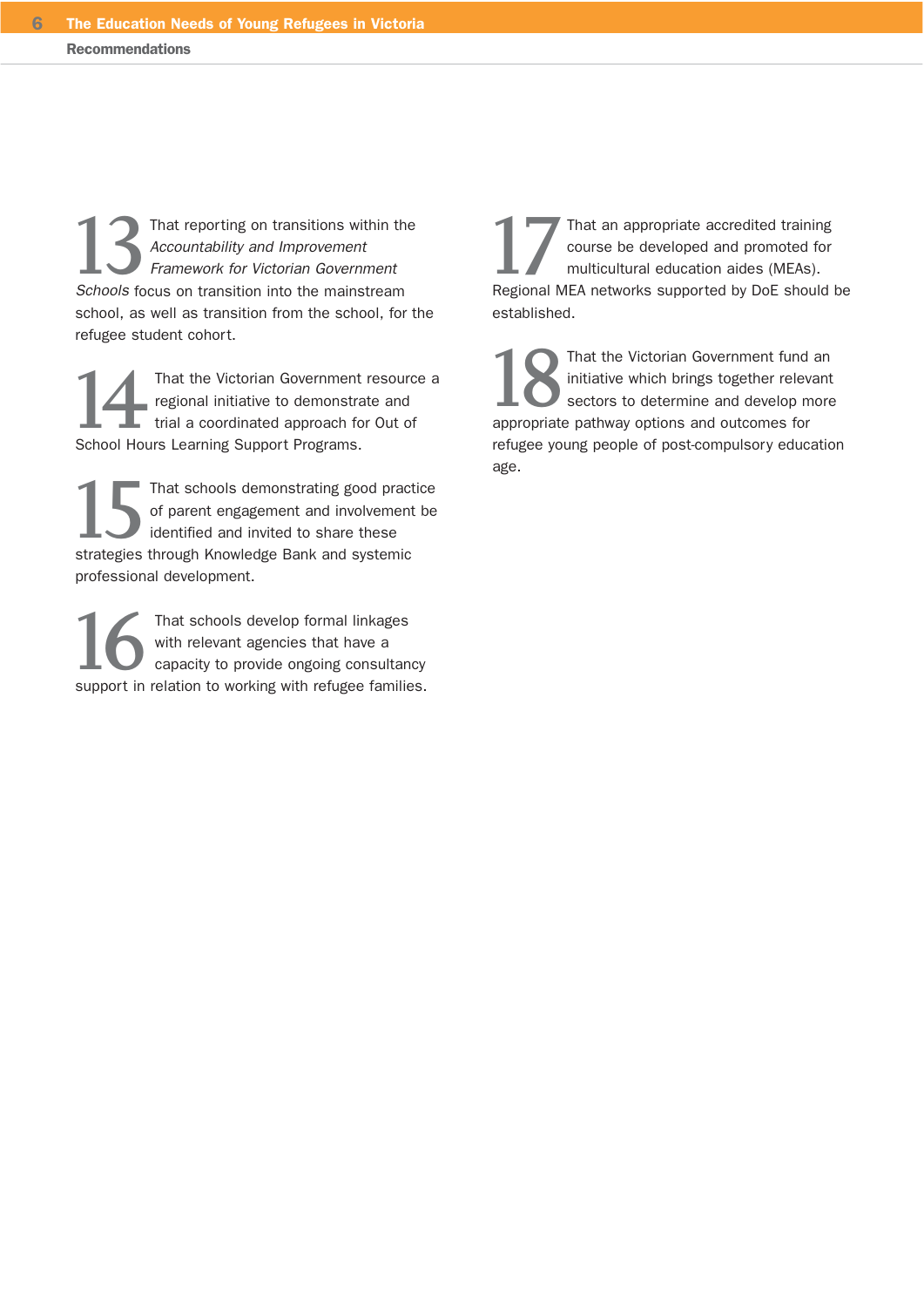That reporting on transitions within the<br>Accountability and Improvement<br>Schools focus on transition into the mainstream Accountability and Improvement Framework for Victorian Government school, as well as transition from the school, for the refugee student cohort.

That the Victorian Government resource a regional initiative to demonstrate and trial a coordinated approach for Out of School Hours Learning Support Programs. regional initiative to demonstrate and trial a coordinated approach for Out of

That schools demonstrating good practice<br>
of parent engagement and involvement be<br>
identified and invited to share these<br>
strategies through Knowledge Bank and systemic of parent engagement and involvement be identified and invited to share these professional development.

That schools develop formal linkages<br>
with relevant agencies that have a<br>
capacity to provide ongoing consultancy<br>
support in relation to working with refugee families. with relevant agencies that have a capacity to provide ongoing consultancy That an appropriate accredited training<br>
course be developed and promoted for<br>
multicultural education aides (MEAs).<br>
Regional MEA networks supported by DoE should be course be developed and promoted for multicultural education aides (MEAs). established.

That the Victorian Government fund an initiative which brings together relevant sectors to determine and develop more appropriate pathway options and outcomes for initiative which brings together relevant sectors to determine and develop more refugee young people of post-compulsory education age.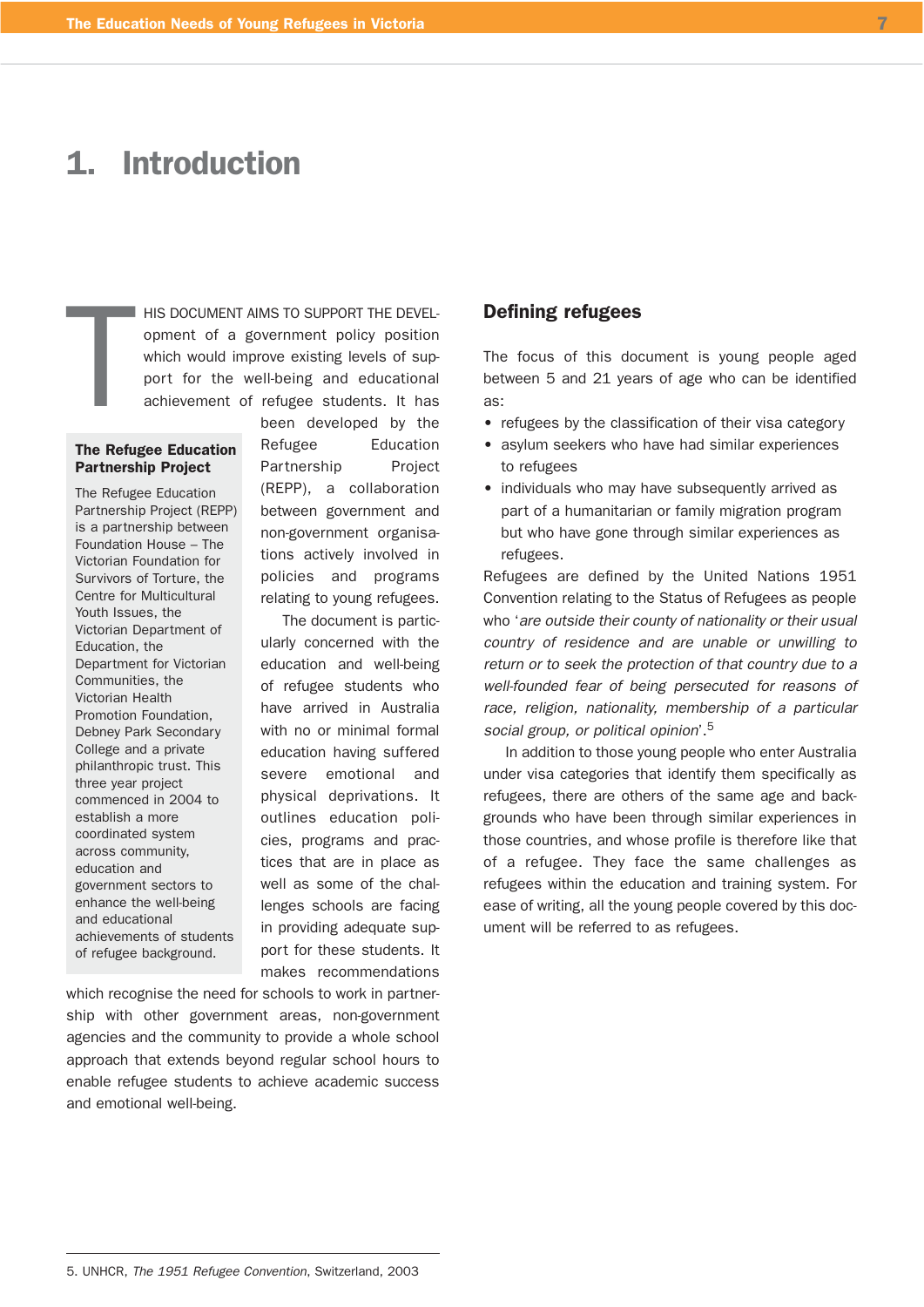# 1. Introduction

HIS DOCUMENT AIMS TO SUPPORT THE DEVELopment of a government policy position which would improve existing levels of support for the well-being and educational achievement of refugee students. It has

#### The Refugee Education Partnership Project

T

The Refugee Education Partnership Project (REPP) is a partnership between Foundation House – The Victorian Foundation for Survivors of Torture, the Centre for Multicultural Youth Issues, the Victorian Department of Education, the Department for Victorian Communities, the Victorian Health Promotion Foundation, Debney Park Secondary College and a private philanthropic trust. This three year project commenced in 2004 to establish a more coordinated system across community, education and government sectors to enhance the well-being and educational achievements of students of refugee background.

been developed by the Refugee Education Partnership Project (REPP), a collaboration between government and non-government organisations actively involved in policies and programs relating to young refugees.

The document is particularly concerned with the education and well-being of refugee students who have arrived in Australia with no or minimal formal education having suffered severe emotional and physical deprivations. It outlines education policies, programs and practices that are in place as well as some of the challenges schools are facing in providing adequate support for these students. It makes recommendations

which recognise the need for schools to work in partnership with other government areas, non-government agencies and the community to provide a whole school approach that extends beyond regular school hours to enable refugee students to achieve academic success and emotional well-being.

### Defining refugees

The focus of this document is young people aged between 5 and 21 years of age who can be identified as:

- refugees by the classification of their visa category
- asylum seekers who have had similar experiences to refugees
- individuals who may have subsequently arrived as part of a humanitarian or family migration program but who have gone through similar experiences as refugees.

Refugees are defined by the United Nations 1951 Convention relating to the Status of Refugees as people who 'are outside their county of nationality or their usual country of residence and are unable or unwilling to return or to seek the protection of that country due to a well-founded fear of being persecuted for reasons of race, religion, nationality, membership of a particular social group, or political opinion'.<sup>5</sup>

In addition to those young people who enter Australia under visa categories that identify them specifically as refugees, there are others of the same age and backgrounds who have been through similar experiences in those countries, and whose profile is therefore like that of a refugee. They face the same challenges as refugees within the education and training system. For ease of writing, all the young people covered by this document will be referred to as refugees.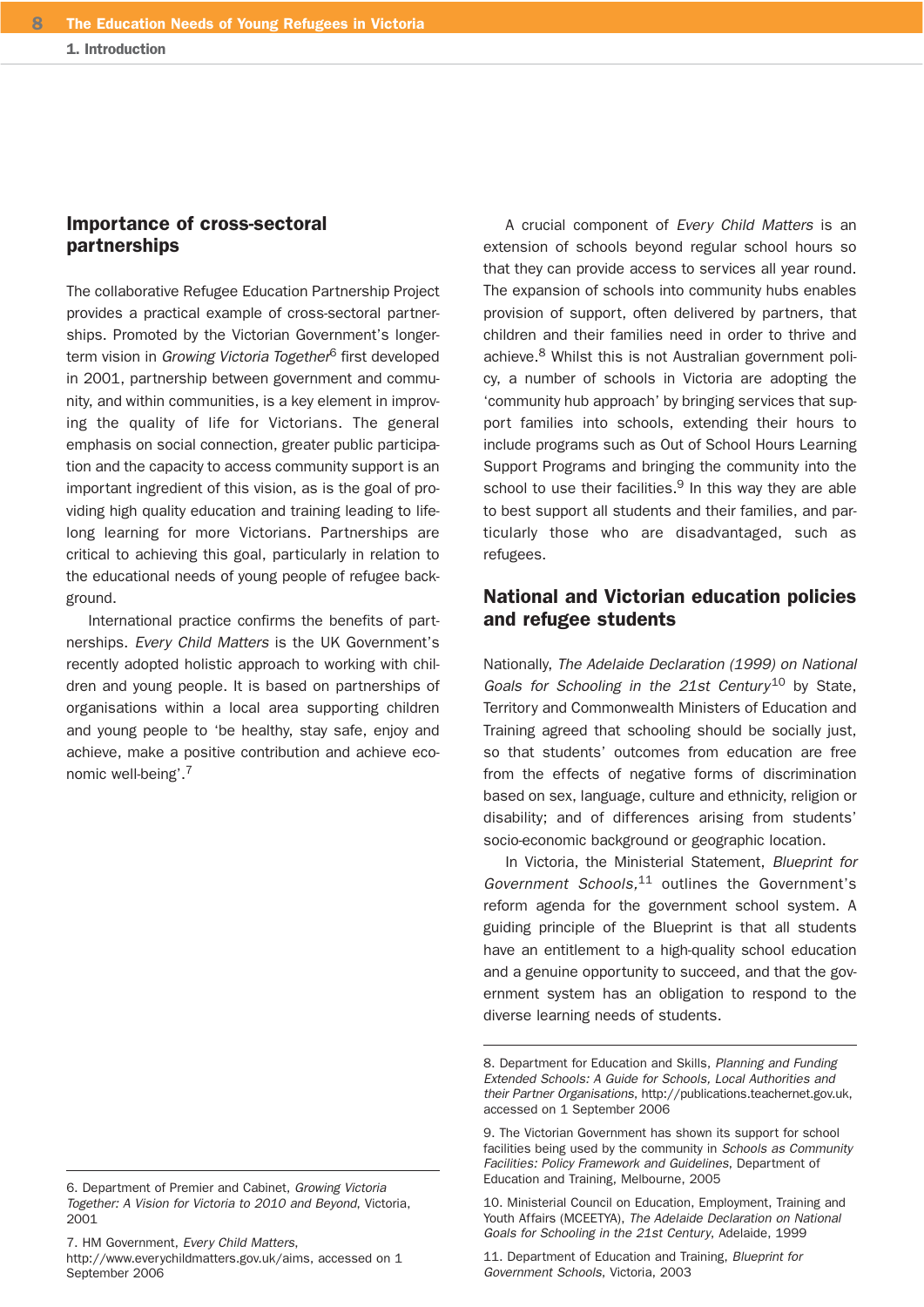1. Introduction

## Importance of cross-sectoral partnerships

The collaborative Refugee Education Partnership Project provides a practical example of cross-sectoral partnerships. Promoted by the Victorian Government's longerterm vision in Growing Victoria Together<sup>6</sup> first developed in 2001, partnership between government and community, and within communities, is a key element in improving the quality of life for Victorians. The general emphasis on social connection, greater public participation and the capacity to access community support is an important ingredient of this vision, as is the goal of providing high quality education and training leading to lifelong learning for more Victorians. Partnerships are critical to achieving this goal, particularly in relation to the educational needs of young people of refugee background.

International practice confirms the benefits of partnerships. Every Child Matters is the UK Government's recently adopted holistic approach to working with children and young people. It is based on partnerships of organisations within a local area supporting children and young people to 'be healthy, stay safe, enjoy and achieve, make a positive contribution and achieve economic well-being'.7

6. Department of Premier and Cabinet, Growing Victoria Together: A Vision for Victoria to 2010 and Beyond, Victoria, 2001

7. HM Government, Every Child Matters, http://www.everychildmatters.gov.uk/aims, accessed on 1 September 2006

A crucial component of Every Child Matters is an extension of schools beyond regular school hours so that they can provide access to services all year round. The expansion of schools into community hubs enables provision of support, often delivered by partners, that children and their families need in order to thrive and achieve.8 Whilst this is not Australian government policy, a number of schools in Victoria are adopting the 'community hub approach' by bringing services that support families into schools, extending their hours to include programs such as Out of School Hours Learning Support Programs and bringing the community into the school to use their facilities.<sup>9</sup> In this way they are able to best support all students and their families, and particularly those who are disadvantaged, such as refugees.

# National and Victorian education policies and refugee students

Nationally, The Adelaide Declaration (1999) on National Goals for Schooling in the 21st Century<sup>10</sup> by State, Territory and Commonwealth Ministers of Education and Training agreed that schooling should be socially just, so that students' outcomes from education are free from the effects of negative forms of discrimination based on sex, language, culture and ethnicity, religion or disability; and of differences arising from students' socio-economic background or geographic location.

In Victoria, the Ministerial Statement, Blueprint for Government Schools,<sup>11</sup> outlines the Government's reform agenda for the government school system. A guiding principle of the Blueprint is that all students have an entitlement to a high-quality school education and a genuine opportunity to succeed, and that the government system has an obligation to respond to the diverse learning needs of students.

11. Department of Education and Training, Blueprint for Government Schools, Victoria, 2003

<sup>8.</sup> Department for Education and Skills, Planning and Funding Extended Schools: A Guide for Schools, Local Authorities and their Partner Organisations, http://publications.teachernet.gov.uk, accessed on 1 September 2006

<sup>9.</sup> The Victorian Government has shown its support for school facilities being used by the community in Schools as Community Facilities: Policy Framework and Guidelines, Department of Education and Training, Melbourne, 2005

<sup>10.</sup> Ministerial Council on Education, Employment, Training and Youth Affairs (MCEETYA), The Adelaide Declaration on National Goals for Schooling in the 21st Century, Adelaide, 1999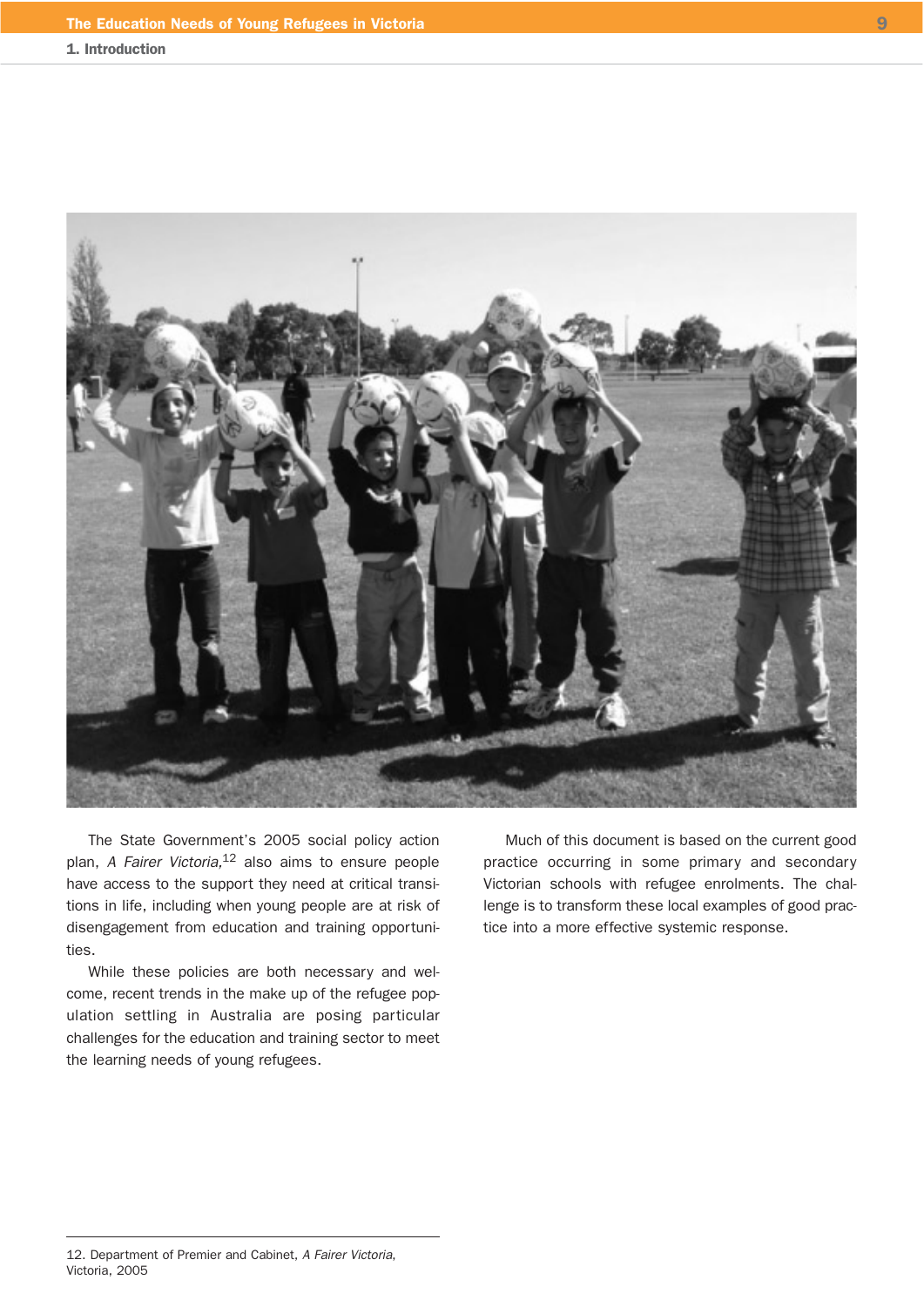

The State Government's 2005 social policy action plan, A Fairer Victoria,<sup>12</sup> also aims to ensure people have access to the support they need at critical transitions in life, including when young people are at risk of disengagement from education and training opportunities.

While these policies are both necessary and welcome, recent trends in the make up of the refugee population settling in Australia are posing particular challenges for the education and training sector to meet the learning needs of young refugees.

Much of this document is based on the current good practice occurring in some primary and secondary Victorian schools with refugee enrolments. The challenge is to transform these local examples of good practice into a more effective systemic response.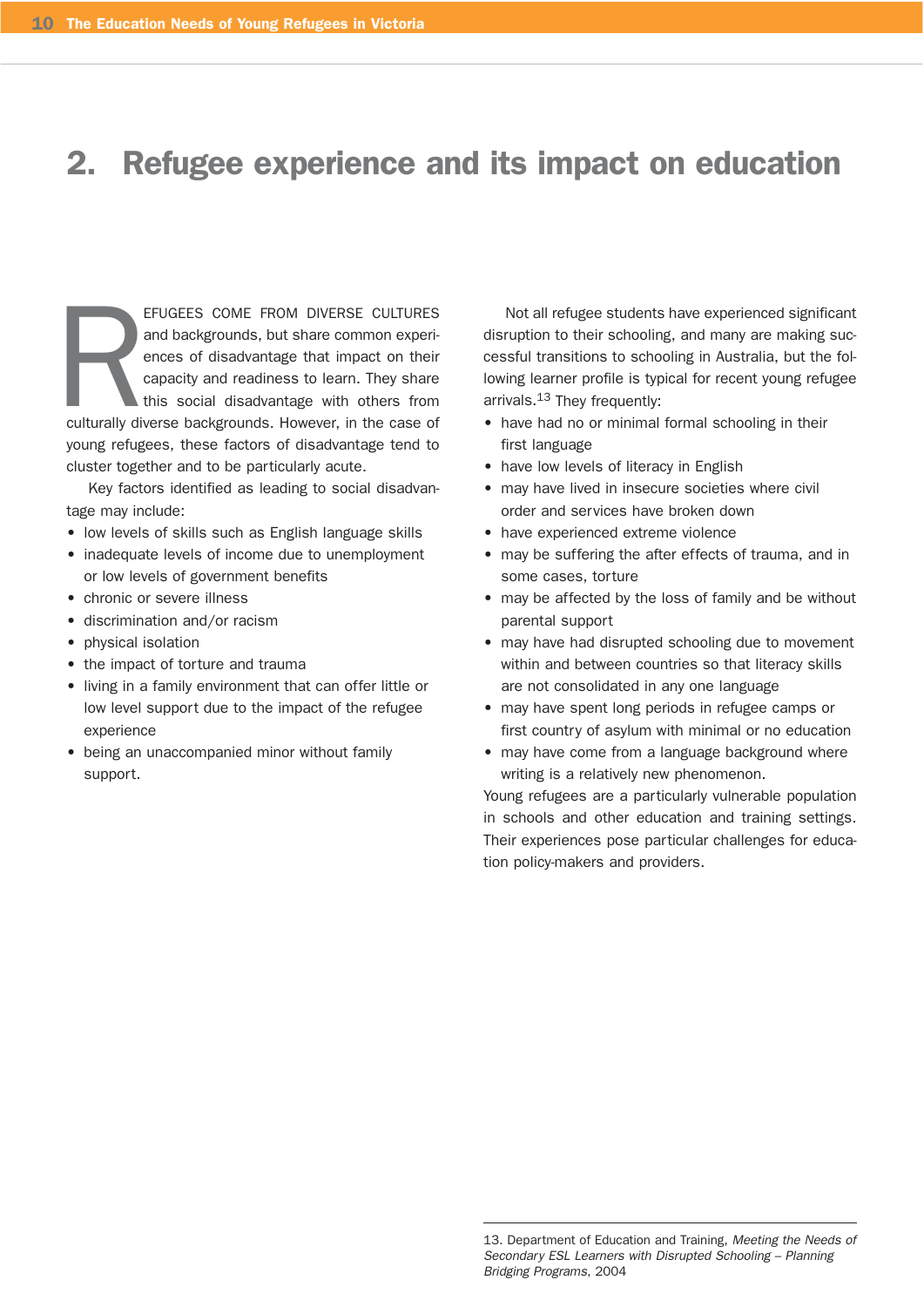# 2. Refugee experience and its impact on education

**Report Continuing Continuing Continuing Continuing Continuing Continuing Continuing Continuing Continuing Continuing Continuing Continuing Continuing Continuing Continuing Continuing Continuing Continuing Continuing Conti** EFUGEES COME FROM DIVERSE CULTURES and backgrounds, but share common experiences of disadvantage that impact on their capacity and readiness to learn. They share this social disadvantage with others from culturally diverse backgrounds. However, in the case of young refugees, these factors of disadvantage tend to cluster together and to be particularly acute.

Key factors identified as leading to social disadvantage may include:

- low levels of skills such as English language skills
- inadequate levels of income due to unemployment or low levels of government benefits
- chronic or severe illness
- discrimination and/or racism
- physical isolation
- the impact of torture and trauma
- living in a family environment that can offer little or low level support due to the impact of the refugee experience
- being an unaccompanied minor without family support.

Not all refugee students have experienced significant disruption to their schooling, and many are making successful transitions to schooling in Australia, but the following learner profile is typical for recent young refugee arrivals.<sup>13</sup> They frequently:

- have had no or minimal formal schooling in their first language
- have low levels of literacy in English
- may have lived in insecure societies where civil order and services have broken down
- have experienced extreme violence
- may be suffering the after effects of trauma, and in some cases, torture
- may be affected by the loss of family and be without parental support
- may have had disrupted schooling due to movement within and between countries so that literacy skills are not consolidated in any one language
- may have spent long periods in refugee camps or first country of asylum with minimal or no education
- may have come from a language background where writing is a relatively new phenomenon.

Young refugees are a particularly vulnerable population in schools and other education and training settings. Their experiences pose particular challenges for education policy-makers and providers.

<sup>13.</sup> Department of Education and Training, Meeting the Needs of Secondary ESL Learners with Disrupted Schooling – Planning Bridging Programs, 2004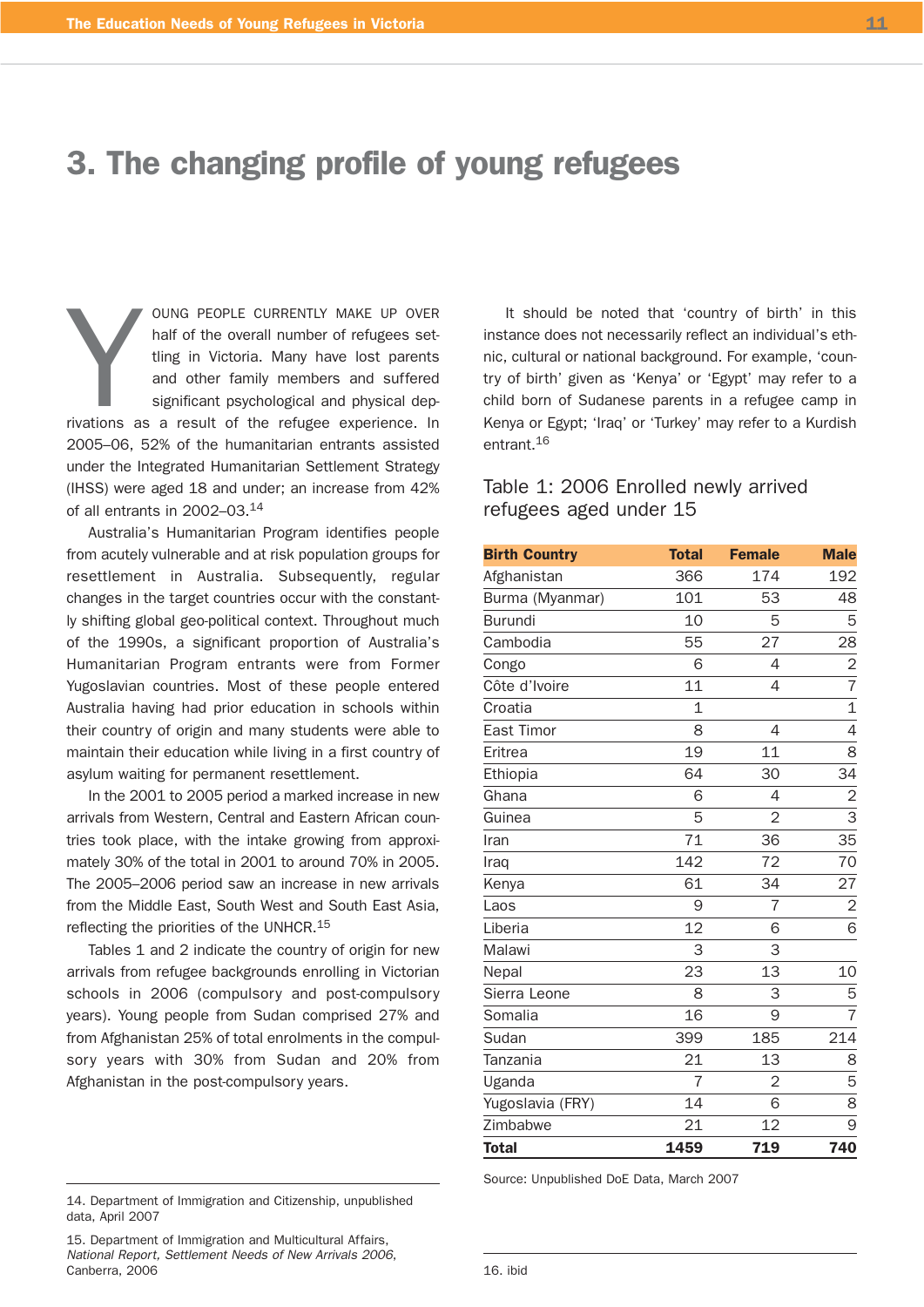# 3. The changing profile of young refugees

OUNG PEOPLE CURRENTLY MAKE UP OVER<br>half of the overall number of refugees set-<br>tiing in Victoria. Many have lost parents<br>and other family members and suffered<br>significant psychological and physical dep-<br>rivations as a resu OUNG PEOPLE CURRENTLY MAKE UP OVER half of the overall number of refugees settling in Victoria. Many have lost parents and other family members and suffered significant psychological and physical dep-2005–06, 52% of the humanitarian entrants assisted under the Integrated Humanitarian Settlement Strategy (IHSS) were aged 18 and under; an increase from 42% of all entrants in 2002–03.14

Australia's Humanitarian Program identifies people from acutely vulnerable and at risk population groups for resettlement in Australia. Subsequently, regular changes in the target countries occur with the constantly shifting global geo-political context. Throughout much of the 1990s, a significant proportion of Australia's Humanitarian Program entrants were from Former Yugoslavian countries. Most of these people entered Australia having had prior education in schools within their country of origin and many students were able to maintain their education while living in a first country of asylum waiting for permanent resettlement.

In the 2001 to 2005 period a marked increase in new arrivals from Western, Central and Eastern African countries took place, with the intake growing from approximately 30% of the total in 2001 to around 70% in 2005. The 2005–2006 period saw an increase in new arrivals from the Middle East, South West and South East Asia, reflecting the priorities of the UNHCR.15

Tables 1 and 2 indicate the country of origin for new arrivals from refugee backgrounds enrolling in Victorian schools in 2006 (compulsory and post-compulsory years). Young people from Sudan comprised 27% and from Afghanistan 25% of total enrolments in the compulsory years with 30% from Sudan and 20% from Afghanistan in the post-compulsory years.

14. Department of Immigration and Citizenship, unpublished data, April 2007

15. Department of Immigration and Multicultural Affairs, National Report, Settlement Needs of New Arrivals 2006, Canberra, 2006 16. ibid

It should be noted that 'country of birth' in this instance does not necessarily reflect an individual's ethnic, cultural or national background. For example, 'country of birth' given as 'Kenya' or 'Egypt' may refer to a child born of Sudanese parents in a refugee camp in Kenya or Egypt; 'Iraq' or 'Turkey' may refer to a Kurdish entrant.16

## Table 1: 2006 Enrolled newly arrived refugees aged under 15

| <b>Birth Country</b> | <b>Total</b>   | <b>Female</b>  | <b>Male</b>               |
|----------------------|----------------|----------------|---------------------------|
| Afghanistan          | 366            | 174            | 192                       |
| Burma (Myanmar)      | 101            | 53             | 48                        |
| Burundi              | 10             | 5              | 5                         |
| Cambodia             | 55             | 27             | 28                        |
| Congo                | 6              | 4              | $\frac{2}{7}$             |
| Côte d'Ivoire        | 11             | 4              |                           |
| Croatia              | $\overline{1}$ |                | $\overline{1}$            |
| East Timor           | 8              | 4              | 4                         |
| Eritrea              | 19             | 11             | 8                         |
| Ethiopia             | 64             | 30             | 34                        |
| Ghana                | 6              | 4              | $\overline{\mathbf{c}}$   |
| Guinea               | 5              | $\overline{2}$ | $\overline{\overline{3}}$ |
| Iran                 | 71             | 36             | 35                        |
| Iraq                 | 142            | 72             | 70                        |
| Kenya                | 61             | 34             | 27                        |
| Laos                 | 9              | $\overline{7}$ | $\frac{2}{6}$             |
| Liberia              | 12             | 6              |                           |
| Malawi               | 3              | 3              |                           |
| Nepal                | 23             | 13             | 10                        |
| Sierra Leone         | 8              | 3              | 5                         |
| Somalia              | 16             | 9              | $\overline{7}$            |
| Sudan                | 399            | 185            | 214                       |
| Tanzania             | 21             | 13             | 8                         |
| Uganda               | $\overline{7}$ | $\overline{2}$ | 5                         |
| Yugoslavia (FRY)     | 14             | 6              | 8                         |
| Zimbabwe             | 21             | 12             | 9                         |
| <b>Total</b>         | 1459           | 719            | 740                       |

Source: Unpublished DoE Data, March 2007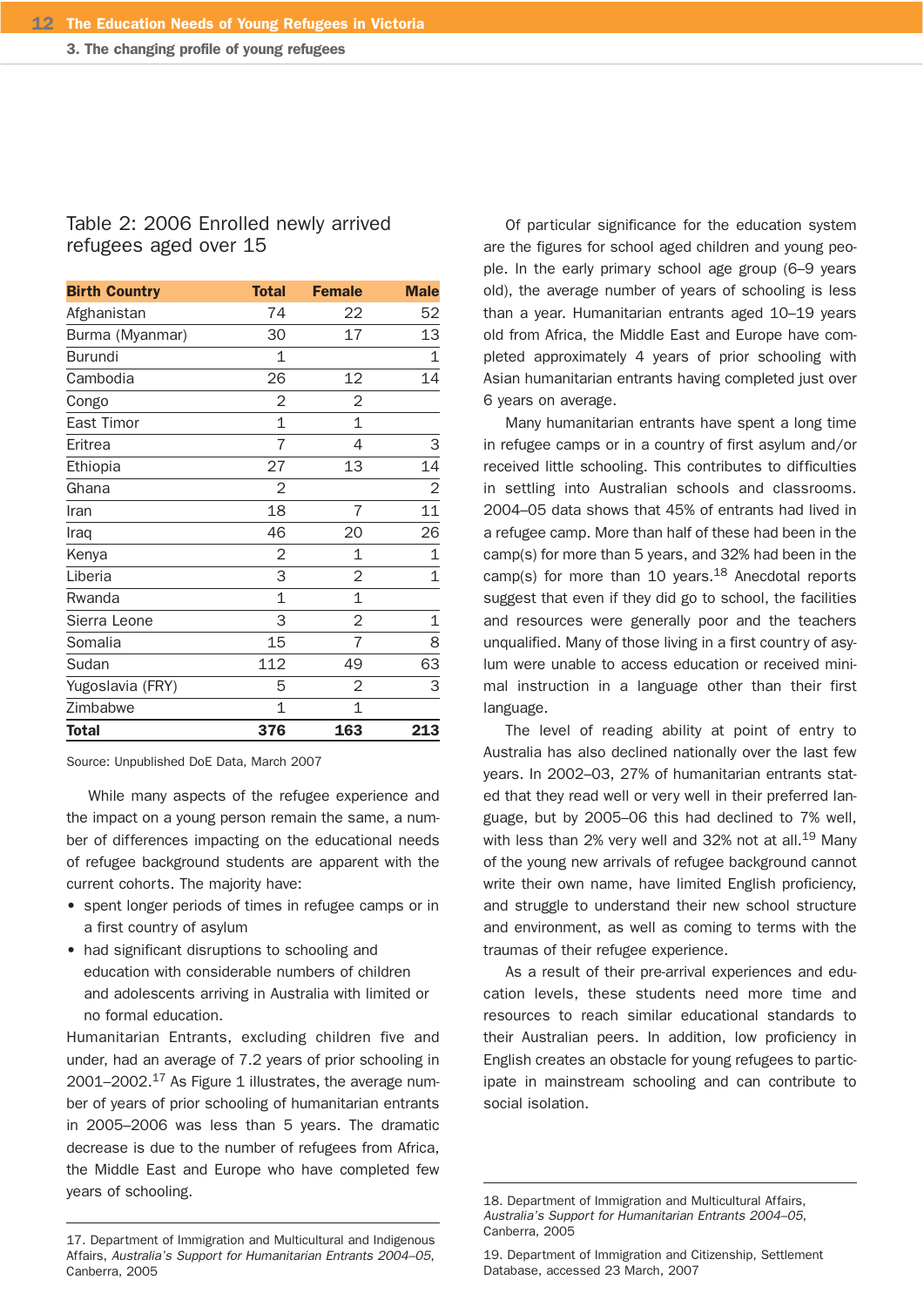## Table 2: 2006 Enrolled newly arrived refugees aged over 15

| <b>Birth Country</b> | <b>Total</b>   | <b>Female</b>  | <b>Male</b>    |
|----------------------|----------------|----------------|----------------|
| Afghanistan          | 74             | 22             | 52             |
| Burma (Myanmar)      | 30             | 17             | 13             |
| Burundi              | 1              |                | 1              |
| Cambodia             | 26             | 12             | 14             |
| Congo                | 2              | $\overline{2}$ |                |
| East Timor           | 1              | 1              |                |
| Eritrea              | 7              | 4              | 3              |
| Ethiopia             | 27             | 13             | 14             |
| Ghana                | $\overline{2}$ |                | $\overline{2}$ |
| Iran                 | 18             | 7              | 11             |
| Iraq                 | 46             | 20             | 26             |
| Kenya                | 2              | 1              | 1              |
| Liberia              | 3              | $\overline{2}$ | $\mathbf 1$    |
| Rwanda               | 1              | 1              |                |
| Sierra Leone         | 3              | 2              | 1              |
| Somalia              | 15             | 7              | 8              |
| Sudan                | 112            | 49             | 63             |
| Yugoslavia (FRY)     | 5              | $\overline{2}$ | 3              |
| Zimbabwe             | 1              | 1              |                |
| <b>Total</b>         | 376            | 163            | 213            |

Source: Unpublished DoE Data, March 2007

While many aspects of the refugee experience and the impact on a young person remain the same, a number of differences impacting on the educational needs of refugee background students are apparent with the current cohorts. The majority have:

- spent longer periods of times in refugee camps or in a first country of asylum
- had significant disruptions to schooling and education with considerable numbers of children and adolescents arriving in Australia with limited or no formal education.

Humanitarian Entrants, excluding children five and under, had an average of 7.2 years of prior schooling in 2001–2002.<sup>17</sup> As Figure 1 illustrates, the average number of years of prior schooling of humanitarian entrants in 2005–2006 was less than 5 years. The dramatic decrease is due to the number of refugees from Africa, the Middle East and Europe who have completed few years of schooling.

17. Department of Immigration and Multicultural and Indigenous Affairs, Australia's Support for Humanitarian Entrants 2004–05, Canberra, 2005

Of particular significance for the education system are the figures for school aged children and young people. In the early primary school age group (6–9 years old), the average number of years of schooling is less than a year. Humanitarian entrants aged 10–19 years old from Africa, the Middle East and Europe have completed approximately 4 years of prior schooling with Asian humanitarian entrants having completed just over 6 years on average.

Many humanitarian entrants have spent a long time in refugee camps or in a country of first asylum and/or received little schooling. This contributes to difficulties in settling into Australian schools and classrooms. 2004–05 data shows that 45% of entrants had lived in a refugee camp. More than half of these had been in the camp(s) for more than 5 years, and 32% had been in the camp(s) for more than 10 years.<sup>18</sup> Anecdotal reports suggest that even if they did go to school, the facilities and resources were generally poor and the teachers unqualified. Many of those living in a first country of asylum were unable to access education or received minimal instruction in a language other than their first language.

The level of reading ability at point of entry to Australia has also declined nationally over the last few years. In 2002–03, 27% of humanitarian entrants stated that they read well or very well in their preferred language, but by 2005–06 this had declined to 7% well, with less than 2% very well and 32% not at all.<sup>19</sup> Many of the young new arrivals of refugee background cannot write their own name, have limited English proficiency, and struggle to understand their new school structure and environment, as well as coming to terms with the traumas of their refugee experience.

As a result of their pre-arrival experiences and education levels, these students need more time and resources to reach similar educational standards to their Australian peers. In addition, low proficiency in English creates an obstacle for young refugees to participate in mainstream schooling and can contribute to social isolation.

<sup>18.</sup> Department of Immigration and Multicultural Affairs, Australia's Support for Humanitarian Entrants 2004–05, Canberra, 2005

<sup>19.</sup> Department of Immigration and Citizenship, Settlement Database, accessed 23 March, 2007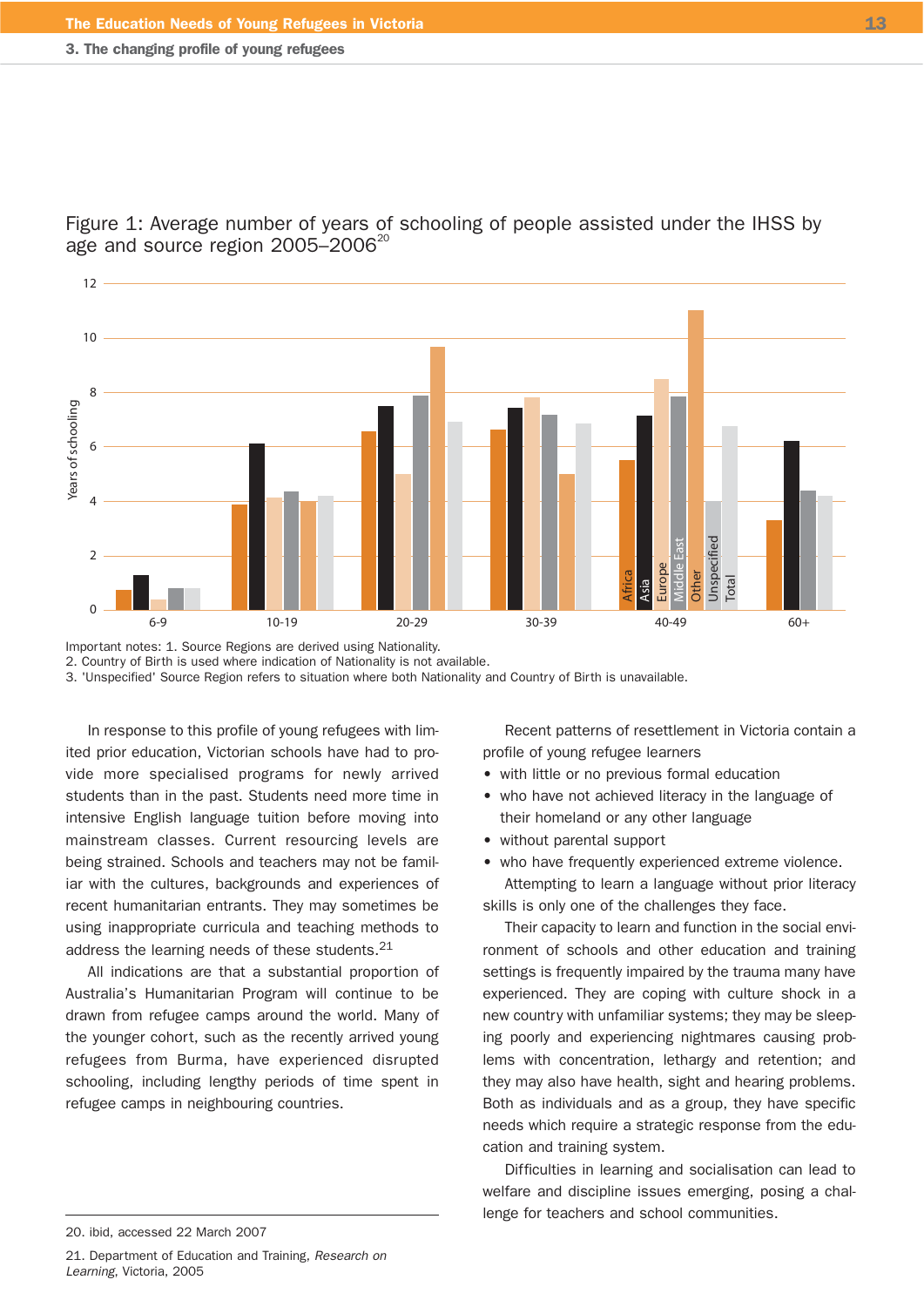

Figure 1: Average number of years of schooling of people assisted under the IHSS by age and source region  $2005-2006^{20}$ 

Important notes: 1. Source Regions are derived using Nationality.

2. Country of Birth is used where indication of Nationality is not available.

3. 'Unspecified' Source Region refers to situation where both Nationality and Country of Birth is unavailable.

In response to this profile of young refugees with limited prior education, Victorian schools have had to provide more specialised programs for newly arrived students than in the past. Students need more time in intensive English language tuition before moving into mainstream classes. Current resourcing levels are being strained. Schools and teachers may not be familiar with the cultures, backgrounds and experiences of recent humanitarian entrants. They may sometimes be using inappropriate curricula and teaching methods to address the learning needs of these students.21

All indications are that a substantial proportion of Australia's Humanitarian Program will continue to be drawn from refugee camps around the world. Many of the younger cohort, such as the recently arrived young refugees from Burma, have experienced disrupted schooling, including lengthy periods of time spent in refugee camps in neighbouring countries.

21. Department of Education and Training, Research on Learning, Victoria, 2005

Recent patterns of resettlement in Victoria contain a profile of young refugee learners

- with little or no previous formal education
- who have not achieved literacy in the language of their homeland or any other language
- without parental support
- who have frequently experienced extreme violence.

Attempting to learn a language without prior literacy skills is only one of the challenges they face.

Their capacity to learn and function in the social environment of schools and other education and training settings is frequently impaired by the trauma many have experienced. They are coping with culture shock in a new country with unfamiliar systems; they may be sleeping poorly and experiencing nightmares causing problems with concentration, lethargy and retention; and they may also have health, sight and hearing problems. Both as individuals and as a group, they have specific needs which require a strategic response from the education and training system.

Difficulties in learning and socialisation can lead to welfare and discipline issues emerging, posing a challenge for teachers and school communities.

<sup>20.</sup> ibid, accessed 22 March 2007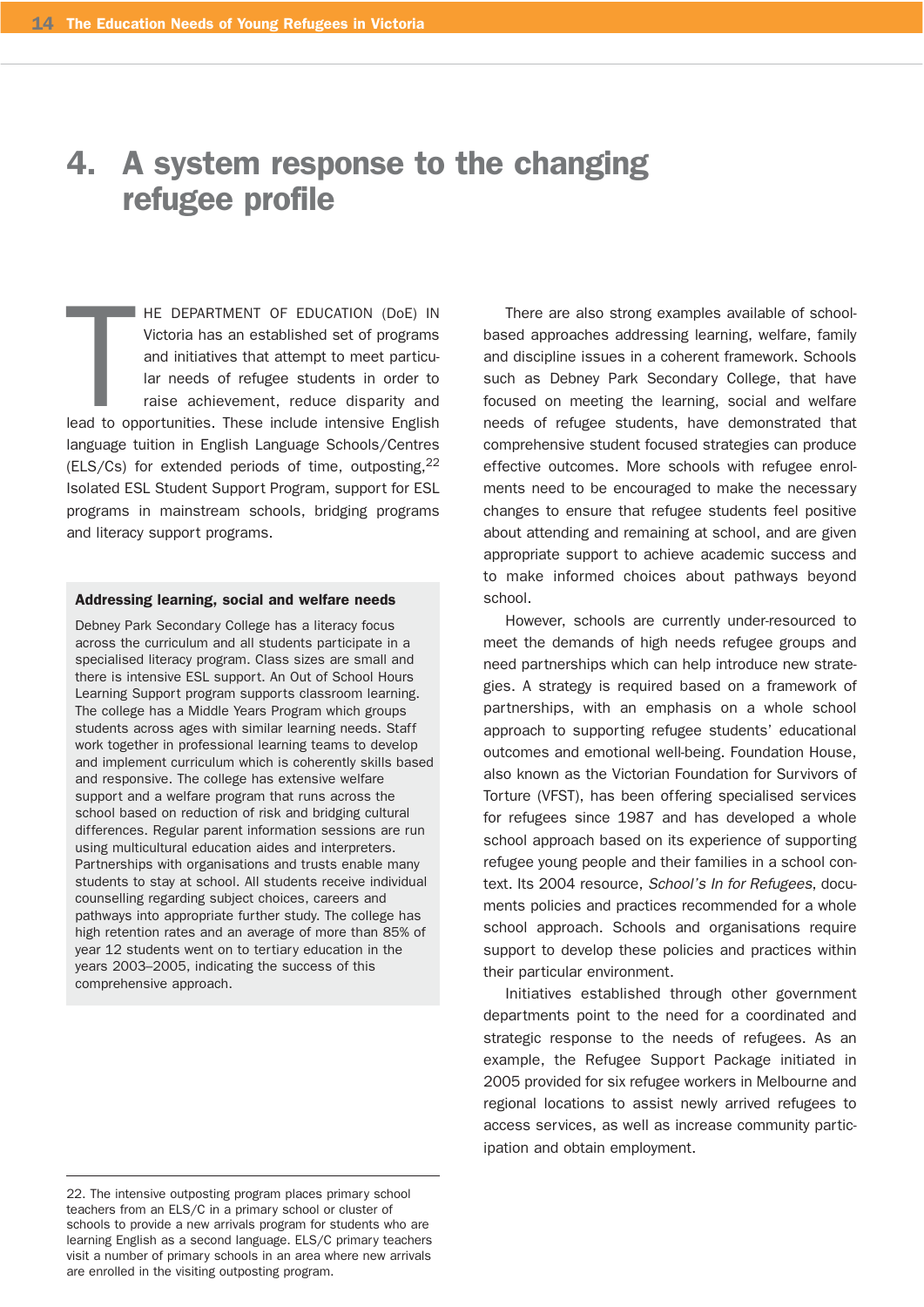# 4. A system response to the changing refugee profile

 $\begin{array}{c}\n\hline\n\end{array}$ <br>
lead to op HE DEPARTMENT OF EDUCATION (DoE) IN Victoria has an established set of programs and initiatives that attempt to meet particular needs of refugee students in order to raise achievement, reduce disparity and lead to opportunities. These include intensive English language tuition in English Language Schools/Centres (ELS/Cs) for extended periods of time, outposting,  $22$ Isolated ESL Student Support Program, support for ESL programs in mainstream schools, bridging programs and literacy support programs.

#### Addressing learning, social and welfare needs

Debney Park Secondary College has a literacy focus across the curriculum and all students participate in a specialised literacy program. Class sizes are small and there is intensive ESL support. An Out of School Hours Learning Support program supports classroom learning. The college has a Middle Years Program which groups students across ages with similar learning needs. Staff work together in professional learning teams to develop and implement curriculum which is coherently skills based and responsive. The college has extensive welfare support and a welfare program that runs across the school based on reduction of risk and bridging cultural differences. Regular parent information sessions are run using multicultural education aides and interpreters. Partnerships with organisations and trusts enable many students to stay at school. All students receive individual counselling regarding subject choices, careers and pathways into appropriate further study. The college has high retention rates and an average of more than 85% of year 12 students went on to tertiary education in the years 2003–2005, indicating the success of this comprehensive approach.

22. The intensive outposting program places primary school teachers from an ELS/C in a primary school or cluster of schools to provide a new arrivals program for students who are learning English as a second language. ELS/C primary teachers visit a number of primary schools in an area where new arrivals are enrolled in the visiting outposting program.

There are also strong examples available of schoolbased approaches addressing learning, welfare, family and discipline issues in a coherent framework. Schools such as Debney Park Secondary College, that have focused on meeting the learning, social and welfare needs of refugee students, have demonstrated that comprehensive student focused strategies can produce effective outcomes. More schools with refugee enrolments need to be encouraged to make the necessary changes to ensure that refugee students feel positive about attending and remaining at school, and are given appropriate support to achieve academic success and to make informed choices about pathways beyond school.

However, schools are currently under-resourced to meet the demands of high needs refugee groups and need partnerships which can help introduce new strategies. A strategy is required based on a framework of partnerships, with an emphasis on a whole school approach to supporting refugee students' educational outcomes and emotional well-being. Foundation House, also known as the Victorian Foundation for Survivors of Torture (VFST), has been offering specialised services for refugees since 1987 and has developed a whole school approach based on its experience of supporting refugee young people and their families in a school context. Its 2004 resource, School's In for Refugees, documents policies and practices recommended for a whole school approach. Schools and organisations require support to develop these policies and practices within their particular environment.

Initiatives established through other government departments point to the need for a coordinated and strategic response to the needs of refugees. As an example, the Refugee Support Package initiated in 2005 provided for six refugee workers in Melbourne and regional locations to assist newly arrived refugees to access services, as well as increase community participation and obtain employment.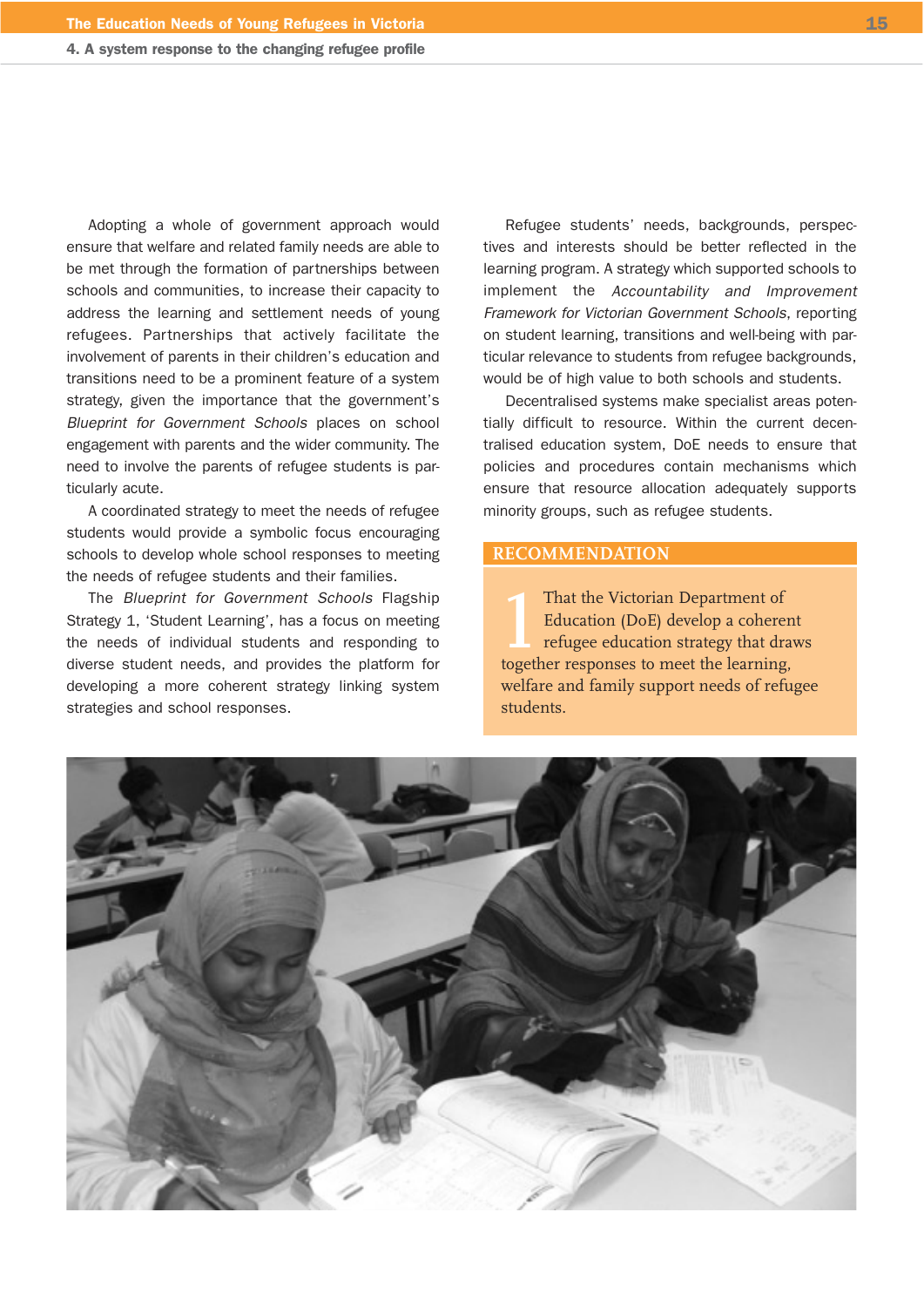Adopting a whole of government approach would ensure that welfare and related family needs are able to be met through the formation of partnerships between schools and communities, to increase their capacity to address the learning and settlement needs of young refugees. Partnerships that actively facilitate the involvement of parents in their children's education and transitions need to be a prominent feature of a system strategy, given the importance that the government's Blueprint for Government Schools places on school engagement with parents and the wider community. The need to involve the parents of refugee students is particularly acute.

A coordinated strategy to meet the needs of refugee students would provide a symbolic focus encouraging schools to develop whole school responses to meeting the needs of refugee students and their families.

The Blueprint for Government Schools Flagship Strategy 1, 'Student Learning', has a focus on meeting the needs of individual students and responding to diverse student needs, and provides the platform for developing a more coherent strategy linking system strategies and school responses.

Refugee students' needs, backgrounds, perspectives and interests should be better reflected in the learning program. A strategy which supported schools to implement the Accountability and Improvement Framework for Victorian Government Schools, reporting on student learning, transitions and well-being with particular relevance to students from refugee backgrounds, would be of high value to both schools and students.

Decentralised systems make specialist areas potentially difficult to resource. Within the current decentralised education system, DoE needs to ensure that policies and procedures contain mechanisms which ensure that resource allocation adequately supports minority groups, such as refugee students.

## **RECOMMENDATION**

That the Victorian Department of<br>Education (DoE) develop a coherer<br>refugee education strategy that dra<br>together responses to meet the learning, Education (DoE) develop a coherent refugee education strategy that draws welfare and family support needs of refugee students.

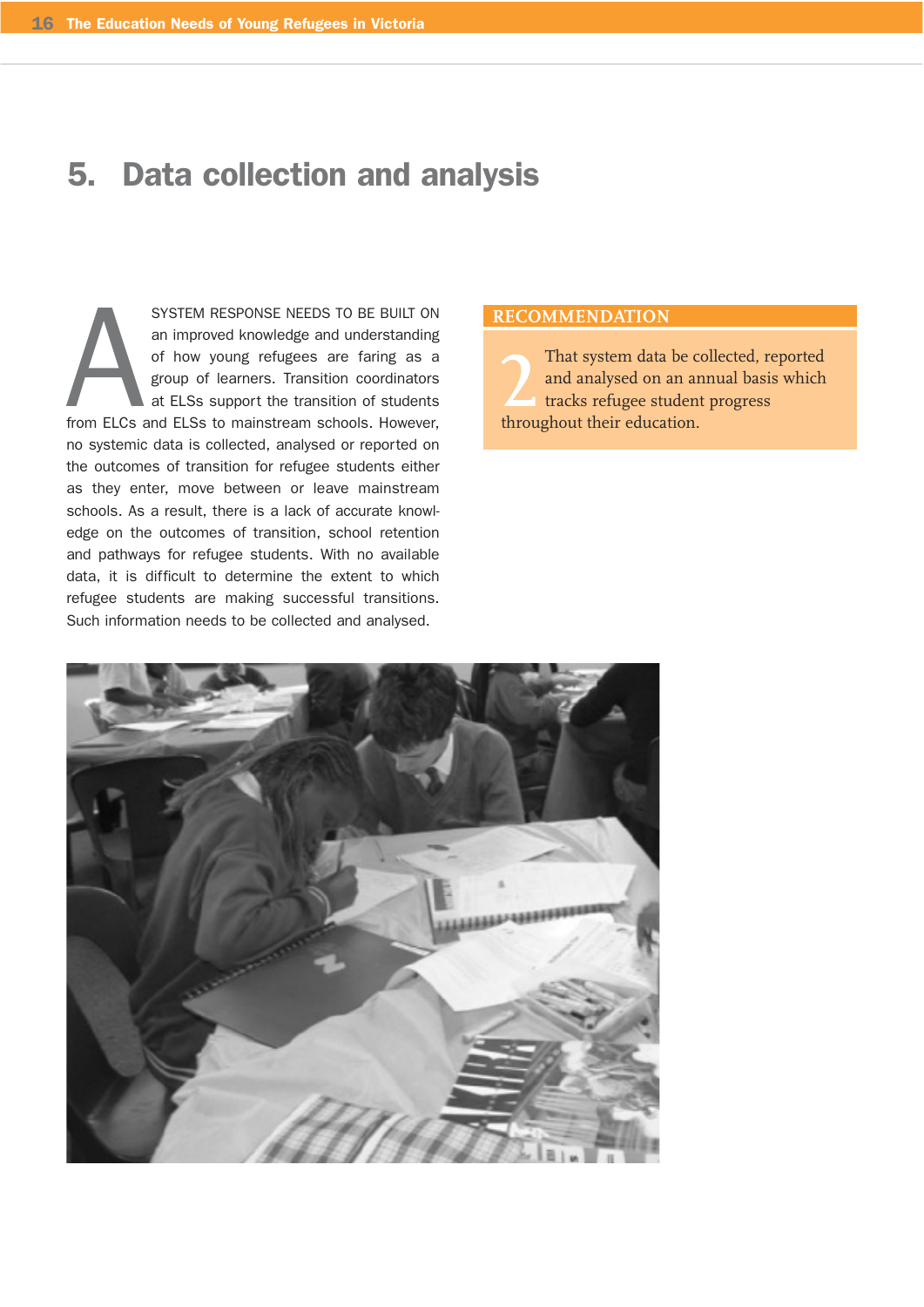# 5. Data collection and analysis

 $\sum_{\text{from ELS}}$ SYSTEM RESPONSE NEEDS TO BE BUILT ON an improved knowledge and understanding of how young refugees are faring as a group of learners. Transition coordinators at ELSs support the transition of students from ELCs and ELSs to mainstream schools. However, no systemic data is collected, analysed or reported on the outcomes of transition for refugee students either as they enter, move between or leave mainstream schools. As a result, there is a lack of accurate knowledge on the outcomes of transition, school retention and pathways for refugee students. With no available data, it is difficult to determine the extent to which refugee students are making successful transitions. Such information needs to be collected and analysed.

### **RECOMMENDATION**

**2** That system data be collected, reported and analysed on an annual basis which tracks refugee student progress throughout their education.

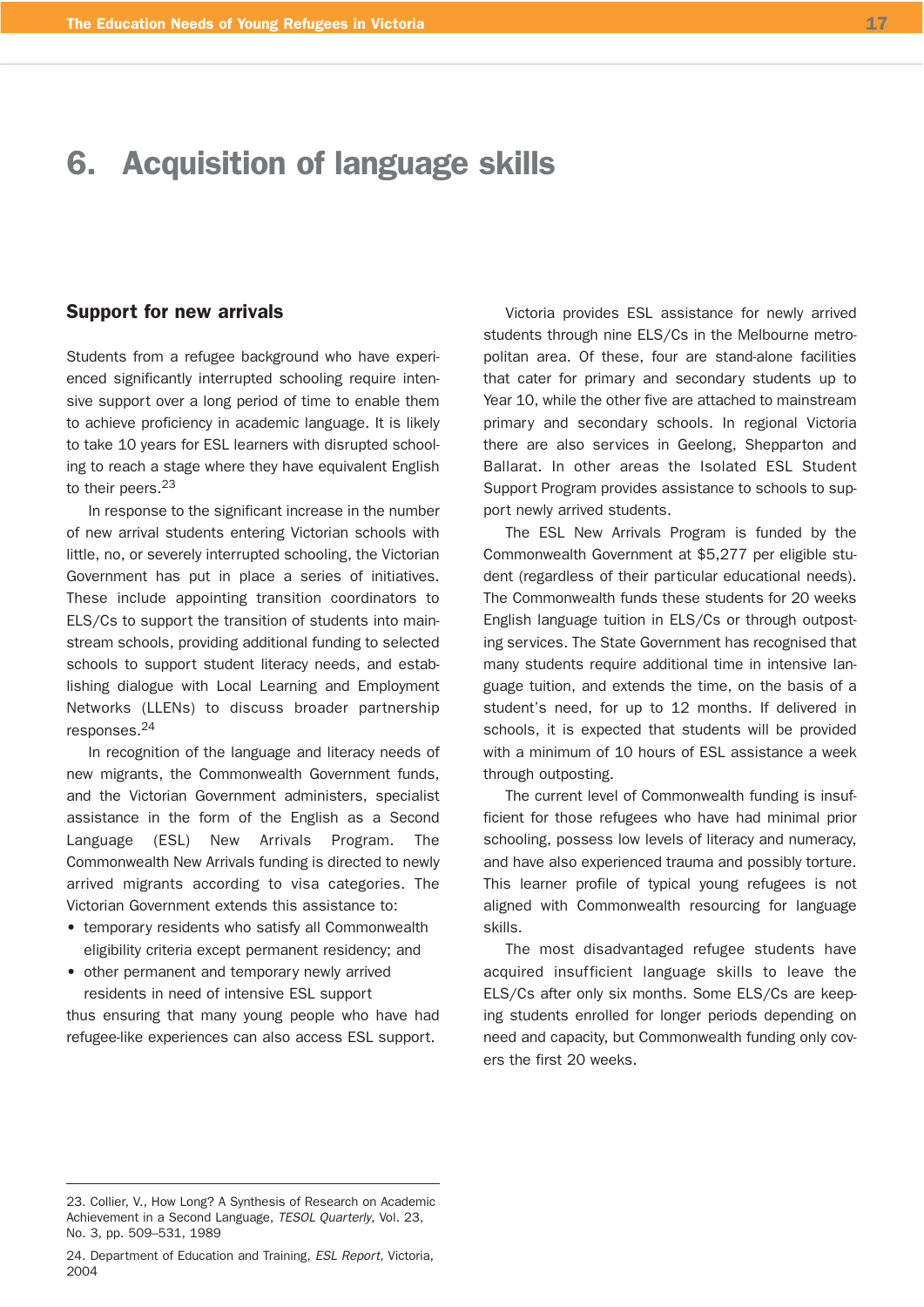# 6. Acquisition of language skills

### Support for new arrivals

Students from a refugee background who have experienced significantly interrupted schooling require intensive support over a long period of time to enable them to achieve proficiency in academic language. It is likely to take 10 years for ESL learners with disrupted schooling to reach a stage where they have equivalent English to their peers.<sup>23</sup>

In response to the significant increase in the number of new arrival students entering Victorian schools with little, no, or severely interrupted schooling, the Victorian Government has put in place a series of initiatives. These include appointing transition coordinators to ELS/Cs to support the transition of students into mainstream schools, providing additional funding to selected schools to support student literacy needs, and establishing dialogue with Local Learning and Employment Networks (LLENs) to discuss broader partnership responses.24

In recognition of the language and literacy needs of new migrants, the Commonwealth Government funds, and the Victorian Government administers, specialist assistance in the form of the English as a Second Language (ESL) New Arrivals Program. The Commonwealth New Arrivals funding is directed to newly arrived migrants according to visa categories. The Victorian Government extends this assistance to:

- temporary residents who satisfy all Commonwealth eligibility criteria except permanent residency; and
- other permanent and temporary newly arrived residents in need of intensive ESL support

thus ensuring that many young people who have had refugee-like experiences can also access ESL support.

Victoria provides ESL assistance for newly arrived students through nine ELS/Cs in the Melbourne metropolitan area. Of these, four are stand-alone facilities that cater for primary and secondary students up to Year 10, while the other five are attached to mainstream primary and secondary schools. In regional Victoria there are also services in Geelong, Shepparton and Ballarat. In other areas the Isolated ESL Student Support Program provides assistance to schools to support newly arrived students.

The ESL New Arrivals Program is funded by the Commonwealth Government at \$5,277 per eligible student (regardless of their particular educational needs). The Commonwealth funds these students for 20 weeks English language tuition in ELS/Cs or through outposting services. The State Government has recognised that many students require additional time in intensive language tuition, and extends the time, on the basis of a student's need, for up to 12 months. If delivered in schools, it is expected that students will be provided with a minimum of 10 hours of ESL assistance a week through outposting.

The current level of Commonwealth funding is insufficient for those refugees who have had minimal prior schooling, possess low levels of literacy and numeracy, and have also experienced trauma and possibly torture. This learner profile of typical young refugees is not aligned with Commonwealth resourcing for language skills.

The most disadvantaged refugee students have acquired insufficient language skills to leave the ELS/Cs after only six months. Some ELS/Cs are keeping students enrolled for longer periods depending on need and capacity, but Commonwealth funding only covers the first 20 weeks.

<sup>23.</sup> Collier, V., How Long? A Synthesis of Research on Academic Achievement in a Second Language, TESOL Quarterly, Vol. 23, No. 3, pp. 509–531, 1989

<sup>24.</sup> Department of Education and Training, ESL Report, Victoria,  $2004$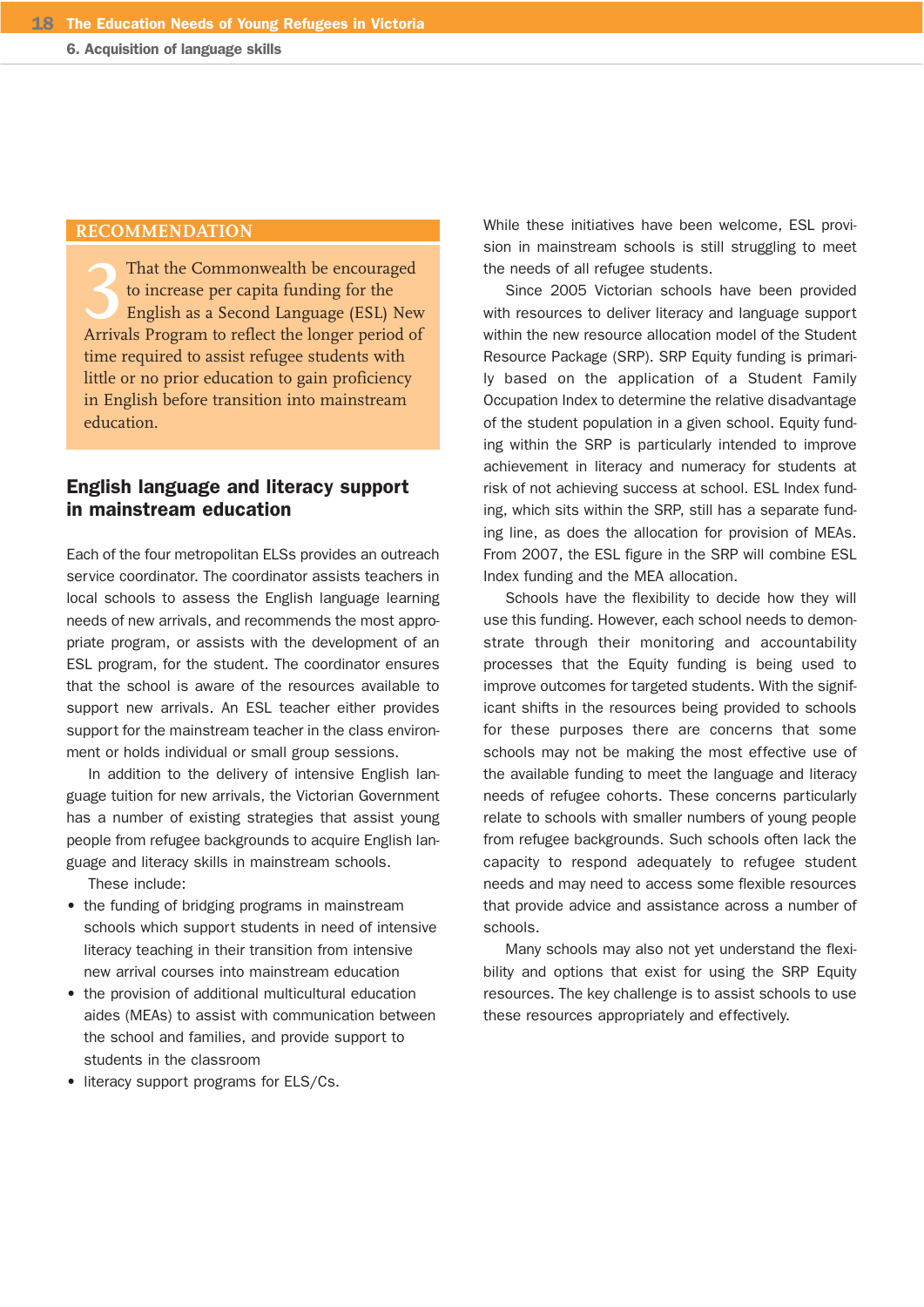### **RECOMMENDATION**

That the Commonwealth be encouraged<br>to increase per capita funding for the<br>English as a Second Language (ESL) New<br>Arrivals Program to reflect the longer period of to increase per capita funding for the English as a Second Language (ESL) New time required to assist refugee students with little or no prior education to gain proficiency in English before transition into mainstream education.

# English language and literacy support in mainstream education

Each of the four metropolitan ELSs provides an outreach service coordinator. The coordinator assists teachers in local schools to assess the English language learning needs of new arrivals, and recommends the most appropriate program, or assists with the development of an ESL program, for the student. The coordinator ensures that the school is aware of the resources available to support new arrivals. An ESL teacher either provides support for the mainstream teacher in the class environment or holds individual or small group sessions.

In addition to the delivery of intensive English language tuition for new arrivals, the Victorian Government has a number of existing strategies that assist young people from refugee backgrounds to acquire English language and literacy skills in mainstream schools.

These include:

- the funding of bridging programs in mainstream schools which support students in need of intensive literacy teaching in their transition from intensive new arrival courses into mainstream education
- the provision of additional multicultural education aides (MEAs) to assist with communication between the school and families, and provide support to students in the classroom
- literacy support programs for ELS/Cs.

While these initiatives have been welcome, ESL provision in mainstream schools is still struggling to meet the needs of all refugee students.

Since 2005 Victorian schools have been provided with resources to deliver literacy and language support within the new resource allocation model of the Student Resource Package (SRP). SRP Equity funding is primarily based on the application of a Student Family Occupation Index to determine the relative disadvantage of the student population in a given school. Equity funding within the SRP is particularly intended to improve achievement in literacy and numeracy for students at risk of not achieving success at school. ESL Index funding, which sits within the SRP, still has a separate funding line, as does the allocation for provision of MEAs. From 2007, the ESL figure in the SRP will combine ESL Index funding and the MEA allocation.

Schools have the flexibility to decide how they will use this funding. However, each school needs to demonstrate through their monitoring and accountability processes that the Equity funding is being used to improve outcomes for targeted students. With the significant shifts in the resources being provided to schools for these purposes there are concerns that some schools may not be making the most effective use of the available funding to meet the language and literacy needs of refugee cohorts. These concerns particularly relate to schools with smaller numbers of young people from refugee backgrounds. Such schools often lack the capacity to respond adequately to refugee student needs and may need to access some flexible resources that provide advice and assistance across a number of schools.

Many schools may also not yet understand the flexibility and options that exist for using the SRP Equity resources. The key challenge is to assist schools to use these resources appropriately and effectively.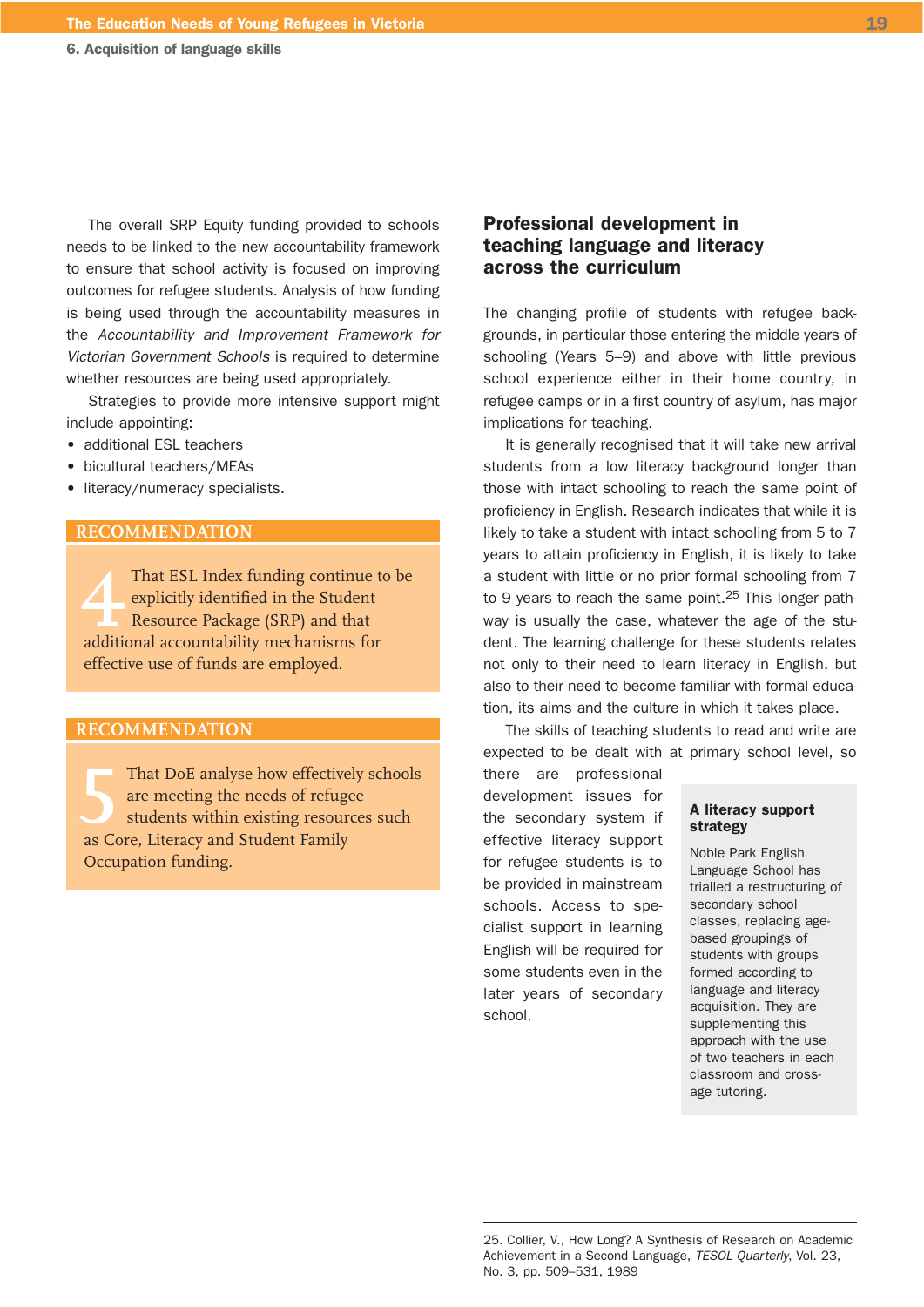The overall SRP Equity funding provided to schools needs to be linked to the new accountability framework to ensure that school activity is focused on improving outcomes for refugee students. Analysis of how funding is being used through the accountability measures in the Accountability and Improvement Framework for Victorian Government Schools is required to determine whether resources are being used appropriately.

Strategies to provide more intensive support might include appointing:

- additional ESL teachers
- bicultural teachers/MEAs
- literacy/numeracy specialists.

#### **RECOMMENDATION**

That ESL Index funding continue to be explicitly identified in the Student Resource Package (SRP) and that additional accountability mechanisms for explicitly identified in the Student Resource Package (SRP) and that effective use of funds are employed.

### **RECOMMENDATION**

That DoE analyse how effectively schools<br>are meeting the needs of refugee<br>students within existing resources such<br>as Core, Literacy and Student Family are meeting the needs of refugee students within existing resources such as Core, Literacy and Student Family Occupation funding.

# Professional development in teaching language and literacy across the curriculum

The changing profile of students with refugee backgrounds, in particular those entering the middle years of schooling (Years 5–9) and above with little previous school experience either in their home country, in refugee camps or in a first country of asylum, has major implications for teaching.

It is generally recognised that it will take new arrival students from a low literacy background longer than those with intact schooling to reach the same point of proficiency in English. Research indicates that while it is likely to take a student with intact schooling from 5 to 7 years to attain proficiency in English, it is likely to take a student with little or no prior formal schooling from 7 to 9 years to reach the same point. $25$  This longer pathway is usually the case, whatever the age of the student. The learning challenge for these students relates not only to their need to learn literacy in English, but also to their need to become familiar with formal education, its aims and the culture in which it takes place.

The skills of teaching students to read and write are expected to be dealt with at primary school level, so

there are professional development issues for the secondary system if effective literacy support for refugee students is to be provided in mainstream schools. Access to specialist support in learning English will be required for some students even in the later years of secondary school.

#### A literacy support strategy

Noble Park English Language School has trialled a restructuring of secondary school classes, replacing agebased groupings of students with groups formed according to language and literacy acquisition. They are supplementing this approach with the use of two teachers in each classroom and crossage tutoring.

<sup>25.</sup> Collier, V., How Long? A Synthesis of Research on Academic Achievement in a Second Language, TESOL Quarterly, Vol. 23, No. 3, pp. 509–531, 1989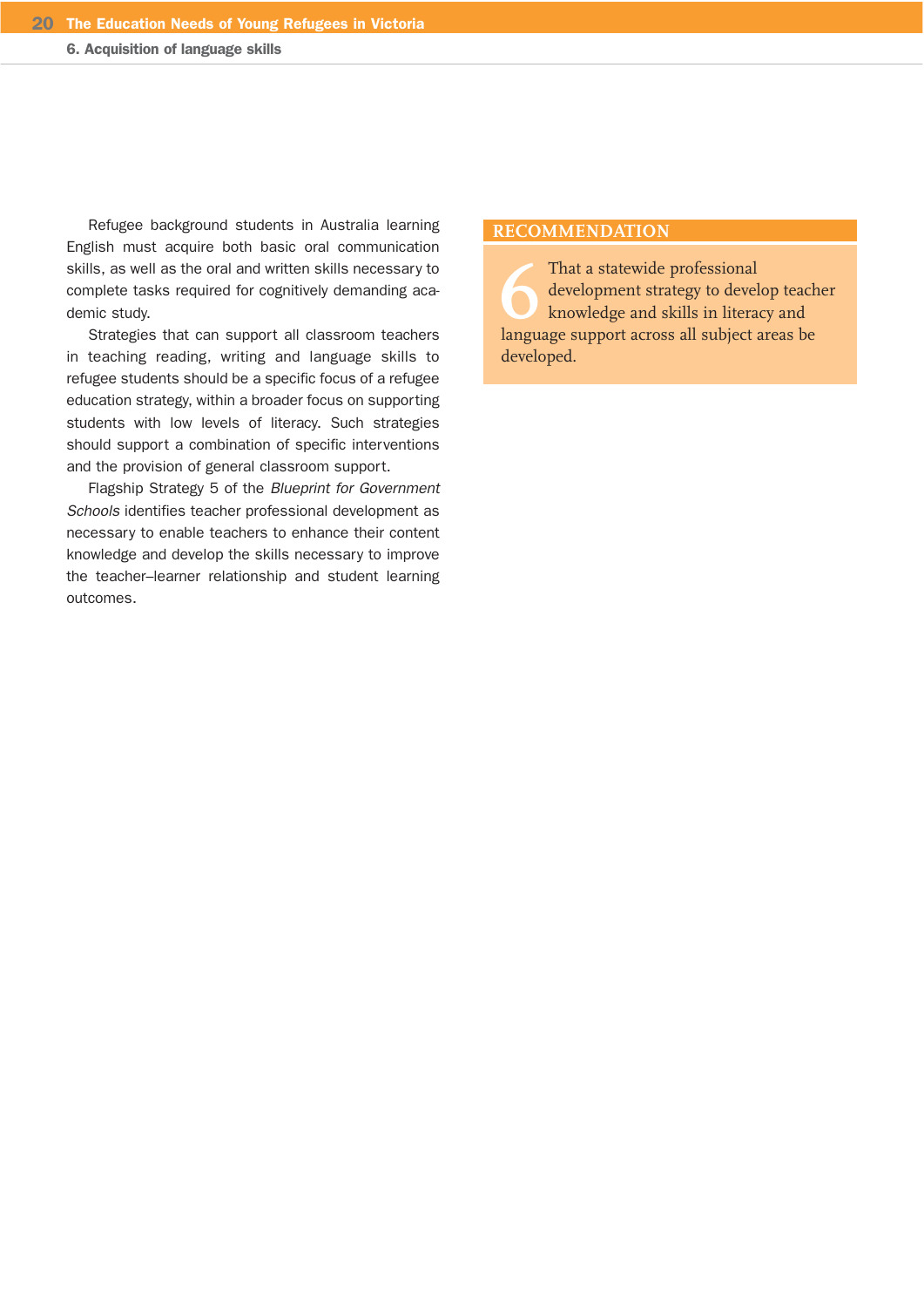Refugee background students in Australia learning English must acquire both basic oral communication skills, as well as the oral and written skills necessary to complete tasks required for cognitively demanding academic study.

Strategies that can support all classroom teachers in teaching reading, writing and language skills to refugee students should be a specific focus of a refugee education strategy, within a broader focus on supporting students with low levels of literacy. Such strategies should support a combination of specific interventions and the provision of general classroom support.

Flagship Strategy 5 of the Blueprint for Government Schools identifies teacher professional development as necessary to enable teachers to enhance their content knowledge and develop the skills necessary to improve the teacher–learner relationship and student learning outcomes.

### **RECOMMENDATION**

That a statewide professional<br>development strategy to develop teach<br>knowledge and skills in literacy and<br>language support across all subject areas be development strategy to develop teacher knowledge and skills in literacy and developed.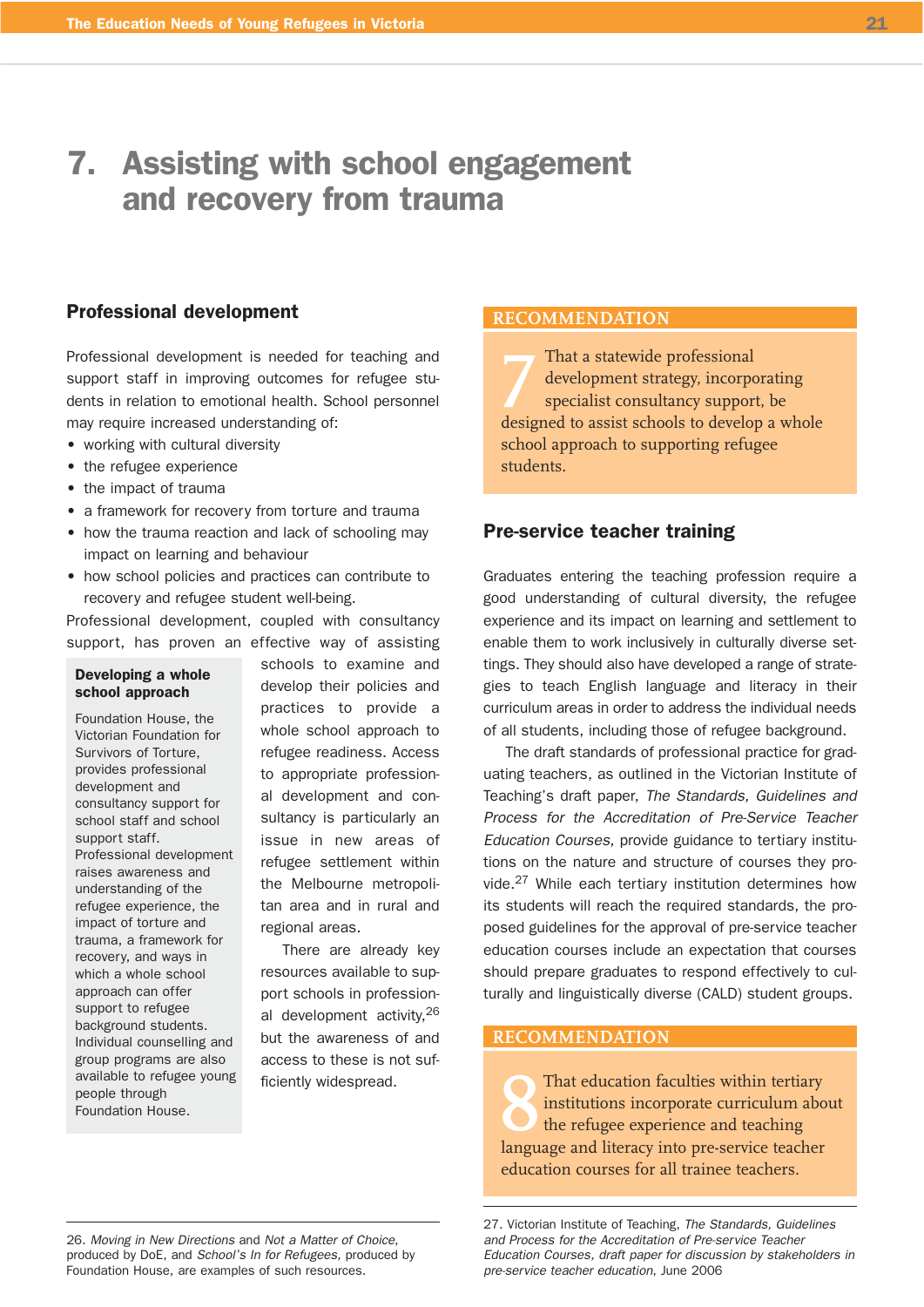# 7. Assisting with school engagement and recovery from trauma

## Professional development

Professional development is needed for teaching and support staff in improving outcomes for refugee students in relation to emotional health. School personnel may require increased understanding of:

- working with cultural diversity
- the refugee experience
- the impact of trauma
- a framework for recovery from torture and trauma
- how the trauma reaction and lack of schooling may impact on learning and behaviour
- how school policies and practices can contribute to recovery and refugee student well-being.

Professional development, coupled with consultancy support, has proven an effective way of assisting

#### Developing a whole school approach

Foundation House, the Victorian Foundation for Survivors of Torture, provides professional development and consultancy support for school staff and school support staff. Professional development raises awareness and understanding of the refugee experience, the impact of torture and trauma, a framework for recovery, and ways in which a whole school approach can offer support to refugee background students. Individual counselling and group programs are also available to refugee young people through Foundation House.

schools to examine and develop their policies and practices to provide a whole school approach to refugee readiness. Access to appropriate professional development and consultancy is particularly an issue in new areas of refugee settlement within the Melbourne metropolitan area and in rural and regional areas.

There are already key resources available to support schools in professional development activity,26 but the awareness of and access to these is not sufficiently widespread.

### **RECOMMENDATION**

That a statewide professional<br>development strategy, incorporating<br>specialist consultancy support, be<br>designed to assist schools to develop a whole development strategy, incorporating specialist consultancy support, be school approach to supporting refugee students.

## Pre-service teacher training

Graduates entering the teaching profession require a good understanding of cultural diversity, the refugee experience and its impact on learning and settlement to enable them to work inclusively in culturally diverse settings. They should also have developed a range of strategies to teach English language and literacy in their curriculum areas in order to address the individual needs of all students, including those of refugee background.

The draft standards of professional practice for graduating teachers, as outlined in the Victorian Institute of Teaching's draft paper, The Standards, Guidelines and Process for the Accreditation of Pre-Service Teacher Education Courses, provide guidance to tertiary institutions on the nature and structure of courses they provide.27 While each tertiary institution determines how its students will reach the required standards, the proposed guidelines for the approval of pre-service teacher education courses include an expectation that courses should prepare graduates to respond effectively to culturally and linguistically diverse (CALD) student groups.

### **RECOMMENDATION**

That education faculties within tertiary<br>institutions incorporate curriculum abe<br>the refugee experience and teaching<br>language and literacy into pre-service teacher institutions incorporate curriculum about the refugee experience and teaching education courses for all trainee teachers.

26. Moving in New Directions and Not a Matter of Choice, produced by DoE, and School's In for Refugees, produced by Foundation House, are examples of such resources.

<sup>27.</sup> Victorian Institute of Teaching, The Standards, Guidelines and Process for the Accreditation of Pre-service Teacher Education Courses, draft paper for discussion by stakeholders in pre-service teacher education, June 2006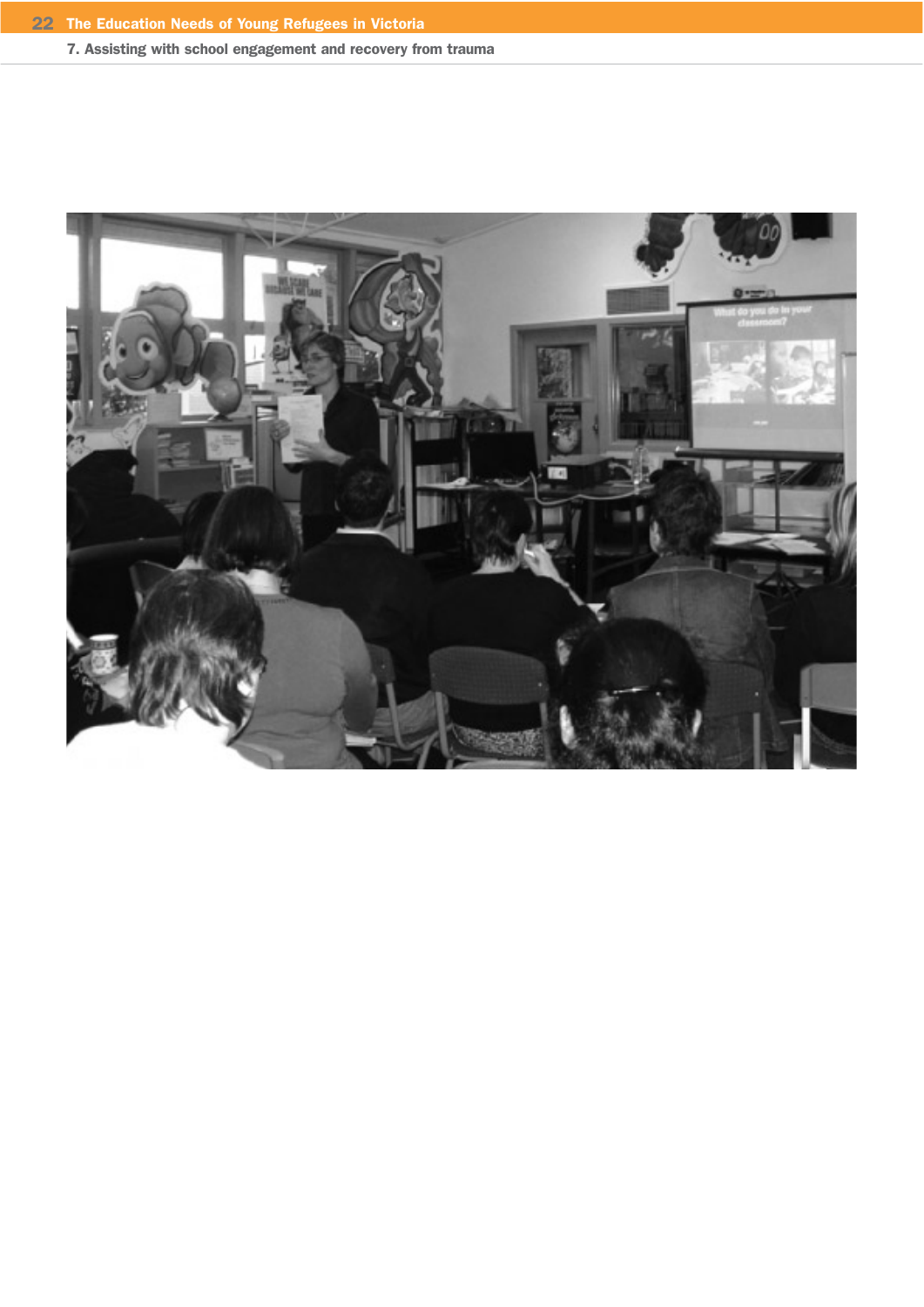7. Assisting with school engagement and recovery from trauma

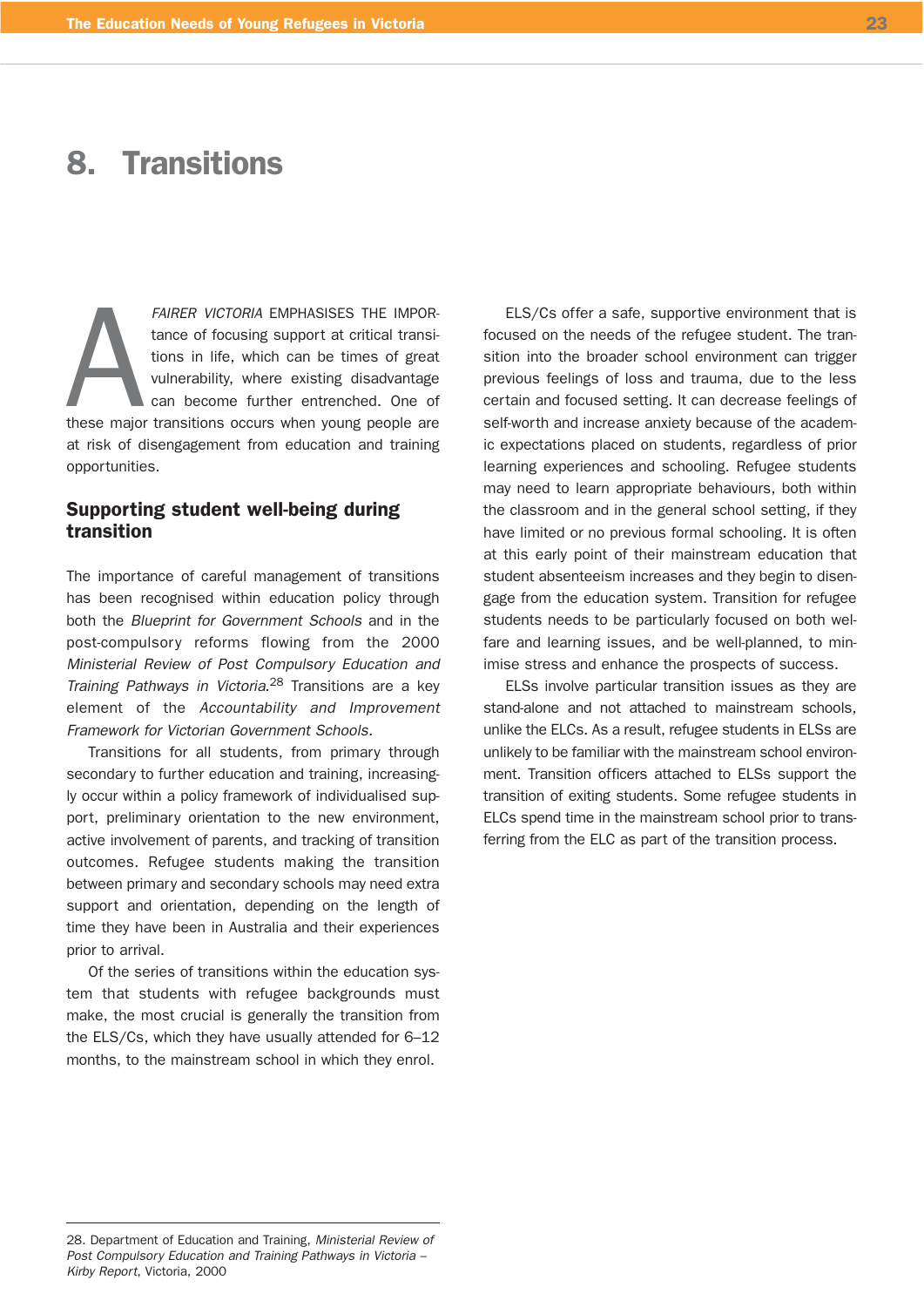# 8. Transitions

 $\sum_{\text{these major}}$ FAIRER VICTORIA EMPHASISES THE IMPORtance of focusing support at critical transitions in life, which can be times of great vulnerability, where existing disadvantage can become further entrenched. One of these major transitions occurs when young people are at risk of disengagement from education and training opportunities.

## Supporting student well-being during transition

The importance of careful management of transitions has been recognised within education policy through both the Blueprint for Government Schools and in the post-compulsory reforms flowing from the 2000 Ministerial Review of Post Compulsory Education and Training Pathways in Victoria.<sup>28</sup> Transitions are a key element of the Accountability and Improvement Framework for Victorian Government Schools.

Transitions for all students, from primary through secondary to further education and training, increasingly occur within a policy framework of individualised support, preliminary orientation to the new environment, active involvement of parents, and tracking of transition outcomes. Refugee students making the transition between primary and secondary schools may need extra support and orientation, depending on the length of time they have been in Australia and their experiences prior to arrival.

Of the series of transitions within the education system that students with refugee backgrounds must make, the most crucial is generally the transition from the ELS/Cs, which they have usually attended for 6–12 months, to the mainstream school in which they enrol.

ELS/Cs offer a safe, supportive environment that is focused on the needs of the refugee student. The transition into the broader school environment can trigger previous feelings of loss and trauma, due to the less certain and focused setting. It can decrease feelings of self-worth and increase anxiety because of the academic expectations placed on students, regardless of prior learning experiences and schooling. Refugee students may need to learn appropriate behaviours, both within the classroom and in the general school setting, if they have limited or no previous formal schooling. It is often at this early point of their mainstream education that student absenteeism increases and they begin to disengage from the education system. Transition for refugee students needs to be particularly focused on both welfare and learning issues, and be well-planned, to minimise stress and enhance the prospects of success.

ELSs involve particular transition issues as they are stand-alone and not attached to mainstream schools, unlike the ELCs. As a result, refugee students in ELSs are unlikely to be familiar with the mainstream school environment. Transition officers attached to ELSs support the transition of exiting students. Some refugee students in ELCs spend time in the mainstream school prior to transferring from the ELC as part of the transition process.

<sup>28.</sup> Department of Education and Training, Ministerial Review of Post Compulsory Education and Training Pathways in Victoria – Kirby Report, Victoria, 2000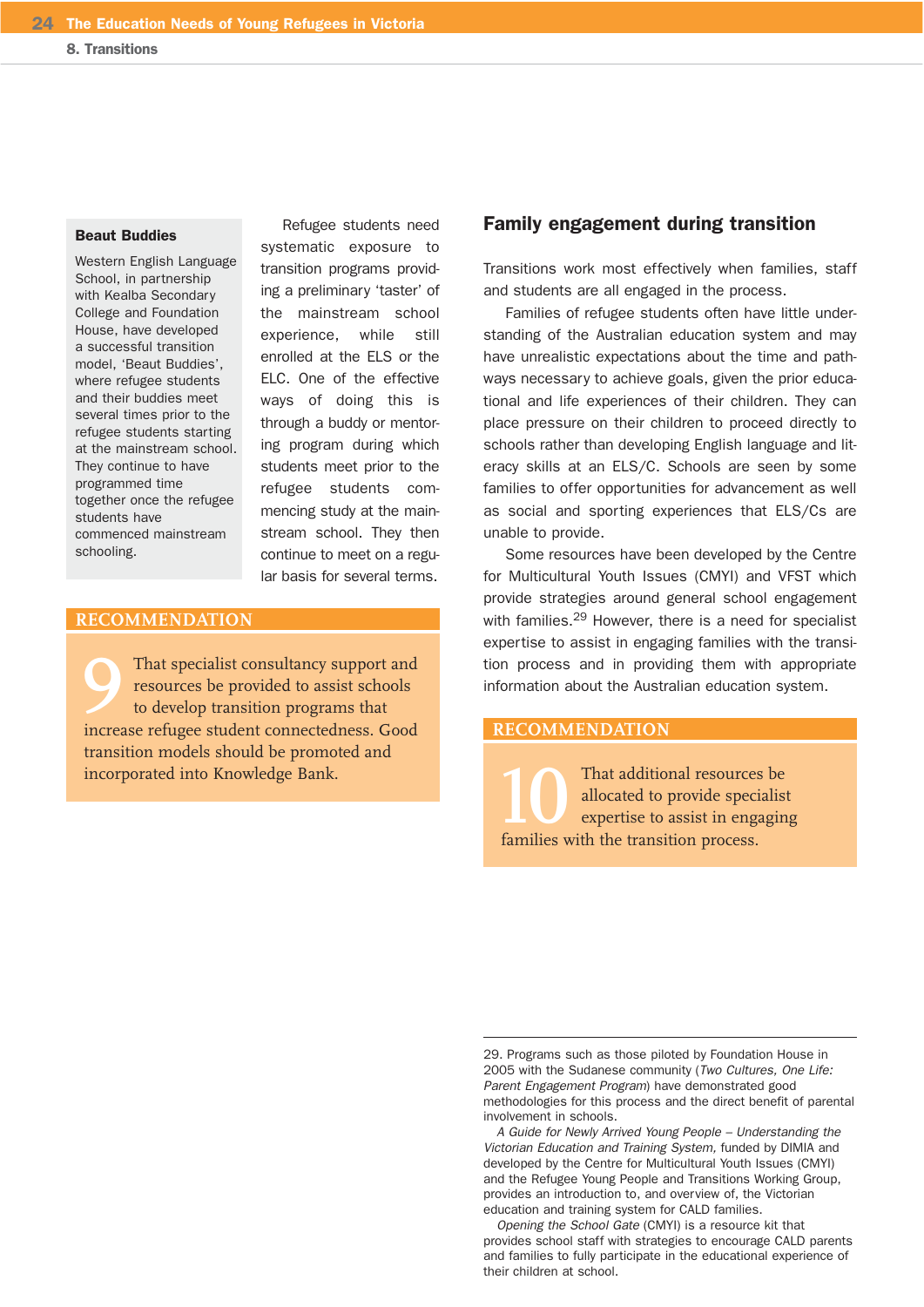8. Transitions

#### Beaut Buddies

Western English Language School, in partnership with Kealba Secondary College and Foundation House, have developed a successful transition model, 'Beaut Buddies', where refugee students and their buddies meet several times prior to the refugee students starting at the mainstream school. They continue to have programmed time together once the refugee students have commenced mainstream schooling.

Refugee students need systematic exposure to transition programs providing a preliminary 'taster' of the mainstream school experience, while still enrolled at the ELS or the ELC. One of the effective ways of doing this is through a buddy or mentoring program during which students meet prior to the refugee students commencing study at the mainstream school. They then continue to meet on a regular basis for several terms.

## **RECOMMENDATION**

That specialist consultancy support and resources be provided to assist schools to develop transition programs that increase refugee student connectedness. Good resources be provided to assist schools to develop transition programs that transition models should be promoted and incorporated into Knowledge Bank.

### Family engagement during transition

Transitions work most effectively when families, staff and students are all engaged in the process.

Families of refugee students often have little understanding of the Australian education system and may have unrealistic expectations about the time and pathways necessary to achieve goals, given the prior educational and life experiences of their children. They can place pressure on their children to proceed directly to schools rather than developing English language and literacy skills at an ELS/C. Schools are seen by some families to offer opportunities for advancement as well as social and sporting experiences that ELS/Cs are unable to provide.

Some resources have been developed by the Centre for Multicultural Youth Issues (CMYI) and VFST which provide strategies around general school engagement with families.<sup>29</sup> However, there is a need for specialist expertise to assist in engaging families with the transition process and in providing them with appropriate information about the Australian education system.

### **RECOMMENDATION**

That additional resources be allocated to provide specialis expertise to assist in engagir families with the transition process. allocated to provide specialist expertise to assist in engaging

Opening the School Gate (CMYI) is a resource kit that provides school staff with strategies to encourage CALD parents and families to fully participate in the educational experience of their children at school.

<sup>29.</sup> Programs such as those piloted by Foundation House in 2005 with the Sudanese community (Two Cultures, One Life: Parent Engagement Program) have demonstrated good methodologies for this process and the direct benefit of parental involvement in schools.

A Guide for Newly Arrived Young People – Understanding the Victorian Education and Training System, funded by DIMIA and developed by the Centre for Multicultural Youth Issues (CMYI) and the Refugee Young People and Transitions Working Group, provides an introduction to, and overview of, the Victorian education and training system for CALD families.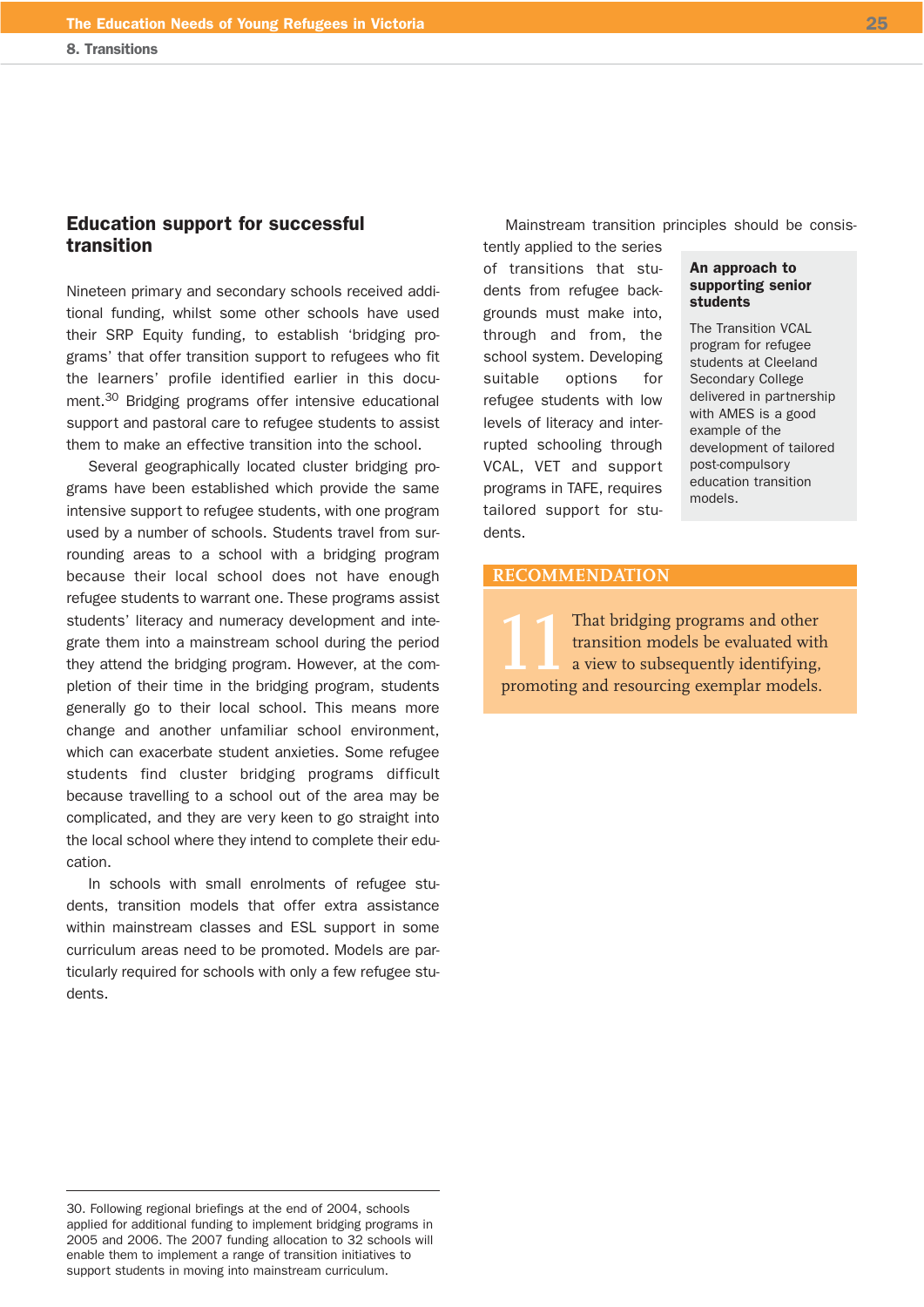## Education support for successful transition

Nineteen primary and secondary schools received additional funding, whilst some other schools have used their SRP Equity funding, to establish 'bridging programs' that offer transition support to refugees who fit the learners' profile identified earlier in this document.30 Bridging programs offer intensive educational support and pastoral care to refugee students to assist them to make an effective transition into the school.

Several geographically located cluster bridging programs have been established which provide the same intensive support to refugee students, with one program used by a number of schools. Students travel from surrounding areas to a school with a bridging program because their local school does not have enough refugee students to warrant one. These programs assist students' literacy and numeracy development and integrate them into a mainstream school during the period they attend the bridging program. However, at the completion of their time in the bridging program, students generally go to their local school. This means more change and another unfamiliar school environment, which can exacerbate student anxieties. Some refugee students find cluster bridging programs difficult because travelling to a school out of the area may be complicated, and they are very keen to go straight into the local school where they intend to complete their education.

In schools with small enrolments of refugee students, transition models that offer extra assistance within mainstream classes and ESL support in some curriculum areas need to be promoted. Models are particularly required for schools with only a few refugee students.

Mainstream transition principles should be consis-

tently applied to the series of transitions that students from refugee backgrounds must make into, through and from, the school system. Developing suitable options for refugee students with low levels of literacy and interrupted schooling through VCAL, VET and support programs in TAFE, requires tailored support for students.

#### An approach to supporting senior students

The Transition VCAL program for refugee students at Cleeland Secondary College delivered in partnership with AMES is a good example of the development of tailored post-compulsory education transition models.

#### **RECOMMENDATION**

That bridging programs and other<br>transition models be evaluated with<br>a view to subsequently identifying,<br>promoting and resourcing exemplar models. transition models be evaluated with a view to subsequently identifying,

<sup>30.</sup> Following regional briefings at the end of 2004, schools applied for additional funding to implement bridging programs in 2005 and 2006. The 2007 funding allocation to 32 schools will enable them to implement a range of transition initiatives to support students in moving into mainstream curriculum.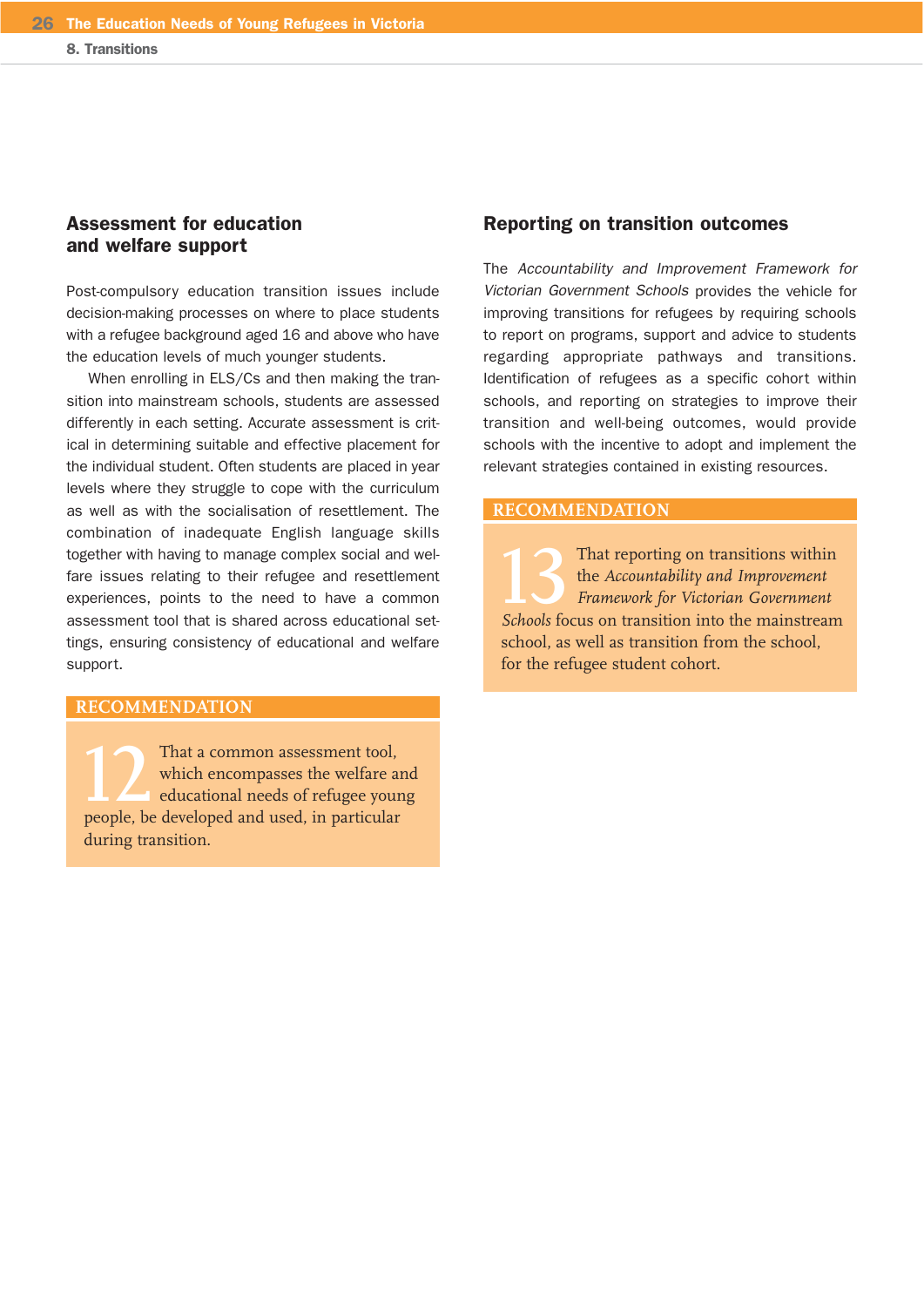8. Transitions

# Assessment for education and welfare support

Post-compulsory education transition issues include decision-making processes on where to place students with a refugee background aged 16 and above who have the education levels of much younger students.

When enrolling in ELS/Cs and then making the transition into mainstream schools, students are assessed differently in each setting. Accurate assessment is critical in determining suitable and effective placement for the individual student. Often students are placed in year levels where they struggle to cope with the curriculum as well as with the socialisation of resettlement. The combination of inadequate English language skills together with having to manage complex social and welfare issues relating to their refugee and resettlement experiences, points to the need to have a common assessment tool that is shared across educational settings, ensuring consistency of educational and welfare support.

## **RECOMMENDATION**

That a common assessment tool,<br>
which encompasses the welfare a<br>
educational needs of refugee your<br>
people, be developed and used, in particular which encompasses the welfare and educational needs of refugee young during transition.

### Reporting on transition outcomes

The Accountability and Improvement Framework for Victorian Government Schools provides the vehicle for improving transitions for refugees by requiring schools to report on programs, support and advice to students regarding appropriate pathways and transitions. Identification of refugees as a specific cohort within schools, and reporting on strategies to improve their transition and well-being outcomes, would provide schools with the incentive to adopt and implement the relevant strategies contained in existing resources.

### **RECOMMENDATION**

That reporting on transitions within<br>the *Accountability and Improvement*<br>*Schools* focus on transition into the mainstream the *Accountability and Improvement Framework for Victorian Government* school, as well as transition from the school, for the refugee student cohort.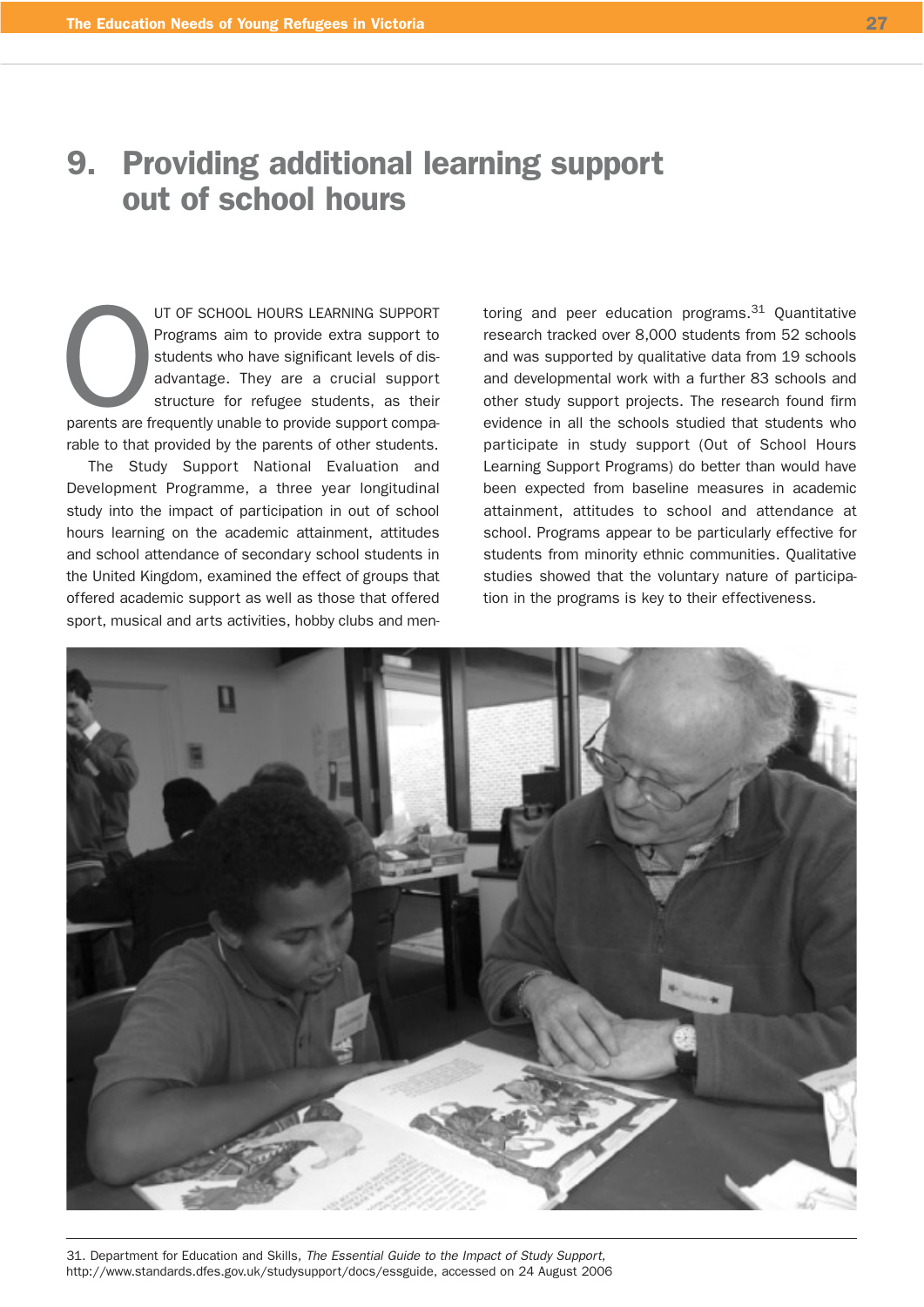# 9. Providing additional learning support out of school hours

UT OF SCHOOL HOURS LEARNING SUPPORT<br>
Programs aim to provide extra support to<br>
students who have significant levels of dis-<br>
advantage. They are a crucial support<br>
structure for refugee students, as their<br>
parents are freq Programs aim to provide extra support to students who have significant levels of disadvantage. They are a crucial support structure for refugee students, as their rable to that provided by the parents of other students.

The Study Support National Evaluation and Development Programme, a three year longitudinal study into the impact of participation in out of school hours learning on the academic attainment, attitudes and school attendance of secondary school students in the United Kingdom, examined the effect of groups that offered academic support as well as those that offered sport, musical and arts activities, hobby clubs and mentoring and peer education programs. $31$  Quantitative research tracked over 8,000 students from 52 schools and was supported by qualitative data from 19 schools and developmental work with a further 83 schools and other study support projects. The research found firm evidence in all the schools studied that students who participate in study support (Out of School Hours Learning Support Programs) do better than would have been expected from baseline measures in academic attainment, attitudes to school and attendance at school. Programs appear to be particularly effective for students from minority ethnic communities. Qualitative studies showed that the voluntary nature of participation in the programs is key to their effectiveness.



31. Department for Education and Skills, The Essential Guide to the Impact of Study Support, http://www.standards.dfes.gov.uk/studysupport/docs/essguide, accessed on 24 August 2006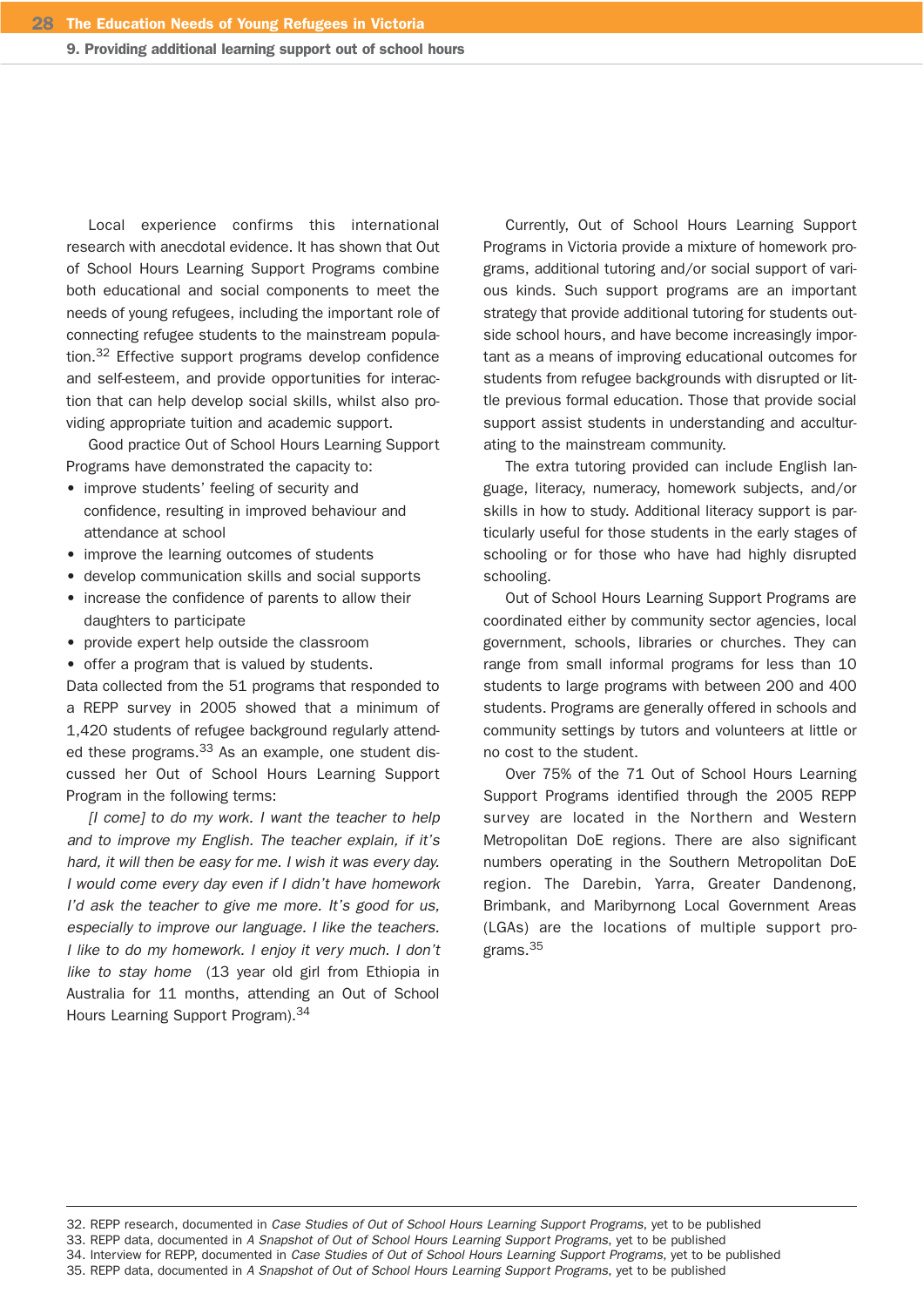9. Providing additional learning support out of school hours

Local experience confirms this international research with anecdotal evidence. It has shown that Out of School Hours Learning Support Programs combine both educational and social components to meet the needs of young refugees, including the important role of connecting refugee students to the mainstream population.32 Effective support programs develop confidence and self-esteem, and provide opportunities for interaction that can help develop social skills, whilst also providing appropriate tuition and academic support.

Good practice Out of School Hours Learning Support Programs have demonstrated the capacity to:

- improve students' feeling of security and confidence, resulting in improved behaviour and attendance at school
- improve the learning outcomes of students
- develop communication skills and social supports
- increase the confidence of parents to allow their daughters to participate
- provide expert help outside the classroom
- offer a program that is valued by students.

Data collected from the 51 programs that responded to a REPP survey in 2005 showed that a minimum of 1,420 students of refugee background regularly attended these programs.<sup>33</sup> As an example, one student discussed her Out of School Hours Learning Support Program in the following terms:

[I come] to do my work. I want the teacher to help and to improve my English. The teacher explain, if it's hard, it will then be easy for me. I wish it was every day. I would come every day even if I didn't have homework I'd ask the teacher to give me more. It's good for us, especially to improve our language. I like the teachers. I like to do my homework. I enjoy it very much. I don't like to stay home (13 year old girl from Ethiopia in Australia for 11 months, attending an Out of School Hours Learning Support Program).<sup>34</sup>

Currently, Out of School Hours Learning Support Programs in Victoria provide a mixture of homework programs, additional tutoring and/or social support of various kinds. Such support programs are an important strategy that provide additional tutoring for students outside school hours, and have become increasingly important as a means of improving educational outcomes for students from refugee backgrounds with disrupted or little previous formal education. Those that provide social support assist students in understanding and acculturating to the mainstream community.

The extra tutoring provided can include English language, literacy, numeracy, homework subjects, and/or skills in how to study. Additional literacy support is particularly useful for those students in the early stages of schooling or for those who have had highly disrupted schooling.

Out of School Hours Learning Support Programs are coordinated either by community sector agencies, local government, schools, libraries or churches. They can range from small informal programs for less than 10 students to large programs with between 200 and 400 students. Programs are generally offered in schools and community settings by tutors and volunteers at little or no cost to the student.

Over 75% of the 71 Out of School Hours Learning Support Programs identified through the 2005 REPP survey are located in the Northern and Western Metropolitan DoE regions. There are also significant numbers operating in the Southern Metropolitan DoE region. The Darebin, Yarra, Greater Dandenong, Brimbank, and Maribyrnong Local Government Areas (LGAs) are the locations of multiple support programs.35

<sup>32.</sup> REPP research, documented in Case Studies of Out of School Hours Learning Support Programs, yet to be published

<sup>33.</sup> REPP data, documented in A Snapshot of Out of School Hours Learning Support Programs, yet to be published 34. Interview for REPP, documented in Case Studies of Out of School Hours Learning Support Programs, yet to be published

<sup>35.</sup> REPP data, documented in A Snapshot of Out of School Hours Learning Support Programs, yet to be published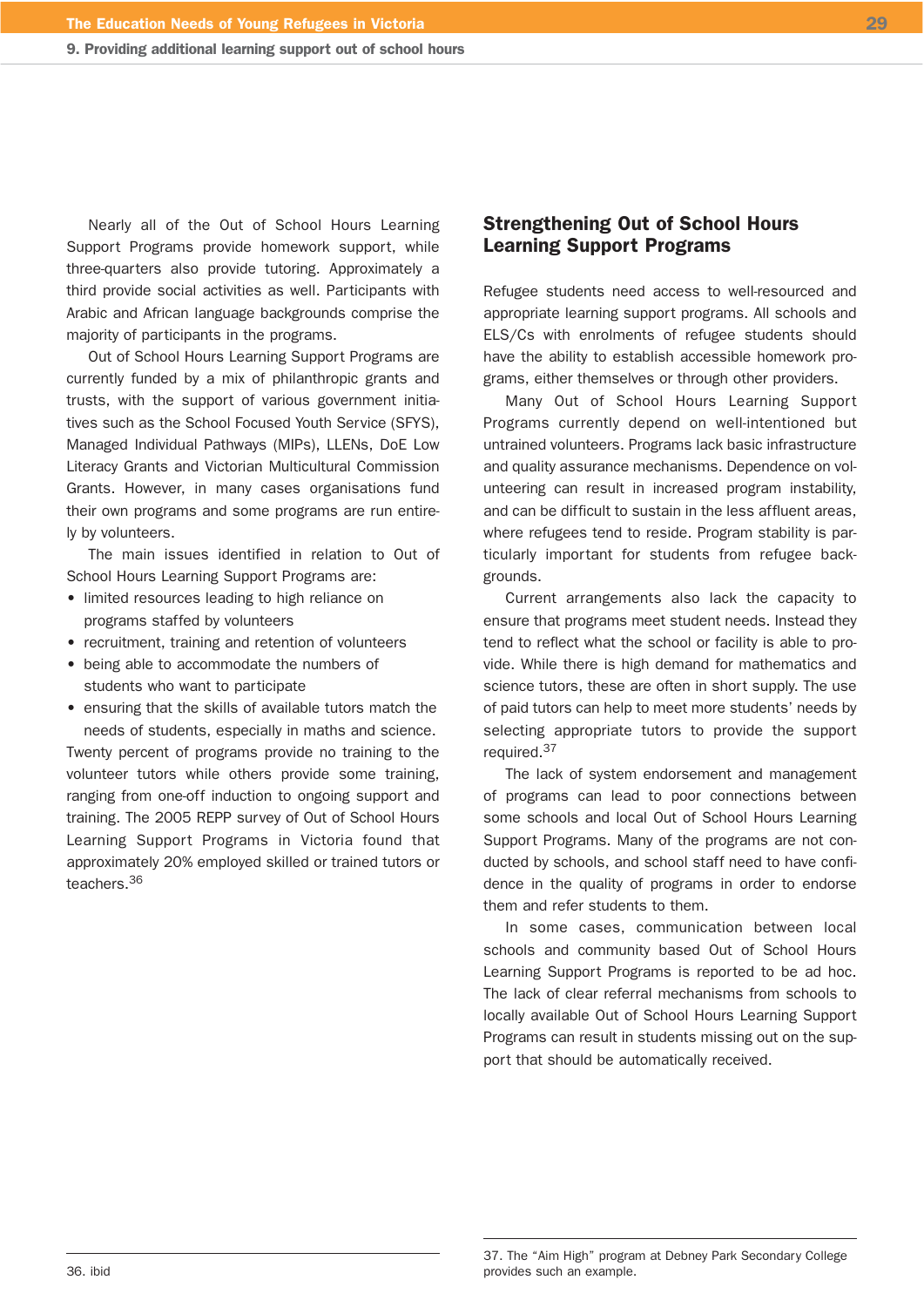Nearly all of the Out of School Hours Learning Support Programs provide homework support, while three-quarters also provide tutoring. Approximately a third provide social activities as well. Participants with Arabic and African language backgrounds comprise the majority of participants in the programs.

Out of School Hours Learning Support Programs are currently funded by a mix of philanthropic grants and trusts, with the support of various government initiatives such as the School Focused Youth Service (SFYS), Managed Individual Pathways (MIPs), LLENs, DoE Low Literacy Grants and Victorian Multicultural Commission Grants. However, in many cases organisations fund their own programs and some programs are run entirely by volunteers.

The main issues identified in relation to Out of School Hours Learning Support Programs are:

- limited resources leading to high reliance on programs staffed by volunteers
- recruitment, training and retention of volunteers
- being able to accommodate the numbers of students who want to participate
- ensuring that the skills of available tutors match the needs of students, especially in maths and science.

Twenty percent of programs provide no training to the volunteer tutors while others provide some training, ranging from one-off induction to ongoing support and training. The 2005 REPP survey of Out of School Hours Learning Support Programs in Victoria found that approximately 20% employed skilled or trained tutors or teachers.36

# Strengthening Out of School Hours Learning Support Programs

Refugee students need access to well-resourced and appropriate learning support programs. All schools and ELS/Cs with enrolments of refugee students should have the ability to establish accessible homework programs, either themselves or through other providers.

Many Out of School Hours Learning Support Programs currently depend on well-intentioned but untrained volunteers. Programs lack basic infrastructure and quality assurance mechanisms. Dependence on volunteering can result in increased program instability, and can be difficult to sustain in the less affluent areas, where refugees tend to reside. Program stability is particularly important for students from refugee backgrounds.

Current arrangements also lack the capacity to ensure that programs meet student needs. Instead they tend to reflect what the school or facility is able to provide. While there is high demand for mathematics and science tutors, these are often in short supply. The use of paid tutors can help to meet more students' needs by selecting appropriate tutors to provide the support required.<sup>37</sup>

The lack of system endorsement and management of programs can lead to poor connections between some schools and local Out of School Hours Learning Support Programs. Many of the programs are not conducted by schools, and school staff need to have confidence in the quality of programs in order to endorse them and refer students to them.

In some cases, communication between local schools and community based Out of School Hours Learning Support Programs is reported to be ad hoc. The lack of clear referral mechanisms from schools to locally available Out of School Hours Learning Support Programs can result in students missing out on the support that should be automatically received.

<sup>37.</sup> The "Aim High" program at Debney Park Secondary College provides such an example.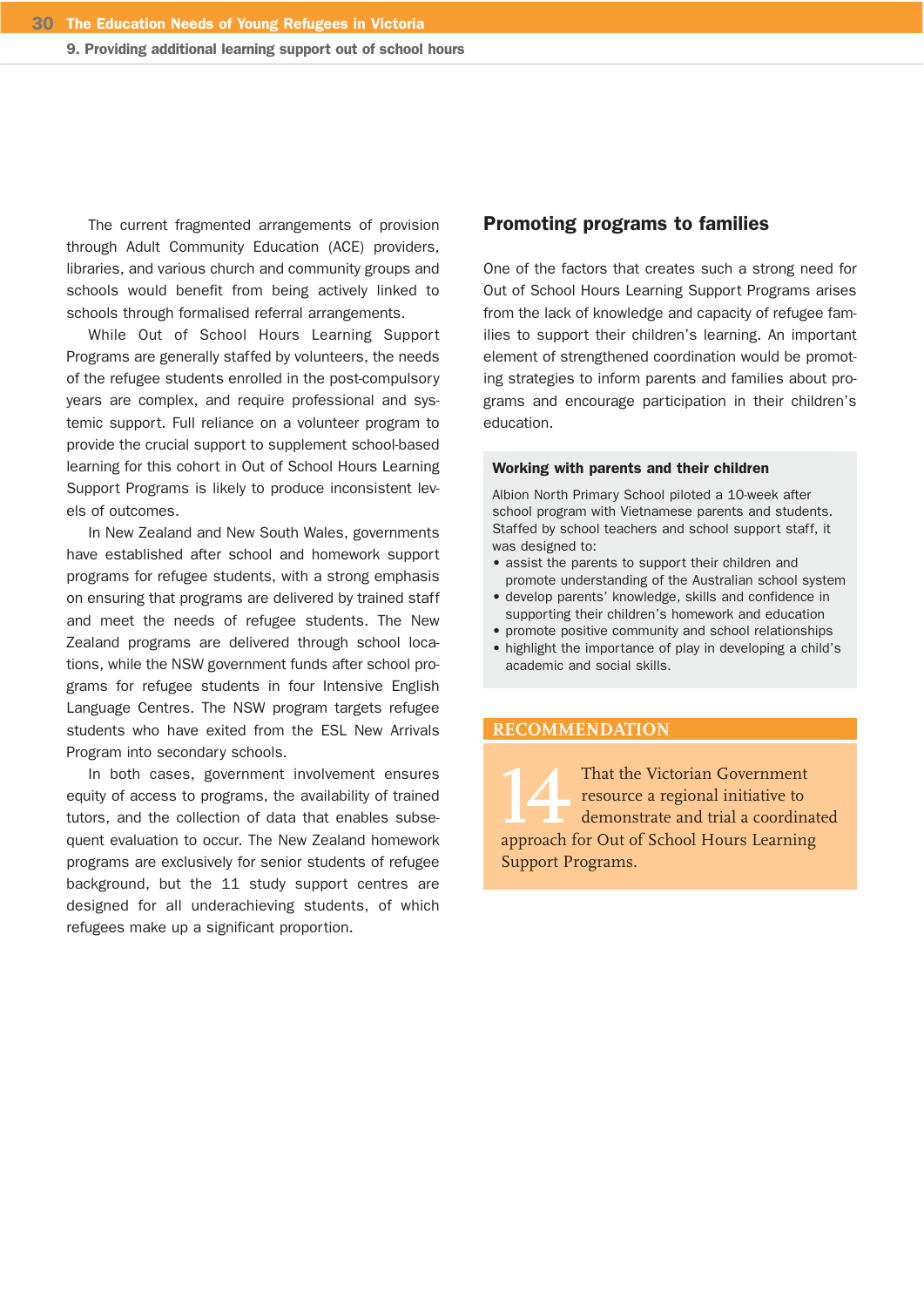9. Providing additional learning support out of school hours

The current fragmented arrangements of provision through Adult Community Education (ACE) providers, libraries, and various church and community groups and schools would benefit from being actively linked to schools through formalised referral arrangements.

While Out of School Hours Learning Support Programs are generally staffed by volunteers, the needs of the refugee students enrolled in the post-compulsory years are complex, and require professional and systemic support. Full reliance on a volunteer program to provide the crucial support to supplement school-based learning for this cohort in Out of School Hours Learning Support Programs is likely to produce inconsistent levels of outcomes.

In New Zealand and New South Wales, governments have established after school and homework support programs for refugee students, with a strong emphasis on ensuring that programs are delivered by trained staff and meet the needs of refugee students. The New Zealand programs are delivered through school locations, while the NSW government funds after school programs for refugee students in four Intensive English Language Centres. The NSW program targets refugee students who have exited from the ESL New Arrivals Program into secondary schools.

In both cases, government involvement ensures equity of access to programs, the availability of trained tutors, and the collection of data that enables subsequent evaluation to occur. The New Zealand homework programs are exclusively for senior students of refugee background, but the 11 study support centres are designed for all underachieving students, of which refugees make up a significant proportion.

### Promoting programs to families

One of the factors that creates such a strong need for Out of School Hours Learning Support Programs arises from the lack of knowledge and capacity of refugee families to support their children's learning. An important element of strengthened coordination would be promoting strategies to inform parents and families about programs and encourage participation in their children's education.

#### Working with parents and their children

Albion North Primary School piloted a 10-week after school program with Vietnamese parents and students. Staffed by school teachers and school support staff, it was designed to:

- assist the parents to support their children and promote understanding of the Australian school system
- develop parents' knowledge, skills and confidence in supporting their children's homework and education
- promote positive community and school relationships
- highlight the importance of play in developing a child's academic and social skills.

### **RECOMMENDATION**

That the Victorian Government<br>
resource a regional initiative to<br>
demonstrate and trial a coordina<br>
approach for Out of School Hours Learning resource a regional initiative to demonstrate and trial a coordinated Support Programs.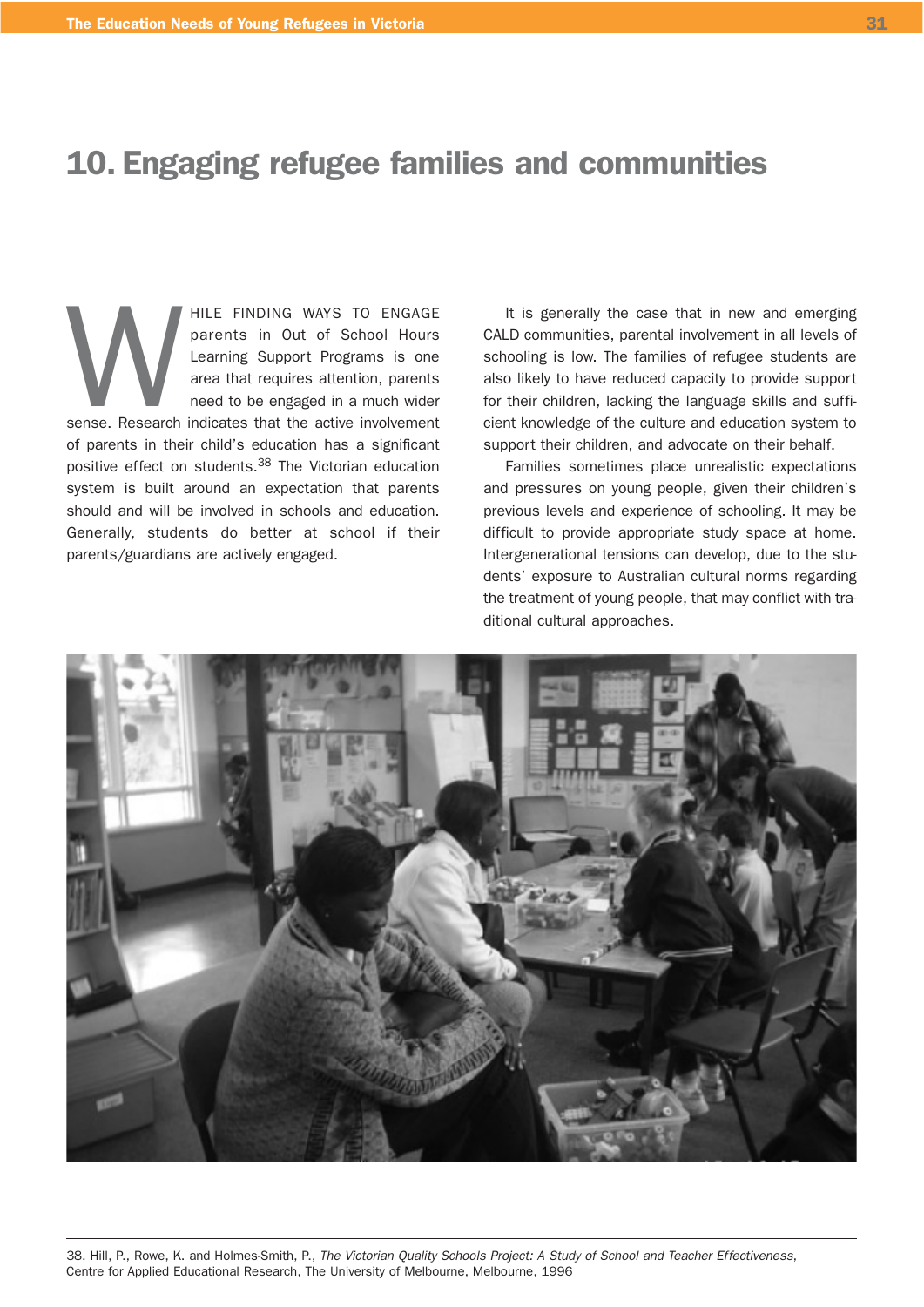# 10. Engaging refugee families and communities

HILE FINDING WAYS TO ENGAGE<br>parents in Out of School Hours<br>learning Support Programs is one<br>area that requires attention, parents<br>need to be engaged in a much wider<br>sense. Research indicates that the active involvement parents in Out of School Hours Learning Support Programs is one area that requires attention, parents need to be engaged in a much wider sense. Research indicates that the active involvement

of parents in their child's education has a significant positive effect on students.<sup>38</sup> The Victorian education system is built around an expectation that parents should and will be involved in schools and education. Generally, students do better at school if their parents/guardians are actively engaged.

It is generally the case that in new and emerging CALD communities, parental involvement in all levels of schooling is low. The families of refugee students are also likely to have reduced capacity to provide support for their children, lacking the language skills and sufficient knowledge of the culture and education system to support their children, and advocate on their behalf.

Families sometimes place unrealistic expectations and pressures on young people, given their children's previous levels and experience of schooling. It may be difficult to provide appropriate study space at home. Intergenerational tensions can develop, due to the students' exposure to Australian cultural norms regarding the treatment of young people, that may conflict with traditional cultural approaches.

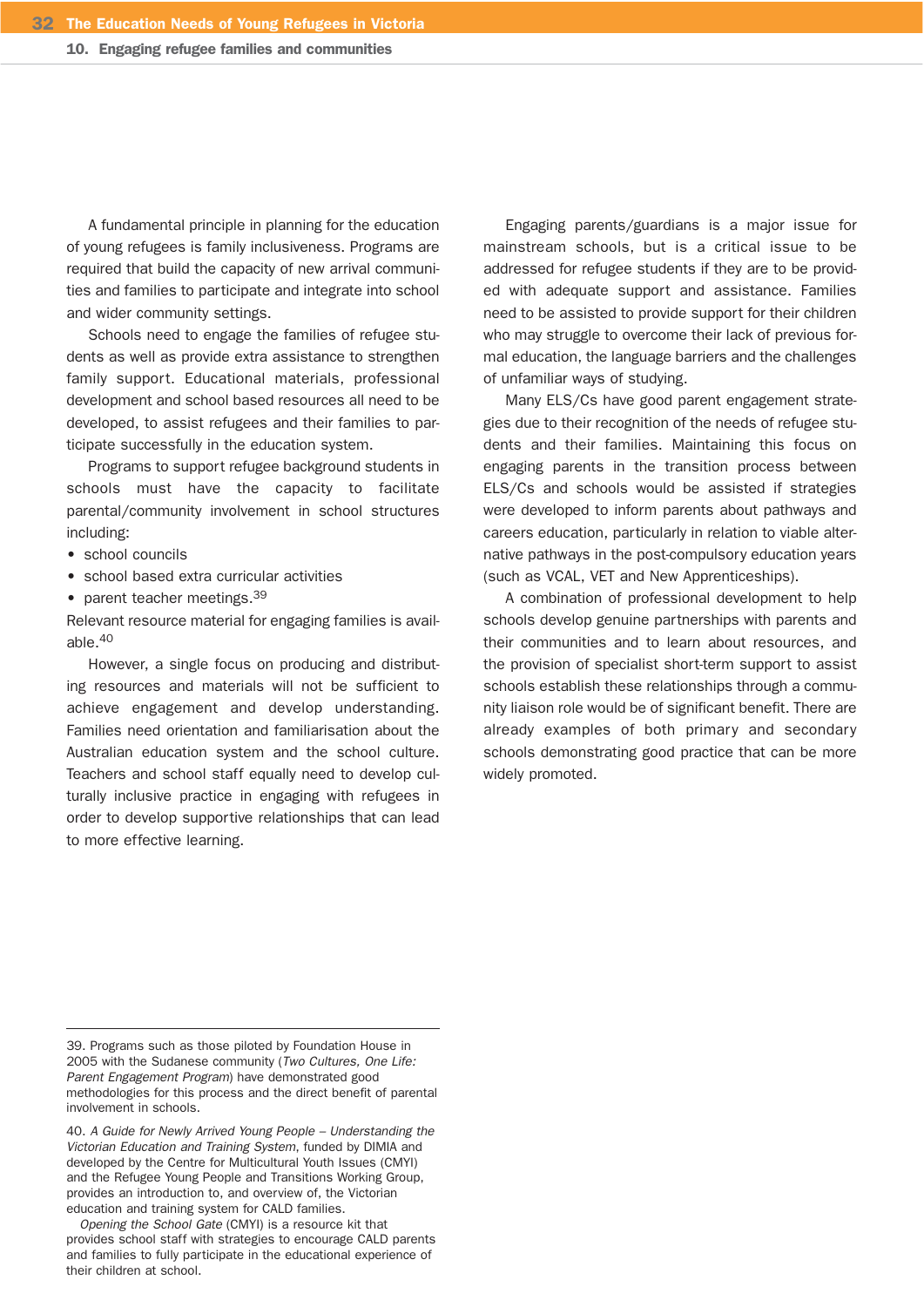A fundamental principle in planning for the education of young refugees is family inclusiveness. Programs are required that build the capacity of new arrival communities and families to participate and integrate into school and wider community settings.

Schools need to engage the families of refugee students as well as provide extra assistance to strengthen family support. Educational materials, professional development and school based resources all need to be developed, to assist refugees and their families to participate successfully in the education system.

Programs to support refugee background students in schools must have the capacity to facilitate parental/community involvement in school structures including:

- school councils
- school based extra curricular activities
- parent teacher meetings. 39

Relevant resource material for engaging families is available.40

However, a single focus on producing and distributing resources and materials will not be sufficient to achieve engagement and develop understanding. Families need orientation and familiarisation about the Australian education system and the school culture. Teachers and school staff equally need to develop culturally inclusive practice in engaging with refugees in order to develop supportive relationships that can lead to more effective learning.

Engaging parents/guardians is a major issue for mainstream schools, but is a critical issue to be addressed for refugee students if they are to be provided with adequate support and assistance. Families need to be assisted to provide support for their children who may struggle to overcome their lack of previous formal education, the language barriers and the challenges of unfamiliar ways of studying.

Many ELS/Cs have good parent engagement strategies due to their recognition of the needs of refugee students and their families. Maintaining this focus on engaging parents in the transition process between ELS/Cs and schools would be assisted if strategies were developed to inform parents about pathways and careers education, particularly in relation to viable alternative pathways in the post-compulsory education years (such as VCAL, VET and New Apprenticeships).

A combination of professional development to help schools develop genuine partnerships with parents and their communities and to learn about resources, and the provision of specialist short-term support to assist schools establish these relationships through a community liaison role would be of significant benefit. There are already examples of both primary and secondary schools demonstrating good practice that can be more widely promoted.

<sup>39.</sup> Programs such as those piloted by Foundation House in 2005 with the Sudanese community (Two Cultures, One Life: Parent Engagement Program) have demonstrated good methodologies for this process and the direct benefit of parental involvement in schools.

<sup>40.</sup> A Guide for Newly Arrived Young People – Understanding the Victorian Education and Training System, funded by DIMIA and developed by the Centre for Multicultural Youth Issues (CMYI) and the Refugee Young People and Transitions Working Group, provides an introduction to, and overview of, the Victorian education and training system for CALD families.

Opening the School Gate (CMYI) is a resource kit that provides school staff with strategies to encourage CALD parents and families to fully participate in the educational experience of their children at school.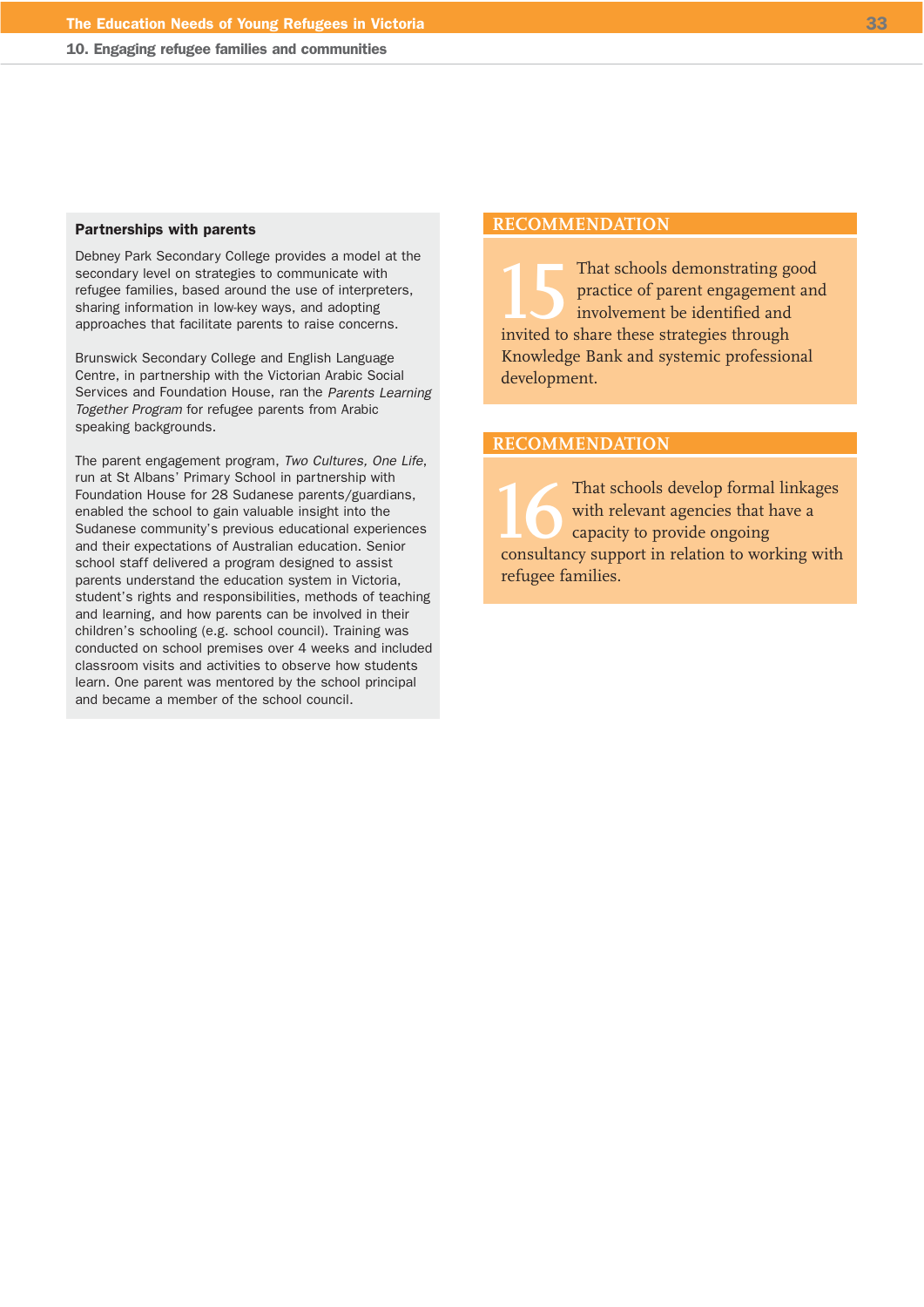10. Engaging refugee families and communities

#### Partnerships with parents

Debney Park Secondary College provides a model at the secondary level on strategies to communicate with refugee families, based around the use of interpreters, sharing information in low-key ways, and adopting approaches that facilitate parents to raise concerns.

Brunswick Secondary College and English Language Centre, in partnership with the Victorian Arabic Social Services and Foundation House, ran the Parents Learning Together Program for refugee parents from Arabic speaking backgrounds.

The parent engagement program, Two Cultures, One Life, run at St Albans' Primary School in partnership with Foundation House for 28 Sudanese parents/guardians, enabled the school to gain valuable insight into the Sudanese community's previous educational experiences and their expectations of Australian education. Senior school staff delivered a program designed to assist parents understand the education system in Victoria, student's rights and responsibilities, methods of teaching and learning, and how parents can be involved in their children's schooling (e.g. school council). Training was conducted on school premises over 4 weeks and included classroom visits and activities to observe how students learn. One parent was mentored by the school principal and became a member of the school council.

#### **RECOMMENDATION**

That schools demonstrating good<br>
practice of parent engagement an<br>
involvement be identified and<br>
invited to share these strategies through practice of parent engagement and involvement be identified and Knowledge Bank and systemic professional development.

### **RECOMMENDATION**

That schools develop formal linkages<br>
with relevant agencies that have a<br>
capacity to provide ongoing<br>
consultancy support in relation to working with with relevant agencies that have a capacity to provide ongoing refugee families.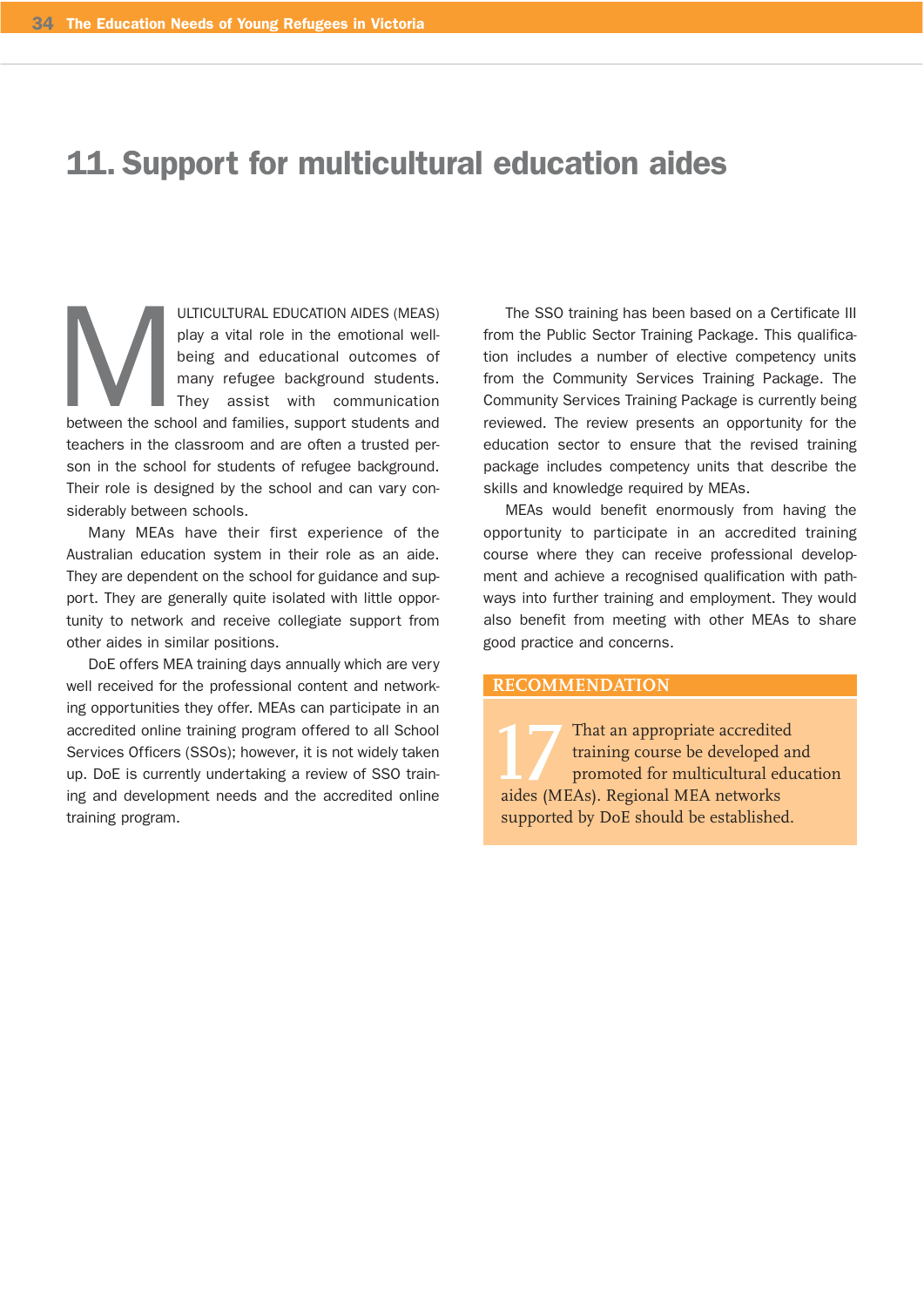# 11. Support for multicultural education aides

ULTICULTURAL EDUCATION AIDES (MEAS)<br>play a vital role in the emotional well-<br>being and educational outcomes of<br>many refugee background students.<br>They assist with communication<br>between the school and families, support stude play a vital role in the emotional wellbeing and educational outcomes of many refugee background students. They assist with communication between the school and families, support students and teachers in the classroom and are often a trusted person in the school for students of refugee background. Their role is designed by the school and can vary considerably between schools.

Many MEAs have their first experience of the Australian education system in their role as an aide. They are dependent on the school for guidance and support. They are generally quite isolated with little opportunity to network and receive collegiate support from other aides in similar positions.

DoE offers MEA training days annually which are very well received for the professional content and networking opportunities they offer. MEAs can participate in an accredited online training program offered to all School Services Officers (SSOs); however, it is not widely taken up. DoE is currently undertaking a review of SSO training and development needs and the accredited online training program.

The SSO training has been based on a Certificate III from the Public Sector Training Package. This qualification includes a number of elective competency units from the Community Services Training Package. The Community Services Training Package is currently being reviewed. The review presents an opportunity for the education sector to ensure that the revised training package includes competency units that describe the skills and knowledge required by MEAs.

MEAs would benefit enormously from having the opportunity to participate in an accredited training course where they can receive professional development and achieve a recognised qualification with pathways into further training and employment. They would also benefit from meeting with other MEAs to share good practice and concerns.

### **RECOMMENDATION**

That an appropriate accredited<br>
training course be developed a<br>
promoted for multicultural edu<br>
aides (MEAs). Regional MEA networks training course be developed and promoted for multicultural education supported by DoE should be established.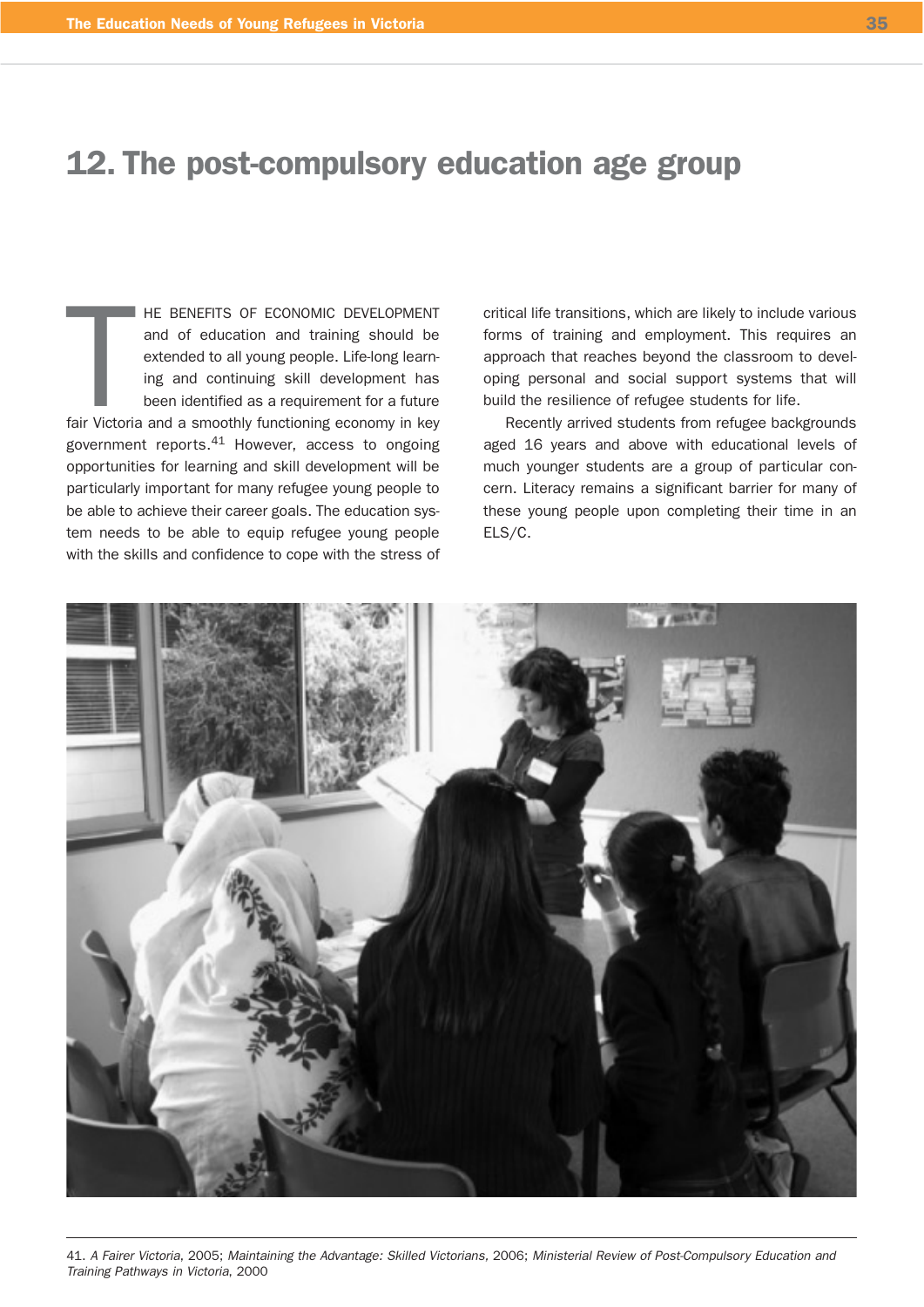# 12. The post-compulsory education age group

HE BENEFITS OF ECONOMIC DEVELOPMENT<br>and of education and training should be<br>extended to all young people. Life-long learn-<br>ing and continuing skill development has<br>been identified as a requirement for a future<br>fair Victori HE BENEFITS OF ECONOMIC DEVELOPMENT and of education and training should be extended to all young people. Life-long learning and continuing skill development has been identified as a requirement for a future government reports.<sup>41</sup> However, access to ongoing opportunities for learning and skill development will be particularly important for many refugee young people to be able to achieve their career goals. The education system needs to be able to equip refugee young people with the skills and confidence to cope with the stress of

critical life transitions, which are likely to include various forms of training and employment. This requires an approach that reaches beyond the classroom to developing personal and social support systems that will build the resilience of refugee students for life.

Recently arrived students from refugee backgrounds aged 16 years and above with educational levels of much younger students are a group of particular concern. Literacy remains a significant barrier for many of these young people upon completing their time in an ELS/C.

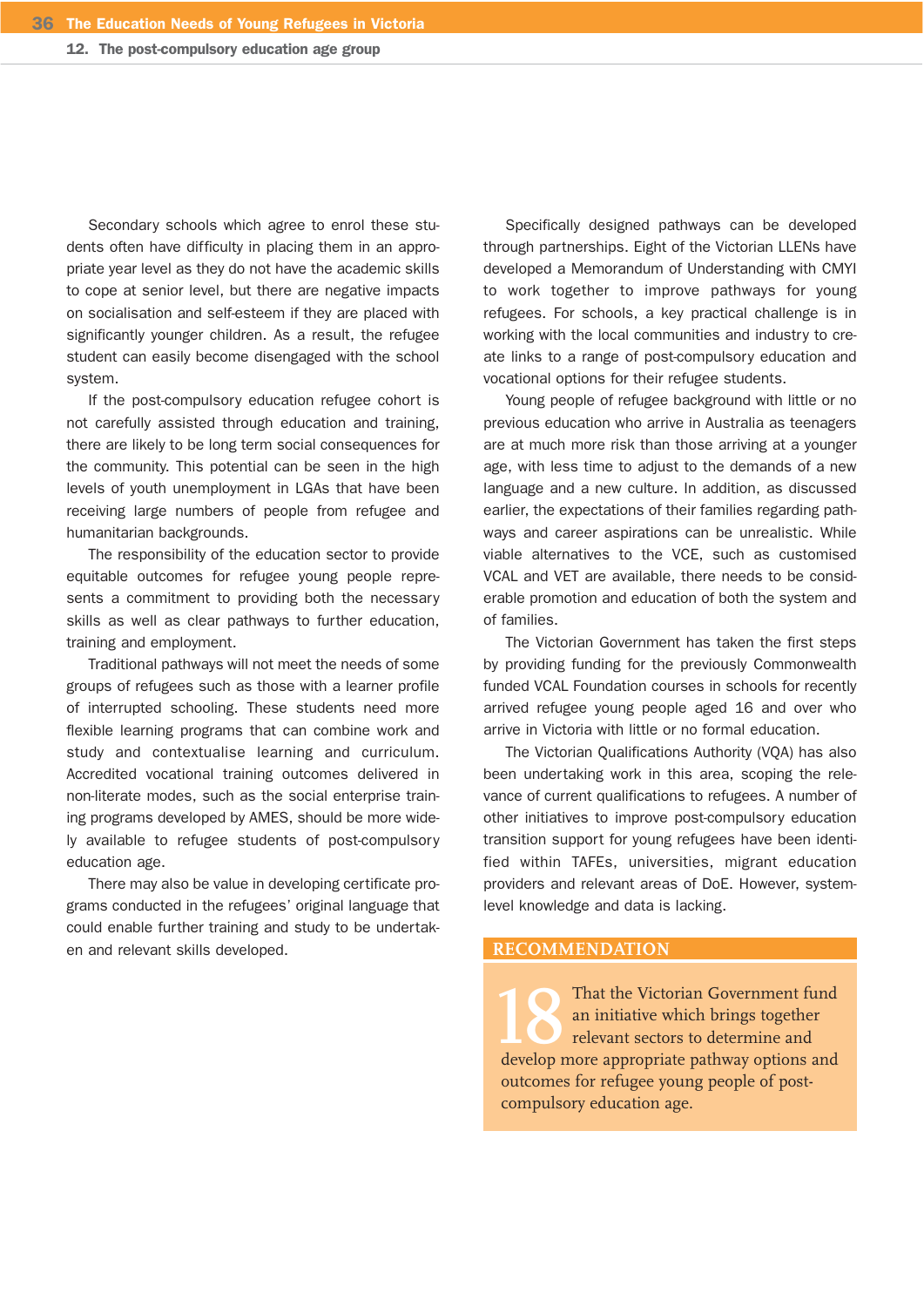12. The post-compulsory education age group

Secondary schools which agree to enrol these students often have difficulty in placing them in an appropriate year level as they do not have the academic skills to cope at senior level, but there are negative impacts on socialisation and self-esteem if they are placed with significantly younger children. As a result, the refugee student can easily become disengaged with the school system.

If the post-compulsory education refugee cohort is not carefully assisted through education and training, there are likely to be long term social consequences for the community. This potential can be seen in the high levels of youth unemployment in LGAs that have been receiving large numbers of people from refugee and humanitarian backgrounds.

The responsibility of the education sector to provide equitable outcomes for refugee young people represents a commitment to providing both the necessary skills as well as clear pathways to further education, training and employment.

Traditional pathways will not meet the needs of some groups of refugees such as those with a learner profile of interrupted schooling. These students need more flexible learning programs that can combine work and study and contextualise learning and curriculum. Accredited vocational training outcomes delivered in non-literate modes, such as the social enterprise training programs developed by AMES, should be more widely available to refugee students of post-compulsory education age.

There may also be value in developing certificate programs conducted in the refugees' original language that could enable further training and study to be undertaken and relevant skills developed.

Specifically designed pathways can be developed through partnerships. Eight of the Victorian LLENs have developed a Memorandum of Understanding with CMYI to work together to improve pathways for young refugees. For schools, a key practical challenge is in working with the local communities and industry to create links to a range of post-compulsory education and vocational options for their refugee students.

Young people of refugee background with little or no previous education who arrive in Australia as teenagers are at much more risk than those arriving at a younger age, with less time to adjust to the demands of a new language and a new culture. In addition, as discussed earlier, the expectations of their families regarding pathways and career aspirations can be unrealistic. While viable alternatives to the VCE, such as customised VCAL and VET are available, there needs to be considerable promotion and education of both the system and of families.

The Victorian Government has taken the first steps by providing funding for the previously Commonwealth funded VCAL Foundation courses in schools for recently arrived refugee young people aged 16 and over who arrive in Victoria with little or no formal education.

The Victorian Qualifications Authority (VQA) has also been undertaking work in this area, scoping the relevance of current qualifications to refugees. A number of other initiatives to improve post-compulsory education transition support for young refugees have been identified within TAFEs, universities, migrant education providers and relevant areas of DoE. However, systemlevel knowledge and data is lacking.

### **RECOMMENDATION**

That the Victorian Government fund<br>
an initiative which brings together<br>
relevant sectors to determine and<br>
develop more appropriate pathway options and an initiative which brings together relevant sectors to determine and outcomes for refugee young people of postcompulsory education age.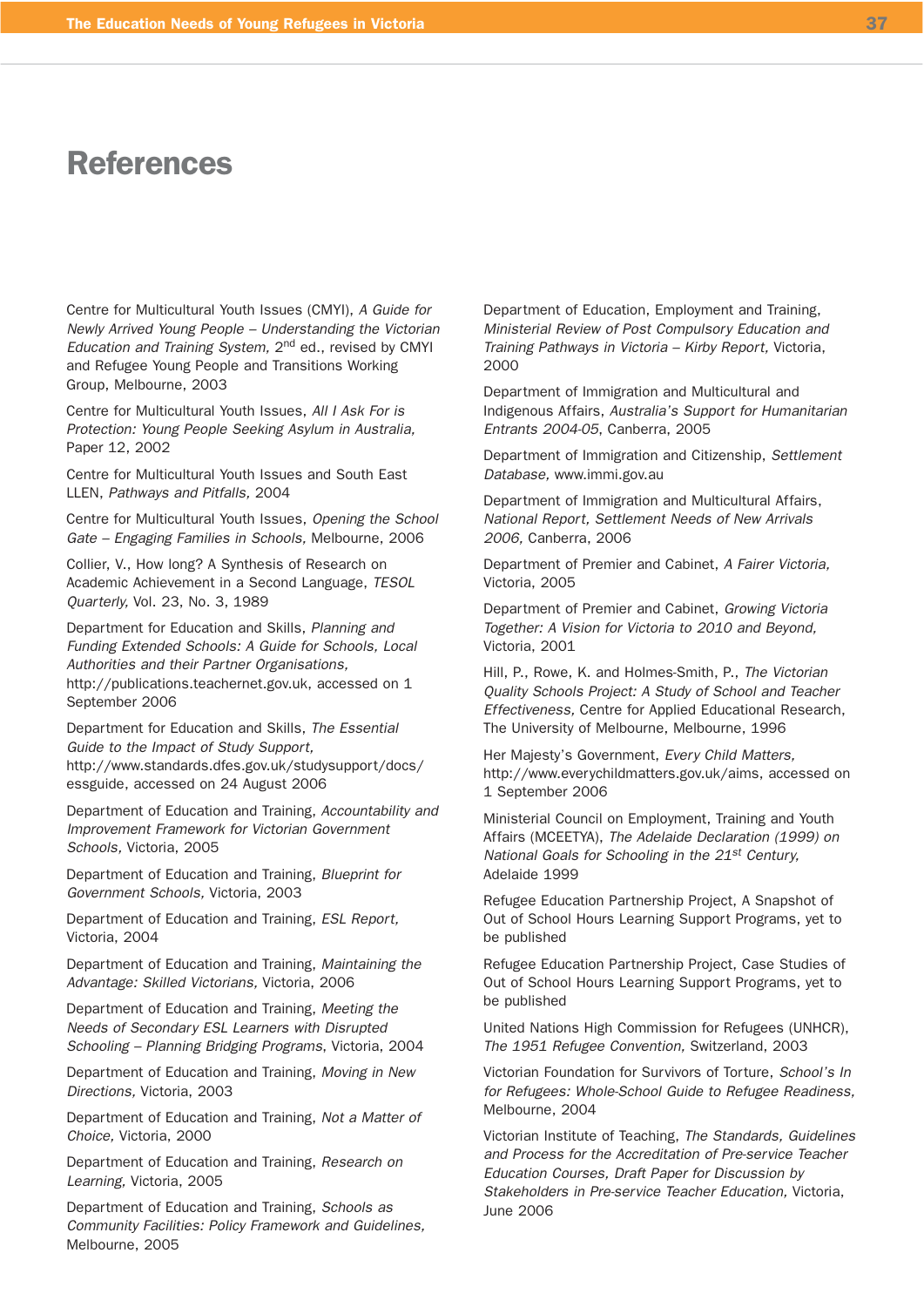# References

Centre for Multicultural Youth Issues (CMYI), A Guide for Newly Arrived Young People – Understanding the Victorian Education and Training System, 2<sup>nd</sup> ed., revised by CMYI and Refugee Young People and Transitions Working Group, Melbourne, 2003

Centre for Multicultural Youth Issues, All I Ask For is Protection: Young People Seeking Asylum in Australia, Paper 12, 2002

Centre for Multicultural Youth Issues and South East LLEN, Pathways and Pitfalls, 2004

Centre for Multicultural Youth Issues, Opening the School Gate – Engaging Families in Schools, Melbourne, 2006

Collier, V., How long? A Synthesis of Research on Academic Achievement in a Second Language, TESOL Quarterly, Vol. 23, No. 3, 1989

Department for Education and Skills, Planning and Funding Extended Schools: A Guide for Schools, Local Authorities and their Partner Organisations, http://publications.teachernet.gov.uk, accessed on 1 September 2006

Department for Education and Skills, The Essential Guide to the Impact of Study Support, http://www.standards.dfes.gov.uk/studysupport/docs/ essguide, accessed on 24 August 2006

Department of Education and Training, Accountability and Improvement Framework for Victorian Government Schools, Victoria, 2005

Department of Education and Training, Blueprint for Government Schools, Victoria, 2003

Department of Education and Training, ESL Report, Victoria, 2004

Department of Education and Training, Maintaining the Advantage: Skilled Victorians, Victoria, 2006

Department of Education and Training, Meeting the Needs of Secondary ESL Learners with Disrupted Schooling – Planning Bridging Programs, Victoria, 2004

Department of Education and Training, Moving in New Directions, Victoria, 2003

Department of Education and Training, Not a Matter of Choice, Victoria, 2000

Department of Education and Training, Research on Learning, Victoria, 2005

Department of Education and Training, Schools as Community Facilities: Policy Framework and Guidelines, Melbourne, 2005

Department of Education, Employment and Training, Ministerial Review of Post Compulsory Education and Training Pathways in Victoria – Kirby Report, Victoria, 2000

Department of Immigration and Multicultural and Indigenous Affairs, Australia's Support for Humanitarian Entrants 2004-05, Canberra, 2005

Department of Immigration and Citizenship, Settlement Database, www.immi.gov.au

Department of Immigration and Multicultural Affairs, National Report, Settlement Needs of New Arrivals 2006, Canberra, 2006

Department of Premier and Cabinet, A Fairer Victoria, Victoria, 2005

Department of Premier and Cabinet, Growing Victoria Together: A Vision for Victoria to 2010 and Beyond, Victoria, 2001

Hill, P., Rowe, K. and Holmes-Smith, P., The Victorian Quality Schools Project: A Study of School and Teacher Effectiveness, Centre for Applied Educational Research, The University of Melbourne, Melbourne, 1996

Her Majesty's Government, Every Child Matters, http://www.everychildmatters.gov.uk/aims, accessed on 1 September 2006

Ministerial Council on Employment, Training and Youth Affairs (MCEETYA), The Adelaide Declaration (1999) on National Goals for Schooling in the 21<sup>st</sup> Century, Adelaide 1999

Refugee Education Partnership Project, A Snapshot of Out of School Hours Learning Support Programs, yet to be published

Refugee Education Partnership Project, Case Studies of Out of School Hours Learning Support Programs, yet to be published

United Nations High Commission for Refugees (UNHCR), The 1951 Refugee Convention, Switzerland, 2003

Victorian Foundation for Survivors of Torture, School's In for Refugees: Whole-School Guide to Refugee Readiness, Melbourne, 2004

Victorian Institute of Teaching, The Standards, Guidelines and Process for the Accreditation of Pre-service Teacher Education Courses, Draft Paper for Discussion by Stakeholders in Pre-service Teacher Education, Victoria, June 2006